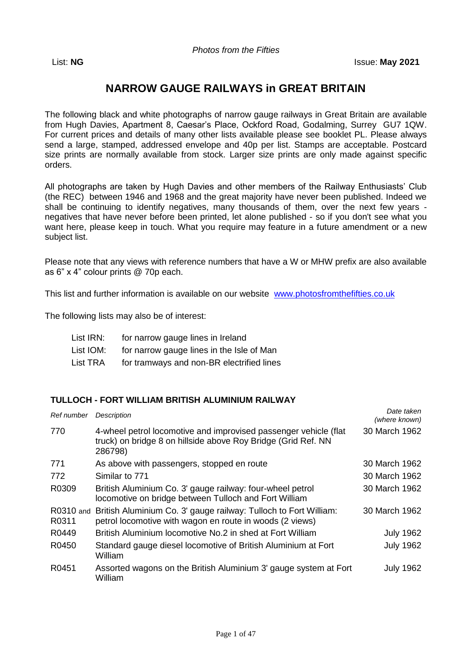*Photos from the Fifties*

# **NARROW GAUGE RAILWAYS in GREAT BRITAIN**

The following black and white photographs of narrow gauge railways in Great Britain are available from Hugh Davies, Apartment 8, Caesar's Place, Ockford Road, Godalming, Surrey GU7 1QW. For current prices and details of many other lists available please see booklet PL. Please always send a large, stamped, addressed envelope and 40p per list. Stamps are acceptable. Postcard size prints are normally available from stock. Larger size prints are only made against specific orders.

All photographs are taken by Hugh Davies and other members of the Railway Enthusiasts' Club (the REC) between 1946 and 1968 and the great majority have never been published. Indeed we shall be continuing to identify negatives, many thousands of them, over the next few years negatives that have never before been printed, let alone published - so if you don't see what you want here, please keep in touch. What you require may feature in a future amendment or a new subject list.

Please note that any views with reference numbers that have a W or MHW prefix are also available as 6" x 4" colour prints @ 70p each.

This list and further information is available on our website [www.photosfromthefifties.co.uk](http://www.photosfromthefifties.co.uk/)

The following lists may also be of interest:

| List IRN: | for narrow gauge lines in Ireland         |
|-----------|-------------------------------------------|
| List IOM: | for narrow gauge lines in the Isle of Man |
| List TRA  | for tramways and non-BR electrified lines |

#### **TULLOCH - FORT WILLIAM BRITISH ALUMINIUM RAILWAY**

| Ref number | Description                                                                                                                                  | Date taken<br>(where known) |
|------------|----------------------------------------------------------------------------------------------------------------------------------------------|-----------------------------|
| 770        | 4-wheel petrol locomotive and improvised passenger vehicle (flat<br>truck) on bridge 8 on hillside above Roy Bridge (Grid Ref. NN<br>286798) | 30 March 1962               |
| 771        | As above with passengers, stopped en route                                                                                                   | 30 March 1962               |
| 772        | Similar to 771                                                                                                                               | 30 March 1962               |
| R0309      | British Aluminium Co. 3' gauge railway: four-wheel petrol<br>locomotive on bridge between Tulloch and Fort William                           | 30 March 1962               |
| R0311      | R0310 and British Aluminium Co. 3' gauge railway: Tulloch to Fort William:<br>petrol locomotive with wagon en route in woods (2 views)       | 30 March 1962               |
| R0449      | British Aluminium locomotive No.2 in shed at Fort William                                                                                    | <b>July 1962</b>            |
| R0450      | Standard gauge diesel locomotive of British Aluminium at Fort<br>William                                                                     | <b>July 1962</b>            |
| R0451      | Assorted wagons on the British Aluminium 3' gauge system at Fort<br>William                                                                  | <b>July 1962</b>            |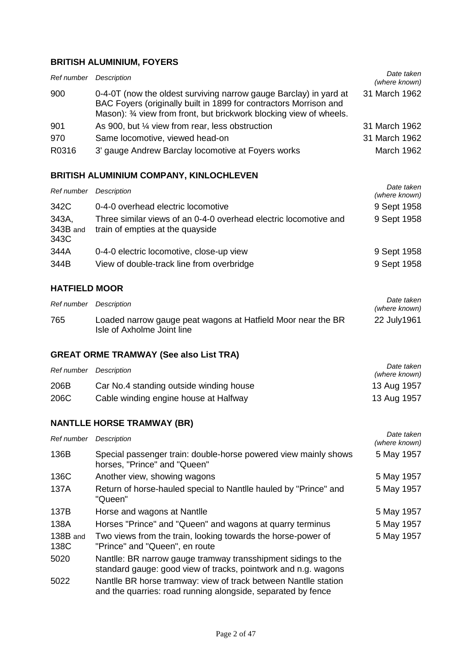## **BRITISH ALUMINIUM, FOYERS**

| Ref number | Description                                                                                                                                                                                                   | Date taken<br>(where known) |
|------------|---------------------------------------------------------------------------------------------------------------------------------------------------------------------------------------------------------------|-----------------------------|
| 900        | 0-4-0T (now the oldest surviving narrow gauge Barclay) in yard at<br>BAC Foyers (originally built in 1899 for contractors Morrison and<br>Mason): 3⁄4 view from front, but brickwork blocking view of wheels. | 31 March 1962               |
| 901        | As 900, but 1/4 view from rear, less obstruction                                                                                                                                                              | 31 March 1962               |
| 970        | Same locomotive, viewed head-on                                                                                                                                                                               | 31 March 1962               |
| R0316      | 3' gauge Andrew Barclay locomotive at Foyers works                                                                                                                                                            | March 1962                  |

## **BRITISH ALUMINIUM COMPANY, KINLOCHLEVEN**

| Ref number                | Description                                                                                          | Date taken<br>(where known) |
|---------------------------|------------------------------------------------------------------------------------------------------|-----------------------------|
| 342C                      | 0-4-0 overhead electric locomotive                                                                   | 9 Sept 1958                 |
| 343A,<br>343B and<br>343C | Three similar views of an 0-4-0 overhead electric locomotive and<br>train of empties at the quayside | 9 Sept 1958                 |
| 344A                      | 0-4-0 electric locomotive, close-up view                                                             | 9 Sept 1958                 |
| 344B                      | View of double-track line from overbridge                                                            | 9 Sept 1958                 |

## **HATFIELD MOOR**

| Ref number | Description                                                                                | Date taken<br>(where known) |
|------------|--------------------------------------------------------------------------------------------|-----------------------------|
| 765        | Loaded narrow gauge peat wagons at Hatfield Moor near the BR<br>Isle of Axholme Joint line | 22 July1961                 |

## **GREAT ORME TRAMWAY (See also List TRA)**

| Ref number | Description                             | Date taken<br>(where known) |
|------------|-----------------------------------------|-----------------------------|
| 206B       | Car No.4 standing outside winding house | 13 Aug 1957                 |
| 206C       | Cable winding engine house at Halfway   | 13 Aug 1957                 |

## **NANTLLE HORSE TRAMWAY (BR)**

| Ref number       | <b>Description</b>                                                                                                              | Date taken<br>(where known) |
|------------------|---------------------------------------------------------------------------------------------------------------------------------|-----------------------------|
| 136B             | Special passenger train: double-horse powered view mainly shows<br>horses, "Prince" and "Queen"                                 | 5 May 1957                  |
| 136C             | Another view, showing wagons                                                                                                    | 5 May 1957                  |
| 137A             | Return of horse-hauled special to Nantile hauled by "Prince" and<br>"Queen"                                                     | 5 May 1957                  |
| 137B             | Horse and wagons at Nantile                                                                                                     | 5 May 1957                  |
| 138A             | Horses "Prince" and "Queen" and wagons at quarry terminus                                                                       | 5 May 1957                  |
| 138B and<br>138C | Two views from the train, looking towards the horse-power of<br>"Prince" and "Queen", en route                                  | 5 May 1957                  |
| 5020             | Nantlle: BR narrow gauge tramway transshipment sidings to the<br>standard gauge: good view of tracks, pointwork and n.g. wagons |                             |
| 5022             | Nantlle BR horse tramway: view of track between Nantlle station<br>and the quarries: road running alongside, separated by fence |                             |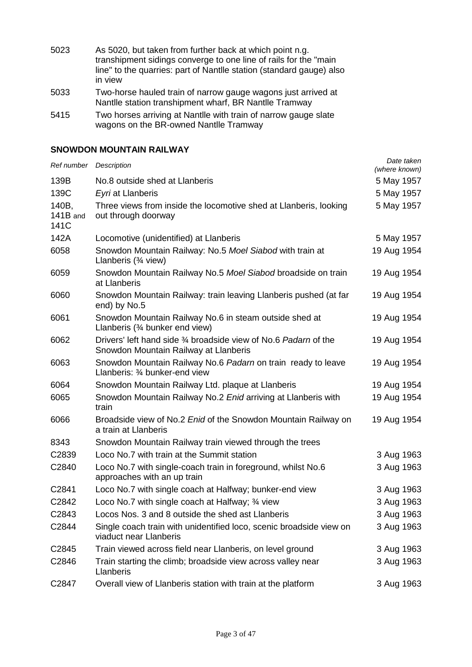| 5023 | As 5020, but taken from further back at which point n.g.             |
|------|----------------------------------------------------------------------|
|      | transhipment sidings converge to one line of rails for the "main"    |
|      | line" to the quarries: part of Nantile station (standard gauge) also |
|      | in view                                                              |

- 5033 Two-horse hauled train of narrow gauge wagons just arrived at Nantlle station transhipment wharf, BR Nantlle Tramway
- 5415 Two horses arriving at Nantlle with train of narrow gauge slate wagons on the BR-owned Nantlle Tramway

## **SNOWDON MOUNTAIN RAILWAY**

| Ref number Description    |                                                                                                          | Date taken<br>(where known) |
|---------------------------|----------------------------------------------------------------------------------------------------------|-----------------------------|
| 139B                      | No.8 outside shed at Llanberis                                                                           | 5 May 1957                  |
| 139C                      | Eyri at Llanberis                                                                                        | 5 May 1957                  |
| 140B,<br>141B and<br>141C | Three views from inside the locomotive shed at Llanberis, looking<br>out through doorway                 | 5 May 1957                  |
| 142A                      | Locomotive (unidentified) at Llanberis                                                                   | 5 May 1957                  |
| 6058                      | Snowdon Mountain Railway: No.5 Moel Siabod with train at<br>Llanberis $(34$ view)                        | 19 Aug 1954                 |
| 6059                      | Snowdon Mountain Railway No.5 Moel Siabod broadside on train<br>at Llanberis                             | 19 Aug 1954                 |
| 6060                      | Snowdon Mountain Railway: train leaving Llanberis pushed (at far<br>end) by No.5                         | 19 Aug 1954                 |
| 6061                      | Snowdon Mountain Railway No.6 in steam outside shed at<br>Llanberis $(3/4)$ bunker end view)             | 19 Aug 1954                 |
| 6062                      | Drivers' left hand side 34 broadside view of No.6 Padarn of the<br>Snowdon Mountain Railway at Llanberis | 19 Aug 1954                 |
| 6063                      | Snowdon Mountain Railway No.6 Padarn on train ready to leave<br>Llanberis: 3/4 bunker-end view           | 19 Aug 1954                 |
| 6064                      | Snowdon Mountain Railway Ltd. plaque at Llanberis                                                        | 19 Aug 1954                 |
| 6065                      | Snowdon Mountain Railway No.2 Enid arriving at Llanberis with<br>train                                   | 19 Aug 1954                 |
| 6066                      | Broadside view of No.2 Enid of the Snowdon Mountain Railway on<br>a train at Llanberis                   | 19 Aug 1954                 |
| 8343                      | Snowdon Mountain Railway train viewed through the trees                                                  |                             |
| C2839                     | Loco No.7 with train at the Summit station                                                               | 3 Aug 1963                  |
| C2840                     | Loco No.7 with single-coach train in foreground, whilst No.6<br>approaches with an up train              | 3 Aug 1963                  |
| C2841                     | Loco No.7 with single coach at Halfway; bunker-end view                                                  | 3 Aug 1963                  |
| C2842                     | Loco No.7 with single coach at Halfway; 3/4 view                                                         | 3 Aug 1963                  |
| C2843                     | Locos Nos. 3 and 8 outside the shed ast Llanberis                                                        | 3 Aug 1963                  |
| C2844                     | Single coach train with unidentified loco, scenic broadside view on<br>viaduct near Llanberis            | 3 Aug 1963                  |
| C2845                     | Train viewed across field near Llanberis, on level ground                                                | 3 Aug 1963                  |
| C2846                     | Train starting the climb; broadside view across valley near<br>Llanberis                                 | 3 Aug 1963                  |
| C2847                     | Overall view of Llanberis station with train at the platform                                             | 3 Aug 1963                  |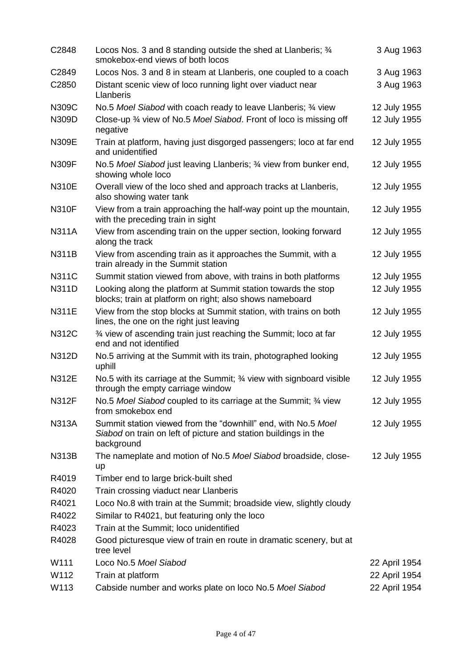| C2848        | Locos Nos. 3 and 8 standing outside the shed at Llanberis; 34<br>smokebox-end views of both locos                                              | 3 Aug 1963    |
|--------------|------------------------------------------------------------------------------------------------------------------------------------------------|---------------|
| C2849        | Locos Nos. 3 and 8 in steam at Llanberis, one coupled to a coach                                                                               | 3 Aug 1963    |
| C2850        | Distant scenic view of loco running light over viaduct near<br>Llanberis                                                                       | 3 Aug 1963    |
| N309C        | No.5 Moel Siabod with coach ready to leave Llanberis; 3⁄4 view                                                                                 | 12 July 1955  |
| N309D        | Close-up 3⁄4 view of No.5 Moel Siabod. Front of loco is missing off<br>negative                                                                | 12 July 1955  |
| <b>N309E</b> | Train at platform, having just disgorged passengers; loco at far end<br>and unidentified                                                       | 12 July 1955  |
| N309F        | No.5 Moel Siabod just leaving Llanberis; 3⁄4 view from bunker end,<br>showing whole loco                                                       | 12 July 1955  |
| <b>N310E</b> | Overall view of the loco shed and approach tracks at Llanberis,<br>also showing water tank                                                     | 12 July 1955  |
| <b>N310F</b> | View from a train approaching the half-way point up the mountain,<br>with the preceding train in sight                                         | 12 July 1955  |
| <b>N311A</b> | View from ascending train on the upper section, looking forward<br>along the track                                                             | 12 July 1955  |
| <b>N311B</b> | View from ascending train as it approaches the Summit, with a<br>train already in the Summit station                                           | 12 July 1955  |
| <b>N311C</b> | Summit station viewed from above, with trains in both platforms                                                                                | 12 July 1955  |
| <b>N311D</b> | Looking along the platform at Summit station towards the stop<br>blocks; train at platform on right; also shows nameboard                      | 12 July 1955  |
| <b>N311E</b> | View from the stop blocks at Summit station, with trains on both<br>lines, the one on the right just leaving                                   | 12 July 1955  |
| <b>N312C</b> | 3⁄4 view of ascending train just reaching the Summit; loco at far<br>end and not identified                                                    | 12 July 1955  |
| N312D        | No.5 arriving at the Summit with its train, photographed looking<br>uphill                                                                     | 12 July 1955  |
| N312E        | No.5 with its carriage at the Summit; 3/4 view with signboard visible<br>through the empty carriage window                                     | 12 July 1955  |
| <b>N312F</b> | No.5 Moel Siabod coupled to its carriage at the Summit; 34 view<br>from smokebox end                                                           | 12 July 1955  |
| <b>N313A</b> | Summit station viewed from the "downhill" end, with No.5 Moel<br>Siabod on train on left of picture and station buildings in the<br>background | 12 July 1955  |
| <b>N313B</b> | The nameplate and motion of No.5 Moel Siabod broadside, close-<br>up                                                                           | 12 July 1955  |
| R4019        | Timber end to large brick-built shed                                                                                                           |               |
| R4020        | Train crossing viaduct near Llanberis                                                                                                          |               |
| R4021        | Loco No.8 with train at the Summit; broadside view, slightly cloudy                                                                            |               |
| R4022        | Similar to R4021, but featuring only the loco                                                                                                  |               |
| R4023        | Train at the Summit; loco unidentified                                                                                                         |               |
| R4028        | Good picturesque view of train en route in dramatic scenery, but at<br>tree level                                                              |               |
| W111         | Loco No.5 Moel Siabod                                                                                                                          | 22 April 1954 |
| W112         | Train at platform                                                                                                                              | 22 April 1954 |
| W113         | Cabside number and works plate on loco No.5 Moel Siabod                                                                                        | 22 April 1954 |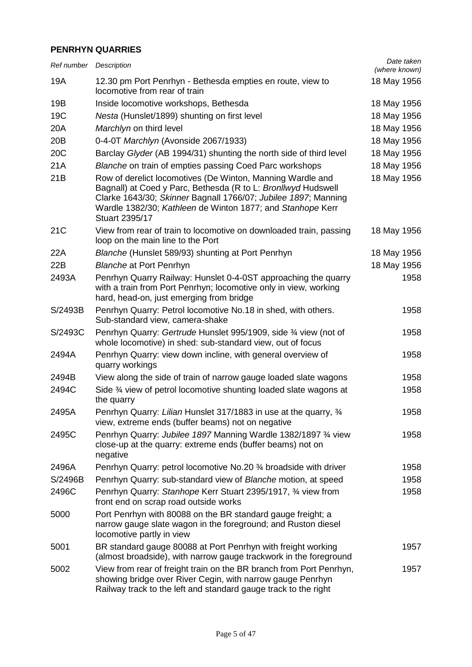## **PENRHYN QUARRIES**

| Ref number Description |                                                                                                                                                                                                                                                                                      | Date taken<br>(where known) |
|------------------------|--------------------------------------------------------------------------------------------------------------------------------------------------------------------------------------------------------------------------------------------------------------------------------------|-----------------------------|
| 19A                    | 12.30 pm Port Penrhyn - Bethesda empties en route, view to<br>locomotive from rear of train                                                                                                                                                                                          | 18 May 1956                 |
| 19B                    | Inside locomotive workshops, Bethesda                                                                                                                                                                                                                                                | 18 May 1956                 |
| 19 <sub>C</sub>        | Nesta (Hunslet/1899) shunting on first level                                                                                                                                                                                                                                         | 18 May 1956                 |
| 20A                    | Marchlyn on third level                                                                                                                                                                                                                                                              | 18 May 1956                 |
| 20B                    | 0-4-0T Marchlyn (Avonside 2067/1933)                                                                                                                                                                                                                                                 | 18 May 1956                 |
| 20 <sub>C</sub>        | Barclay Glyder (AB 1994/31) shunting the north side of third level                                                                                                                                                                                                                   | 18 May 1956                 |
| 21A                    | Blanche on train of empties passing Coed Parc workshops                                                                                                                                                                                                                              | 18 May 1956                 |
| 21B                    | Row of derelict locomotives (De Winton, Manning Wardle and<br>Bagnall) at Coed y Parc, Bethesda (R to L: Bronllwyd Hudswell<br>Clarke 1643/30; Skinner Bagnall 1766/07; Jubilee 1897; Manning<br>Wardle 1382/30; Kathleen de Winton 1877; and Stanhope Kerr<br><b>Stuart 2395/17</b> | 18 May 1956                 |
| 21 <sub>C</sub>        | View from rear of train to locomotive on downloaded train, passing<br>loop on the main line to the Port                                                                                                                                                                              | 18 May 1956                 |
| 22A                    | Blanche (Hunslet 589/93) shunting at Port Penrhyn                                                                                                                                                                                                                                    | 18 May 1956                 |
| 22B                    | <b>Blanche at Port Penrhyn</b>                                                                                                                                                                                                                                                       | 18 May 1956                 |
| 2493A                  | Penrhyn Quarry Railway: Hunslet 0-4-0ST approaching the quarry<br>with a train from Port Penrhyn; locomotive only in view, working<br>hard, head-on, just emerging from bridge                                                                                                       | 1958                        |
| S/2493B                | Penrhyn Quarry: Petrol locomotive No.18 in shed, with others.<br>Sub-standard view, camera-shake                                                                                                                                                                                     | 1958                        |
| S/2493C                | Penrhyn Quarry: Gertrude Hunslet 995/1909, side 3⁄4 view (not of<br>whole locomotive) in shed: sub-standard view, out of focus                                                                                                                                                       | 1958                        |
| 2494A                  | Penrhyn Quarry: view down incline, with general overview of<br>quarry workings                                                                                                                                                                                                       | 1958                        |
| 2494B                  | View along the side of train of narrow gauge loaded slate wagons                                                                                                                                                                                                                     | 1958                        |
| 2494C                  | Side 3⁄4 view of petrol locomotive shunting loaded slate wagons at<br>the quarry                                                                                                                                                                                                     | 1958                        |
| 2495A                  | Penrhyn Quarry: Lilian Hunslet 317/1883 in use at the quarry, 3/4<br>view, extreme ends (buffer beams) not on negative                                                                                                                                                               | 1958                        |
| 2495C                  | Penrhyn Quarry: Jubilee 1897 Manning Wardle 1382/1897 3⁄4 view<br>close-up at the quarry: extreme ends (buffer beams) not on<br>negative                                                                                                                                             | 1958                        |
| 2496A                  | Penrhyn Quarry: petrol locomotive No.20 3/4 broadside with driver                                                                                                                                                                                                                    | 1958                        |
| S/2496B                | Penrhyn Quarry: sub-standard view of Blanche motion, at speed                                                                                                                                                                                                                        | 1958                        |
| 2496C                  | Penrhyn Quarry: Stanhope Kerr Stuart 2395/1917, 34 view from<br>front end on scrap road outside works                                                                                                                                                                                | 1958                        |
| 5000                   | Port Penrhyn with 80088 on the BR standard gauge freight; a<br>narrow gauge slate wagon in the foreground; and Ruston diesel<br>locomotive partly in view                                                                                                                            |                             |
| 5001                   | BR standard gauge 80088 at Port Penrhyn with freight working<br>(almost broadside), with narrow gauge trackwork in the foreground                                                                                                                                                    | 1957                        |
| 5002                   | View from rear of freight train on the BR branch from Port Penrhyn,<br>showing bridge over River Cegin, with narrow gauge Penrhyn<br>Railway track to the left and standard gauge track to the right                                                                                 | 1957                        |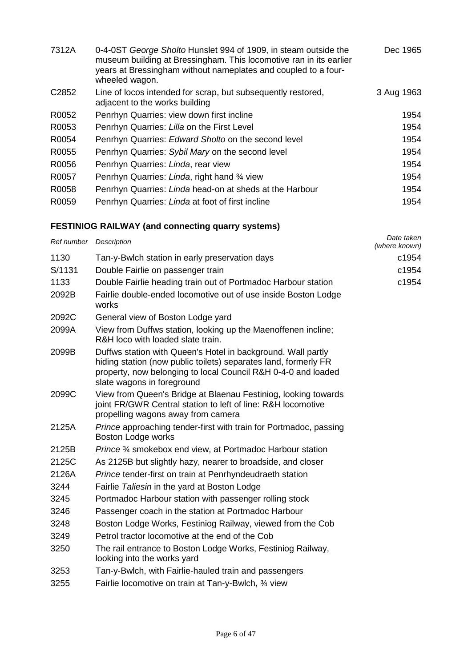| 7312A             | 0-4-0ST George Sholto Hunslet 994 of 1909, in steam outside the<br>museum building at Bressingham. This locomotive ran in its earlier<br>years at Bressingham without nameplates and coupled to a four-<br>wheeled wagon. | Dec 1965   |
|-------------------|---------------------------------------------------------------------------------------------------------------------------------------------------------------------------------------------------------------------------|------------|
| C <sub>2852</sub> | Line of locos intended for scrap, but subsequently restored,<br>adjacent to the works building                                                                                                                            | 3 Aug 1963 |
| R0052             | Penrhyn Quarries: view down first incline                                                                                                                                                                                 | 1954       |
| R0053             | Penrhyn Quarries: Lilla on the First Level                                                                                                                                                                                | 1954       |
| R0054             | Penrhyn Quarries: Edward Sholto on the second level                                                                                                                                                                       | 1954       |
| R0055             | Penrhyn Quarries: Sybil Mary on the second level                                                                                                                                                                          | 1954       |
| R0056             | Penrhyn Quarries: Linda, rear view                                                                                                                                                                                        | 1954       |
| R0057             | Penrhyn Quarries: Linda, right hand 3/4 view                                                                                                                                                                              | 1954       |
| R0058             | Penrhyn Quarries: Linda head-on at sheds at the Harbour                                                                                                                                                                   | 1954       |
| R0059             | Penrhyn Quarries: Linda at foot of first incline                                                                                                                                                                          | 1954       |

# **FESTINIOG RAILWAY (and connecting quarry systems)**

| Ref number Description |                                                                                                                                                                                                                                | Date taken<br>(where known) |
|------------------------|--------------------------------------------------------------------------------------------------------------------------------------------------------------------------------------------------------------------------------|-----------------------------|
| 1130                   | Tan-y-Bwlch station in early preservation days                                                                                                                                                                                 | c1954                       |
| S/1131                 | Double Fairlie on passenger train                                                                                                                                                                                              | c1954                       |
| 1133                   | Double Fairlie heading train out of Portmadoc Harbour station                                                                                                                                                                  | c1954                       |
| 2092B                  | Fairlie double-ended locomotive out of use inside Boston Lodge<br>works                                                                                                                                                        |                             |
| 2092C                  | General view of Boston Lodge yard                                                                                                                                                                                              |                             |
| 2099A                  | View from Duffws station, looking up the Maenoffenen incline;<br>R&H loco with loaded slate train.                                                                                                                             |                             |
| 2099B                  | Duffws station with Queen's Hotel in background. Wall partly<br>hiding station (now public toilets) separates land, formerly FR<br>property, now belonging to local Council R&H 0-4-0 and loaded<br>slate wagons in foreground |                             |
| 2099C                  | View from Queen's Bridge at Blaenau Festiniog, looking towards<br>joint FR/GWR Central station to left of line: R&H locomotive<br>propelling wagons away from camera                                                           |                             |
| 2125A                  | Prince approaching tender-first with train for Portmadoc, passing<br><b>Boston Lodge works</b>                                                                                                                                 |                             |
| 2125B                  | Prince 3/4 smokebox end view, at Portmadoc Harbour station                                                                                                                                                                     |                             |
| 2125C                  | As 2125B but slightly hazy, nearer to broadside, and closer                                                                                                                                                                    |                             |
| 2126A                  | Prince tender-first on train at Penrhyndeudraeth station                                                                                                                                                                       |                             |
| 3244                   | Fairlie Taliesin in the yard at Boston Lodge                                                                                                                                                                                   |                             |
| 3245                   | Portmadoc Harbour station with passenger rolling stock                                                                                                                                                                         |                             |
| 3246                   | Passenger coach in the station at Portmadoc Harbour                                                                                                                                                                            |                             |
| 3248                   | Boston Lodge Works, Festiniog Railway, viewed from the Cob                                                                                                                                                                     |                             |
| 3249                   | Petrol tractor locomotive at the end of the Cob                                                                                                                                                                                |                             |
| 3250                   | The rail entrance to Boston Lodge Works, Festiniog Railway,<br>looking into the works yard                                                                                                                                     |                             |
| 3253                   | Tan-y-Bwlch, with Fairlie-hauled train and passengers                                                                                                                                                                          |                             |
| 3255                   | Fairlie locomotive on train at Tan-y-Bwlch, 34 view                                                                                                                                                                            |                             |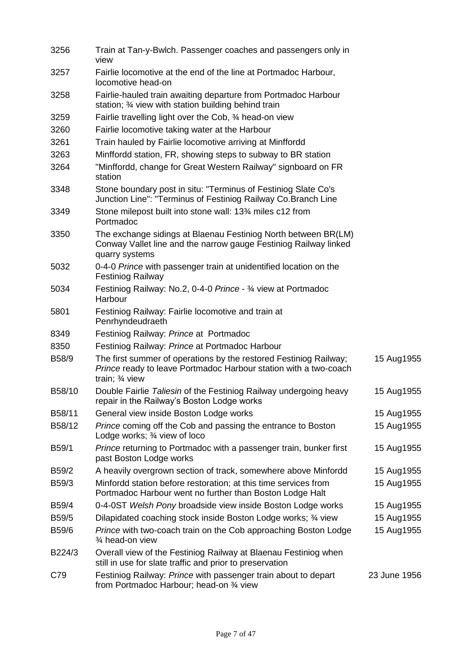| 3256   | Train at Tan-y-Bwlch. Passenger coaches and passengers only in<br>view                                                                                   |              |
|--------|----------------------------------------------------------------------------------------------------------------------------------------------------------|--------------|
| 3257   | Fairlie locomotive at the end of the line at Portmadoc Harbour,<br>locomotive head-on                                                                    |              |
| 3258   | Fairlie-hauled train awaiting departure from Portmadoc Harbour<br>station; 3⁄4 view with station building behind train                                   |              |
| 3259   | Fairlie travelling light over the Cob, 3⁄4 head-on view                                                                                                  |              |
| 3260   | Fairlie locomotive taking water at the Harbour                                                                                                           |              |
| 3261   | Train hauled by Fairlie locomotive arriving at Minffordd                                                                                                 |              |
| 3263   | Minffordd station, FR, showing steps to subway to BR station                                                                                             |              |
| 3264   | "Minffordd, change for Great Western Railway" signboard on FR<br>station                                                                                 |              |
| 3348   | Stone boundary post in situ: "Terminus of Festiniog Slate Co's<br>Junction Line": "Terminus of Festiniog Railway Co.Branch Line                          |              |
| 3349   | Stone milepost built into stone wall: 13 <sup>3</sup> /4 miles c12 from<br>Portmadoc                                                                     |              |
| 3350   | The exchange sidings at Blaenau Festiniog North between BR(LM)<br>Conway Vallet line and the narrow gauge Festiniog Railway linked<br>quarry systems     |              |
| 5032   | 0-4-0 Prince with passenger train at unidentified location on the<br><b>Festiniog Railway</b>                                                            |              |
| 5034   | Festiniog Railway: No.2, 0-4-0 Prince - 3/4 view at Portmadoc<br>Harbour                                                                                 |              |
| 5801   | Festiniog Railway: Fairlie locomotive and train at<br>Penrhyndeudraeth                                                                                   |              |
| 8349   | Festiniog Railway: Prince at Portmadoc                                                                                                                   |              |
| 8350   | Festiniog Railway: Prince at Portmadoc Harbour                                                                                                           |              |
| B58/9  | The first summer of operations by the restored Festiniog Railway;<br>Prince ready to leave Portmadoc Harbour station with a two-coach<br>train; 3⁄4 view | 15 Aug1955   |
| B58/10 | Double Fairlie Taliesin of the Festiniog Railway undergoing heavy<br>repair in the Railway's Boston Lodge works                                          | 15 Aug1955   |
| B58/11 | General view inside Boston Lodge works                                                                                                                   | 15 Aug1955   |
| B58/12 | Prince coming off the Cob and passing the entrance to Boston<br>Lodge works; 3⁄4 view of loco                                                            | 15 Aug1955   |
| B59/1  | Prince returning to Portmadoc with a passenger train, bunker first<br>past Boston Lodge works                                                            | 15 Aug1955   |
| B59/2  | A heavily overgrown section of track, somewhere above Minfordd                                                                                           | 15 Aug1955   |
| B59/3  | Minfordd station before restoration; at this time services from<br>Portmadoc Harbour went no further than Boston Lodge Halt                              | 15 Aug1955   |
| B59/4  | 0-4-0ST Welsh Pony broadside view inside Boston Lodge works                                                                                              | 15 Aug1955   |
| B59/5  | Dilapidated coaching stock inside Boston Lodge works; 3⁄4 view                                                                                           | 15 Aug1955   |
| B59/6  | Prince with two-coach train on the Cob approaching Boston Lodge<br>3⁄4 head-on view                                                                      | 15 Aug1955   |
| B224/3 | Overall view of the Festiniog Railway at Blaenau Festiniog when<br>still in use for slate traffic and prior to preservation                              |              |
| C79    | Festiniog Railway: Prince with passenger train about to depart<br>from Portmadoc Harbour; head-on 3⁄4 view                                               | 23 June 1956 |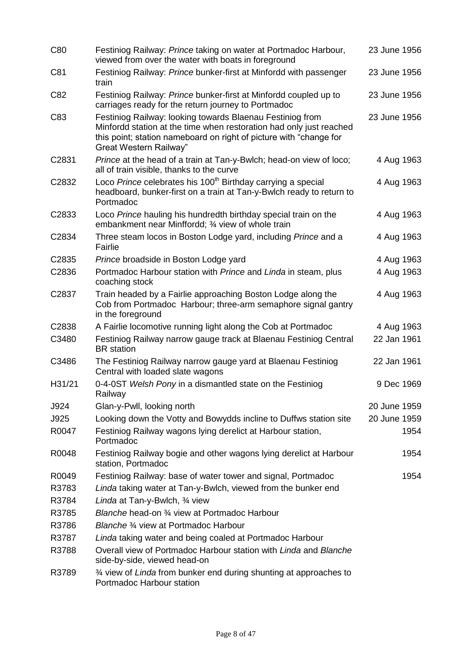| C80    | Festiniog Railway: Prince taking on water at Portmadoc Harbour,<br>viewed from over the water with boats in foreground                                                                                                           | 23 June 1956 |
|--------|----------------------------------------------------------------------------------------------------------------------------------------------------------------------------------------------------------------------------------|--------------|
| C81    | Festiniog Railway: Prince bunker-first at Minfordd with passenger<br>train                                                                                                                                                       | 23 June 1956 |
| C82    | Festiniog Railway: Prince bunker-first at Minfordd coupled up to<br>carriages ready for the return journey to Portmadoc                                                                                                          | 23 June 1956 |
| C83    | Festiniog Railway: looking towards Blaenau Festiniog from<br>Minfordd station at the time when restoration had only just reached<br>this point; station nameboard on right of picture with "change for<br>Great Western Railway" | 23 June 1956 |
| C2831  | Prince at the head of a train at Tan-y-Bwlch; head-on view of loco;<br>all of train visible, thanks to the curve                                                                                                                 | 4 Aug 1963   |
| C2832  | Loco Prince celebrates his 100 <sup>th</sup> Birthday carrying a special<br>headboard, bunker-first on a train at Tan-y-Bwlch ready to return to<br>Portmadoc                                                                    | 4 Aug 1963   |
| C2833  | Loco Prince hauling his hundredth birthday special train on the<br>embankment near Minffordd; 3⁄4 view of whole train                                                                                                            | 4 Aug 1963   |
| C2834  | Three steam locos in Boston Lodge yard, including Prince and a<br>Fairlie                                                                                                                                                        | 4 Aug 1963   |
| C2835  | Prince broadside in Boston Lodge yard                                                                                                                                                                                            | 4 Aug 1963   |
| C2836  | Portmadoc Harbour station with Prince and Linda in steam, plus<br>coaching stock                                                                                                                                                 | 4 Aug 1963   |
| C2837  | Train headed by a Fairlie approaching Boston Lodge along the<br>Cob from Portmadoc Harbour; three-arm semaphore signal gantry<br>in the foreground                                                                               | 4 Aug 1963   |
| C2838  | A Fairlie locomotive running light along the Cob at Portmadoc                                                                                                                                                                    | 4 Aug 1963   |
| C3480  | Festiniog Railway narrow gauge track at Blaenau Festiniog Central<br><b>BR</b> station                                                                                                                                           | 22 Jan 1961  |
| C3486  | The Festiniog Railway narrow gauge yard at Blaenau Festiniog<br>Central with loaded slate wagons                                                                                                                                 | 22 Jan 1961  |
| H31/21 | 0-4-0ST Welsh Pony in a dismantled state on the Festiniog<br>Railway                                                                                                                                                             | 9 Dec 1969   |
| J924   | Glan-y-Pwll, looking north                                                                                                                                                                                                       | 20 June 1959 |
| J925   | Looking down the Votty and Bowydds incline to Duffws station site                                                                                                                                                                | 20 June 1959 |
| R0047  | Festiniog Railway wagons lying derelict at Harbour station,<br>Portmadoc                                                                                                                                                         | 1954         |
| R0048  | Festiniog Railway bogie and other wagons lying derelict at Harbour<br>station, Portmadoc                                                                                                                                         | 1954         |
| R0049  | Festiniog Railway: base of water tower and signal, Portmadoc                                                                                                                                                                     | 1954         |
| R3783  | Linda taking water at Tan-y-Bwlch, viewed from the bunker end                                                                                                                                                                    |              |
| R3784  | Linda at Tan-y-Bwlch, 3/4 view                                                                                                                                                                                                   |              |
| R3785  | Blanche head-on 3⁄4 view at Portmadoc Harbour                                                                                                                                                                                    |              |
| R3786  | Blanche 3/4 view at Portmadoc Harbour                                                                                                                                                                                            |              |
| R3787  | Linda taking water and being coaled at Portmadoc Harbour                                                                                                                                                                         |              |
| R3788  | Overall view of Portmadoc Harbour station with Linda and Blanche<br>side-by-side, viewed head-on                                                                                                                                 |              |
| R3789  | 3⁄4 view of Linda from bunker end during shunting at approaches to<br>Portmadoc Harbour station                                                                                                                                  |              |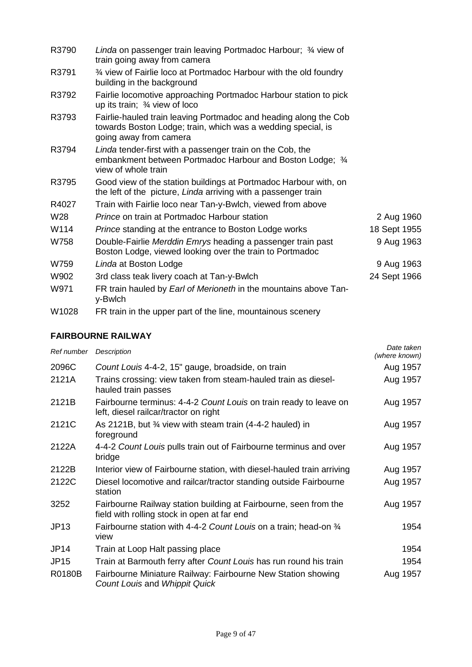| R3790 | Linda on passenger train leaving Portmadoc Harbour; 3/4 view of<br>train going away from camera                                                            |              |
|-------|------------------------------------------------------------------------------------------------------------------------------------------------------------|--------------|
| R3791 | 3⁄4 view of Fairlie loco at Portmadoc Harbour with the old foundry<br>building in the background                                                           |              |
| R3792 | Fairlie locomotive approaching Portmadoc Harbour station to pick<br>up its train; $\frac{3}{4}$ view of loco                                               |              |
| R3793 | Fairlie-hauled train leaving Portmadoc and heading along the Cob<br>towards Boston Lodge; train, which was a wedding special, is<br>going away from camera |              |
| R3794 | Linda tender-first with a passenger train on the Cob, the<br>embankment between Portmadoc Harbour and Boston Lodge; 3/4<br>view of whole train             |              |
| R3795 | Good view of the station buildings at Portmadoc Harbour with, on<br>the left of the picture, Linda arriving with a passenger train                         |              |
| R4027 | Train with Fairlie loco near Tan-y-Bwlch, viewed from above                                                                                                |              |
| W28   | Prince on train at Portmadoc Harbour station                                                                                                               | 2 Aug 1960   |
| W114  | <i>Prince</i> standing at the entrance to Boston Lodge works                                                                                               | 18 Sept 1955 |
| W758  | Double-Fairlie Merddin Emrys heading a passenger train past<br>Boston Lodge, viewed looking over the train to Portmadoc                                    | 9 Aug 1963   |
| W759  | Linda at Boston Lodge                                                                                                                                      | 9 Aug 1963   |
| W902  | 3rd class teak livery coach at Tan-y-Bwlch                                                                                                                 | 24 Sept 1966 |
| W971  | FR train hauled by Earl of Merioneth in the mountains above Tan-<br>y-Bwlch                                                                                |              |
| W1028 | FR train in the upper part of the line, mountainous scenery                                                                                                |              |

## **FAIRBOURNE RAILWAY**

| Ref number  | Description                                                                                                     | Date taken<br>(where known) |
|-------------|-----------------------------------------------------------------------------------------------------------------|-----------------------------|
| 2096C       | Count Louis 4-4-2, 15" gauge, broadside, on train                                                               | Aug 1957                    |
| 2121A       | Trains crossing: view taken from steam-hauled train as diesel-<br>hauled train passes                           | Aug 1957                    |
| 2121B       | Fairbourne terminus: 4-4-2 Count Louis on train ready to leave on<br>left, diesel railcar/tractor on right      | Aug 1957                    |
| 2121C       | As 2121B, but $\frac{3}{4}$ view with steam train (4-4-2 hauled) in<br>foreground                               | Aug 1957                    |
| 2122A       | 4-4-2 Count Louis pulls train out of Fairbourne terminus and over<br>bridge                                     | Aug 1957                    |
| 2122B       | Interior view of Fairbourne station, with diesel-hauled train arriving                                          | Aug 1957                    |
| 2122C       | Diesel locomotive and railcar/tractor standing outside Fairbourne<br>station                                    | Aug 1957                    |
| 3252        | Fairbourne Railway station building at Fairbourne, seen from the<br>field with rolling stock in open at far end | Aug 1957                    |
| <b>JP13</b> | Fairbourne station with 4-4-2 Count Louis on a train; head-on 3/4<br>view                                       | 1954                        |
| <b>JP14</b> | Train at Loop Halt passing place                                                                                | 1954                        |
| <b>JP15</b> | Train at Barmouth ferry after Count Louis has run round his train                                               | 1954                        |
| R0180B      | Fairbourne Miniature Railway: Fairbourne New Station showing<br>Count Louis and Whippit Quick                   | Aug 1957                    |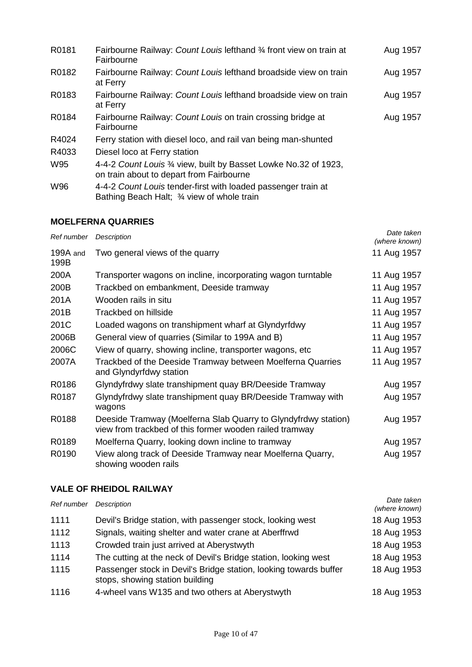| R0181 | Fairbourne Railway: Count Louis lefthand 3/4 front view on train at<br>Fairbourne                            | Aug 1957 |
|-------|--------------------------------------------------------------------------------------------------------------|----------|
| R0182 | Fairbourne Railway: Count Louis lefthand broadside view on train<br>at Ferry                                 | Aug 1957 |
| R0183 | Fairbourne Railway: Count Louis lefthand broadside view on train<br>at Ferry                                 | Aug 1957 |
| R0184 | Fairbourne Railway: Count Louis on train crossing bridge at<br>Fairbourne                                    | Aug 1957 |
| R4024 | Ferry station with diesel loco, and rail van being man-shunted                                               |          |
| R4033 | Diesel loco at Ferry station                                                                                 |          |
| W95   | 4-4-2 Count Louis 3/4 view, built by Basset Lowke No.32 of 1923,<br>on train about to depart from Fairbourne |          |
| W96   | 4-4-2 Count Louis tender-first with loaded passenger train at<br>Bathing Beach Halt; 3/4 view of whole train |          |

## **MOELFERNA QUARRIES**

| Ref number       | <b>Description</b>                                                                                                        | Date taken<br>(where known) |
|------------------|---------------------------------------------------------------------------------------------------------------------------|-----------------------------|
| 199A and<br>199B | Two general views of the quarry                                                                                           | 11 Aug 1957                 |
| 200A             | Transporter wagons on incline, incorporating wagon turntable                                                              | 11 Aug 1957                 |
| 200B             | Trackbed on embankment, Deeside tramway                                                                                   | 11 Aug 1957                 |
| 201A             | Wooden rails in situ                                                                                                      | 11 Aug 1957                 |
| 201B             | Trackbed on hillside                                                                                                      | 11 Aug 1957                 |
| 201C             | Loaded wagons on transhipment wharf at Glyndyrfdwy                                                                        | 11 Aug 1957                 |
| 2006B            | General view of quarries (Similar to 199A and B)                                                                          | 11 Aug 1957                 |
| 2006C            | View of quarry, showing incline, transporter wagons, etc.                                                                 | 11 Aug 1957                 |
| 2007A            | Trackbed of the Deeside Tramway between Moelferna Quarries<br>and Glyndyrfdwy station                                     | 11 Aug 1957                 |
| R0186            | Glyndyfrdwy slate transhipment quay BR/Deeside Tramway                                                                    | Aug 1957                    |
| R0187            | Glyndyfrdwy slate transhipment quay BR/Deeside Tramway with<br>wagons                                                     | Aug 1957                    |
| R0188            | Deeside Tramway (Moelferna Slab Quarry to Glyndyfrdwy station)<br>view from trackbed of this former wooden railed tramway | Aug 1957                    |
| R0189            | Moelferna Quarry, looking down incline to tramway                                                                         | Aug 1957                    |
| R0190            | View along track of Deeside Tramway near Moelferna Quarry,<br>showing wooden rails                                        | Aug 1957                    |

#### **VALE OF RHEIDOL RAILWAY**

| Ref number | Description                                                                                          | Date taken<br>(where known) |
|------------|------------------------------------------------------------------------------------------------------|-----------------------------|
| 1111       | Devil's Bridge station, with passenger stock, looking west                                           | 18 Aug 1953                 |
| 1112       | Signals, waiting shelter and water crane at Aberffrwd                                                | 18 Aug 1953                 |
| 1113       | Crowded train just arrived at Aberystwyth                                                            | 18 Aug 1953                 |
| 1114       | The cutting at the neck of Devil's Bridge station, looking west                                      | 18 Aug 1953                 |
| 1115       | Passenger stock in Devil's Bridge station, looking towards buffer<br>stops, showing station building | 18 Aug 1953                 |
| 1116       | 4-wheel vans W135 and two others at Aberystwyth                                                      | 18 Aug 1953                 |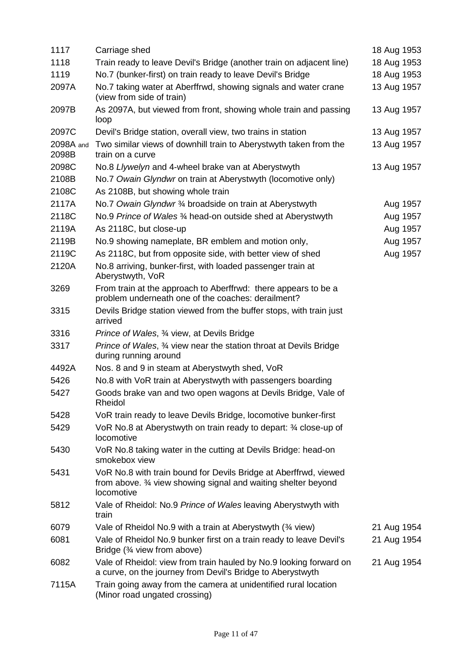| 1117               | Carriage shed                                                                                                                                   | 18 Aug 1953 |
|--------------------|-------------------------------------------------------------------------------------------------------------------------------------------------|-------------|
| 1118               | Train ready to leave Devil's Bridge (another train on adjacent line)                                                                            | 18 Aug 1953 |
| 1119               | No.7 (bunker-first) on train ready to leave Devil's Bridge                                                                                      | 18 Aug 1953 |
| 2097A              | No.7 taking water at Aberffrwd, showing signals and water crane<br>(view from side of train)                                                    | 13 Aug 1957 |
| 2097B              | As 2097A, but viewed from front, showing whole train and passing<br>loop                                                                        | 13 Aug 1957 |
| 2097C              | Devil's Bridge station, overall view, two trains in station                                                                                     | 13 Aug 1957 |
| 2098A and<br>2098B | Two similar views of downhill train to Aberystwyth taken from the<br>train on a curve                                                           | 13 Aug 1957 |
| 2098C              | No.8 Llywelyn and 4-wheel brake van at Aberystwyth                                                                                              | 13 Aug 1957 |
| 2108B              | No.7 Owain Glyndwr on train at Aberystwyth (locomotive only)                                                                                    |             |
| 2108C              | As 2108B, but showing whole train                                                                                                               |             |
| 2117A              | No.7 Owain Glyndwr 3/4 broadside on train at Aberystwyth                                                                                        | Aug 1957    |
| 2118C              | No.9 Prince of Wales 3⁄4 head-on outside shed at Aberystwyth                                                                                    | Aug 1957    |
| 2119A              | As 2118C, but close-up                                                                                                                          | Aug 1957    |
| 2119B              | No.9 showing nameplate, BR emblem and motion only,                                                                                              | Aug 1957    |
| 2119C              | As 2118C, but from opposite side, with better view of shed                                                                                      | Aug 1957    |
| 2120A              | No.8 arriving, bunker-first, with loaded passenger train at<br>Aberystwyth, VoR                                                                 |             |
| 3269               | From train at the approach to Aberffrwd: there appears to be a<br>problem underneath one of the coaches: derailment?                            |             |
| 3315               | Devils Bridge station viewed from the buffer stops, with train just<br>arrived                                                                  |             |
| 3316               | <i>Prince of Wales, 3/4 view, at Devils Bridge</i>                                                                                              |             |
| 3317               | Prince of Wales, 34 view near the station throat at Devils Bridge<br>during running around                                                      |             |
| 4492A              | Nos. 8 and 9 in steam at Aberystwyth shed, VoR                                                                                                  |             |
| 5426               | No.8 with VoR train at Aberystwyth with passengers boarding                                                                                     |             |
| 5427               | Goods brake van and two open wagons at Devils Bridge, Vale of<br>Rheidol                                                                        |             |
| 5428               | VoR train ready to leave Devils Bridge, locomotive bunker-first                                                                                 |             |
| 5429               | VoR No.8 at Aberystwyth on train ready to depart: 3/4 close-up of<br>locomotive                                                                 |             |
| 5430               | VoR No.8 taking water in the cutting at Devils Bridge: head-on<br>smokebox view                                                                 |             |
| 5431               | VoR No.8 with train bound for Devils Bridge at Aberffrwd, viewed<br>from above. 34 view showing signal and waiting shelter beyond<br>locomotive |             |
| 5812               | Vale of Rheidol: No.9 Prince of Wales leaving Aberystwyth with<br>train                                                                         |             |
| 6079               | Vale of Rheidol No.9 with a train at Aberystwyth (3/4 view)                                                                                     | 21 Aug 1954 |
| 6081               | Vale of Rheidol No.9 bunker first on a train ready to leave Devil's<br>Bridge (3⁄4 view from above)                                             | 21 Aug 1954 |
| 6082               | Vale of Rheidol: view from train hauled by No.9 looking forward on<br>a curve, on the journey from Devil's Bridge to Aberystwyth                | 21 Aug 1954 |
| 7115A              | Train going away from the camera at unidentified rural location<br>(Minor road ungated crossing)                                                |             |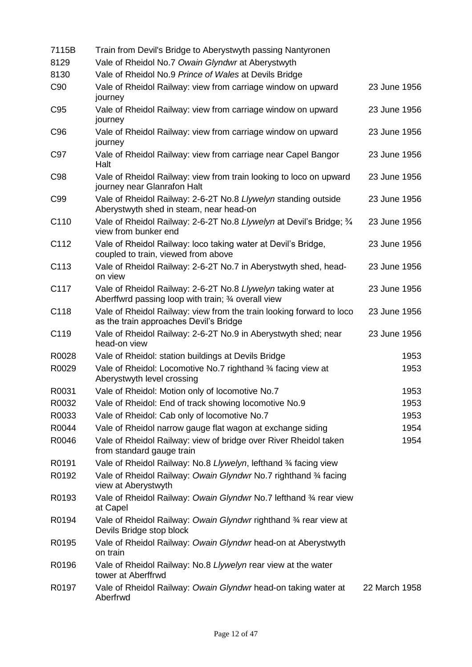| 7115B           | Train from Devil's Bridge to Aberystwyth passing Nantyronen                                                          |               |
|-----------------|----------------------------------------------------------------------------------------------------------------------|---------------|
| 8129            | Vale of Rheidol No.7 Owain Glyndwr at Aberystwyth                                                                    |               |
| 8130            | Vale of Rheidol No.9 Prince of Wales at Devils Bridge                                                                |               |
| C <sub>90</sub> | Vale of Rheidol Railway: view from carriage window on upward<br>journey                                              | 23 June 1956  |
| C <sub>95</sub> | Vale of Rheidol Railway: view from carriage window on upward<br>journey                                              | 23 June 1956  |
| C <sub>96</sub> | Vale of Rheidol Railway: view from carriage window on upward<br>journey                                              | 23 June 1956  |
| C97             | Vale of Rheidol Railway: view from carriage near Capel Bangor<br>Halt                                                | 23 June 1956  |
| C98             | Vale of Rheidol Railway: view from train looking to loco on upward<br>journey near Glanrafon Halt                    | 23 June 1956  |
| C99             | Vale of Rheidol Railway: 2-6-2T No.8 Llywelyn standing outside<br>Aberystwyth shed in steam, near head-on            | 23 June 1956  |
| C110            | Vale of Rheidol Railway: 2-6-2T No.8 Llywelyn at Devil's Bridge; 3/4<br>view from bunker end                         | 23 June 1956  |
| C112            | Vale of Rheidol Railway: loco taking water at Devil's Bridge,<br>coupled to train, viewed from above                 | 23 June 1956  |
| C113            | Vale of Rheidol Railway: 2-6-2T No.7 in Aberystwyth shed, head-<br>on view                                           | 23 June 1956  |
| C117            | Vale of Rheidol Railway: 2-6-2T No.8 Llywelyn taking water at<br>Aberffwrd passing loop with train; 3⁄4 overall view | 23 June 1956  |
| C118            | Vale of Rheidol Railway: view from the train looking forward to loco<br>as the train approaches Devil's Bridge       | 23 June 1956  |
| C119            | Vale of Rheidol Railway: 2-6-2T No.9 in Aberystwyth shed; near<br>head-on view                                       | 23 June 1956  |
| R0028           | Vale of Rheidol: station buildings at Devils Bridge                                                                  | 1953          |
| R0029           | Vale of Rheidol: Locomotive No.7 righthand 34 facing view at<br>Aberystwyth level crossing                           | 1953          |
| R0031           | Vale of Rheidol: Motion only of locomotive No.7                                                                      | 1953          |
| R0032           | Vale of Rheidol: End of track showing locomotive No.9                                                                | 1953          |
| R0033           | Vale of Rheidol: Cab only of locomotive No.7                                                                         | 1953          |
| R0044           | Vale of Rheidol narrow gauge flat wagon at exchange siding                                                           | 1954          |
| R0046           | Vale of Rheidol Railway: view of bridge over River Rheidol taken<br>from standard gauge train                        | 1954          |
| R0191           | Vale of Rheidol Railway: No.8 Llywelyn, lefthand 3/4 facing view                                                     |               |
| R0192           | Vale of Rheidol Railway: Owain Glyndwr No.7 righthand 3/4 facing<br>view at Aberystwyth                              |               |
| R0193           | Vale of Rheidol Railway: Owain Glyndwr No.7 lefthand 34 rear view<br>at Capel                                        |               |
| R0194           | Vale of Rheidol Railway: Owain Glyndwr righthand 3⁄4 rear view at<br>Devils Bridge stop block                        |               |
| R0195           | Vale of Rheidol Railway: Owain Glyndwr head-on at Aberystwyth<br>on train                                            |               |
| R0196           | Vale of Rheidol Railway: No.8 Llywelyn rear view at the water<br>tower at Aberffrwd                                  |               |
| R0197           | Vale of Rheidol Railway: Owain Glyndwr head-on taking water at<br>Aberfrwd                                           | 22 March 1958 |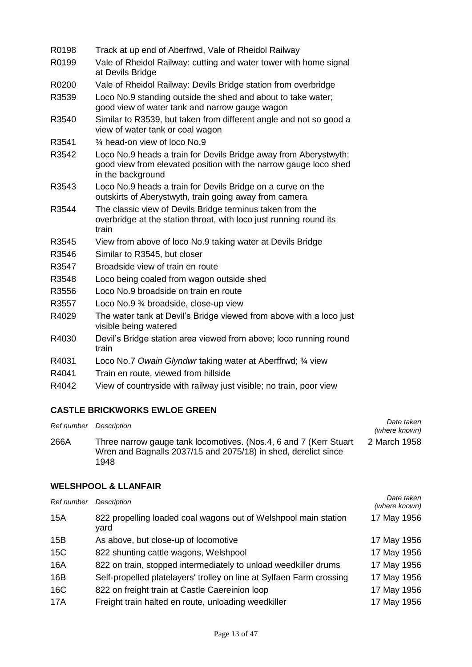| R0198 | Track at up end of Aberfrwd, Vale of Rheidol Railway                                                                                                      |
|-------|-----------------------------------------------------------------------------------------------------------------------------------------------------------|
| R0199 | Vale of Rheidol Railway: cutting and water tower with home signal<br>at Devils Bridge                                                                     |
| R0200 | Vale of Rheidol Railway: Devils Bridge station from overbridge                                                                                            |
| R3539 | Loco No.9 standing outside the shed and about to take water;<br>good view of water tank and narrow gauge wagon                                            |
| R3540 | Similar to R3539, but taken from different angle and not so good a<br>view of water tank or coal wagon                                                    |
| R3541 | 3⁄4 head-on view of loco No.9                                                                                                                             |
| R3542 | Loco No.9 heads a train for Devils Bridge away from Aberystwyth;<br>good view from elevated position with the narrow gauge loco shed<br>in the background |
| R3543 | Loco No.9 heads a train for Devils Bridge on a curve on the<br>outskirts of Aberystwyth, train going away from camera                                     |
| R3544 | The classic view of Devils Bridge terminus taken from the<br>overbridge at the station throat, with loco just running round its<br>train                  |
| R3545 | View from above of loco No.9 taking water at Devils Bridge                                                                                                |
| R3546 | Similar to R3545, but closer                                                                                                                              |
| R3547 | Broadside view of train en route                                                                                                                          |
| R3548 | Loco being coaled from wagon outside shed                                                                                                                 |
| R3556 | Loco No.9 broadside on train en route                                                                                                                     |
| R3557 | Loco No.9 3⁄4 broadside, close-up view                                                                                                                    |
| R4029 | The water tank at Devil's Bridge viewed from above with a loco just<br>visible being watered                                                              |
| R4030 | Devil's Bridge station area viewed from above; loco running round<br>train                                                                                |
| R4031 | Loco No.7 Owain Glyndwr taking water at Aberffrwd; 34 view                                                                                                |
| R4041 | Train en route, viewed from hillside                                                                                                                      |
| R4042 | View of countryside with railway just visible; no train, poor view                                                                                        |

## **CASTLE BRICKWORKS EWLOE GREEN**

| Ref number | Description                                                                                                                                 | Date taken<br>(where known) |
|------------|---------------------------------------------------------------------------------------------------------------------------------------------|-----------------------------|
| 266A       | Three narrow gauge tank locomotives. (Nos.4, 6 and 7 (Kerr Stuart<br>Wren and Bagnalls 2037/15 and 2075/18) in shed, derelict since<br>1948 | 2 March 1958                |

#### **WELSHPOOL & LLANFAIR**

| Ref number | Description                                                             | Date taken<br>(where known) |
|------------|-------------------------------------------------------------------------|-----------------------------|
| 15A        | 822 propelling loaded coal wagons out of Welshpool main station<br>vard | 17 May 1956                 |
| 15B        | As above, but close-up of locomotive                                    | 17 May 1956                 |
| 15C        | 822 shunting cattle wagons, Welshpool                                   | 17 May 1956                 |
| 16A        | 822 on train, stopped intermediately to unload weedkiller drums         | 17 May 1956                 |
| 16B        | Self-propelled platelayers' trolley on line at Sylfaen Farm crossing    | 17 May 1956                 |
| 16C        | 822 on freight train at Castle Caereinion loop                          | 17 May 1956                 |
| 17A        | Freight train halted en route, unloading weedkiller                     | 17 May 1956                 |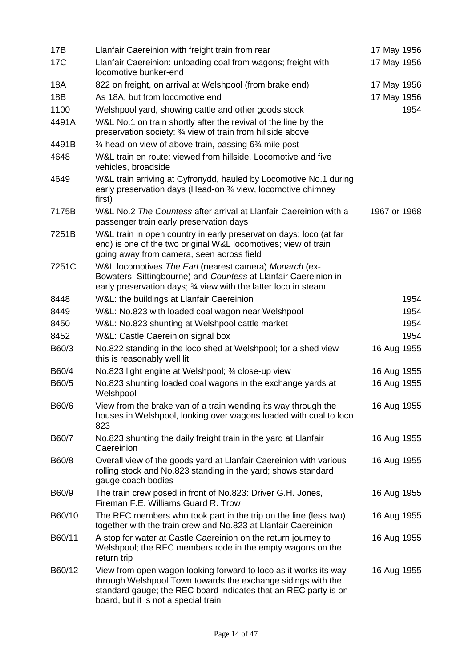| 17B        | Llanfair Caereinion with freight train from rear                                                                                                                                                                                            | 17 May 1956  |
|------------|---------------------------------------------------------------------------------------------------------------------------------------------------------------------------------------------------------------------------------------------|--------------|
| 17C        | Llanfair Caereinion: unloading coal from wagons; freight with<br>locomotive bunker-end                                                                                                                                                      | 17 May 1956  |
| <b>18A</b> | 822 on freight, on arrival at Welshpool (from brake end)                                                                                                                                                                                    | 17 May 1956  |
| 18B        | As 18A, but from locomotive end                                                                                                                                                                                                             | 17 May 1956  |
| 1100       | Welshpool yard, showing cattle and other goods stock                                                                                                                                                                                        | 1954         |
| 4491A      | W&L No.1 on train shortly after the revival of the line by the<br>preservation society: 3⁄4 view of train from hillside above                                                                                                               |              |
| 4491B      | $\frac{3}{4}$ head-on view of above train, passing 6 $\frac{3}{4}$ mile post                                                                                                                                                                |              |
| 4648       | W&L train en route: viewed from hillside. Locomotive and five<br>vehicles, broadside                                                                                                                                                        |              |
| 4649       | W&L train arriving at Cyfronydd, hauled by Locomotive No.1 during<br>early preservation days (Head-on 3⁄4 view, locomotive chimney<br>first)                                                                                                |              |
| 7175B      | W&L No.2 The Countess after arrival at Llanfair Caereinion with a<br>passenger train early preservation days                                                                                                                                | 1967 or 1968 |
| 7251B      | W&L train in open country in early preservation days; loco (at far<br>end) is one of the two original W&L locomotives; view of train<br>going away from camera, seen across field                                                           |              |
| 7251C      | W&L locomotives The Earl (nearest camera) Monarch (ex-<br>Bowaters, Sittingbourne) and Countess at Llanfair Caereinion in<br>early preservation days; 3⁄4 view with the latter loco in steam                                                |              |
| 8448       | W&L: the buildings at Llanfair Caereinion                                                                                                                                                                                                   | 1954         |
| 8449       | W&L: No.823 with loaded coal wagon near Welshpool                                                                                                                                                                                           | 1954         |
| 8450       | W&L: No.823 shunting at Welshpool cattle market                                                                                                                                                                                             | 1954         |
| 8452       | W&L: Castle Caereinion signal box                                                                                                                                                                                                           | 1954         |
| B60/3      | No.822 standing in the loco shed at Welshpool; for a shed view<br>this is reasonably well lit                                                                                                                                               | 16 Aug 1955  |
| B60/4      | No.823 light engine at Welshpool; 3/4 close-up view                                                                                                                                                                                         | 16 Aug 1955  |
| B60/5      | No.823 shunting loaded coal wagons in the exchange yards at<br>Welshpool                                                                                                                                                                    | 16 Aug 1955  |
| B60/6      | View from the brake van of a train wending its way through the<br>houses in Welshpool, looking over wagons loaded with coal to loco<br>823                                                                                                  | 16 Aug 1955  |
| B60/7      | No.823 shunting the daily freight train in the yard at Llanfair<br>Caereinion                                                                                                                                                               | 16 Aug 1955  |
| B60/8      | Overall view of the goods yard at Llanfair Caereinion with various<br>rolling stock and No.823 standing in the yard; shows standard<br>gauge coach bodies                                                                                   | 16 Aug 1955  |
| B60/9      | The train crew posed in front of No.823: Driver G.H. Jones,<br>Fireman F.E. Williams Guard R. Trow                                                                                                                                          | 16 Aug 1955  |
| B60/10     | The REC members who took part in the trip on the line (less two)<br>together with the train crew and No.823 at Llanfair Caereinion                                                                                                          | 16 Aug 1955  |
| B60/11     | A stop for water at Castle Caereinion on the return journey to<br>Welshpool; the REC members rode in the empty wagons on the<br>return trip                                                                                                 | 16 Aug 1955  |
| B60/12     | View from open wagon looking forward to loco as it works its way<br>through Welshpool Town towards the exchange sidings with the<br>standard gauge; the REC board indicates that an REC party is on<br>board, but it is not a special train | 16 Aug 1955  |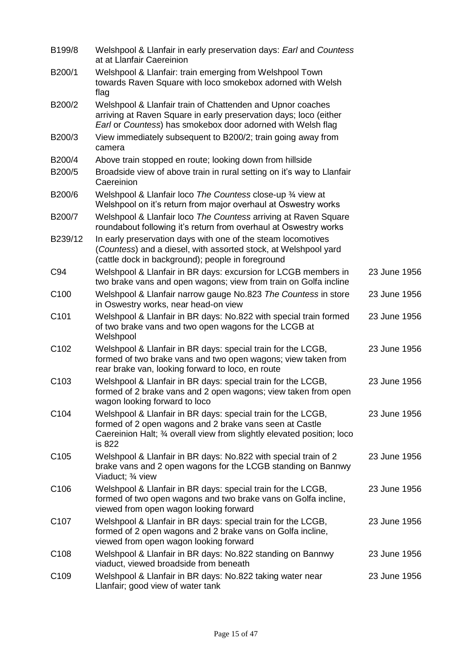| B199/8           | Welshpool & Llanfair in early preservation days: Earl and Countess<br>at at Llanfair Caereinion                                                                                                              |              |
|------------------|--------------------------------------------------------------------------------------------------------------------------------------------------------------------------------------------------------------|--------------|
| B200/1           | Welshpool & Llanfair: train emerging from Welshpool Town<br>towards Raven Square with loco smokebox adorned with Welsh<br>flag                                                                               |              |
| B200/2           | Welshpool & Llanfair train of Chattenden and Upnor coaches<br>arriving at Raven Square in early preservation days; loco (either<br>Earl or Countess) has smokebox door adorned with Welsh flag               |              |
| B200/3           | View immediately subsequent to B200/2; train going away from<br>camera                                                                                                                                       |              |
| B200/4           | Above train stopped en route; looking down from hillside                                                                                                                                                     |              |
| B200/5           | Broadside view of above train in rural setting on it's way to Llanfair<br>Caereinion                                                                                                                         |              |
| B200/6           | Welshpool & Llanfair loco The Countess close-up 34 view at<br>Welshpool on it's return from major overhaul at Oswestry works                                                                                 |              |
| B200/7           | Welshpool & Llanfair loco The Countess arriving at Raven Square<br>roundabout following it's return from overhaul at Oswestry works                                                                          |              |
| B239/12          | In early preservation days with one of the steam locomotives<br>(Countess) and a diesel, with assorted stock, at Welshpool yard<br>(cattle dock in background); people in foreground                         |              |
| C94              | Welshpool & Llanfair in BR days: excursion for LCGB members in<br>two brake vans and open wagons; view from train on Golfa incline                                                                           | 23 June 1956 |
| C <sub>100</sub> | Welshpool & Llanfair narrow gauge No.823 The Countess in store<br>in Oswestry works, near head-on view                                                                                                       | 23 June 1956 |
| C <sub>101</sub> | Welshpool & Llanfair in BR days: No.822 with special train formed<br>of two brake vans and two open wagons for the LCGB at<br>Welshpool                                                                      | 23 June 1956 |
| C <sub>102</sub> | Welshpool & Llanfair in BR days: special train for the LCGB,<br>formed of two brake vans and two open wagons; view taken from<br>rear brake van, looking forward to loco, en route                           | 23 June 1956 |
| C <sub>103</sub> | Welshpool & Llanfair in BR days: special train for the LCGB,<br>formed of 2 brake vans and 2 open wagons; view taken from open<br>wagon looking forward to loco                                              | 23 June 1956 |
| C <sub>104</sub> | Welshpool & Llanfair in BR days: special train for the LCGB,<br>formed of 2 open wagons and 2 brake vans seen at Castle<br>Caereinion Halt; 3⁄4 overall view from slightly elevated position; loco<br>is 822 | 23 June 1956 |
| C <sub>105</sub> | Welshpool & Llanfair in BR days: No.822 with special train of 2<br>brake vans and 2 open wagons for the LCGB standing on Bannwy<br>Viaduct; 3⁄4 view                                                         | 23 June 1956 |
| C <sub>106</sub> | Welshpool & Llanfair in BR days: special train for the LCGB,<br>formed of two open wagons and two brake vans on Golfa incline,<br>viewed from open wagon looking forward                                     | 23 June 1956 |
| C <sub>107</sub> | Welshpool & Llanfair in BR days: special train for the LCGB,<br>formed of 2 open wagons and 2 brake vans on Golfa incline,<br>viewed from open wagon looking forward                                         | 23 June 1956 |
| C <sub>108</sub> | Welshpool & Llanfair in BR days: No.822 standing on Bannwy<br>viaduct, viewed broadside from beneath                                                                                                         | 23 June 1956 |
| C <sub>109</sub> | Welshpool & Llanfair in BR days: No.822 taking water near<br>Llanfair; good view of water tank                                                                                                               | 23 June 1956 |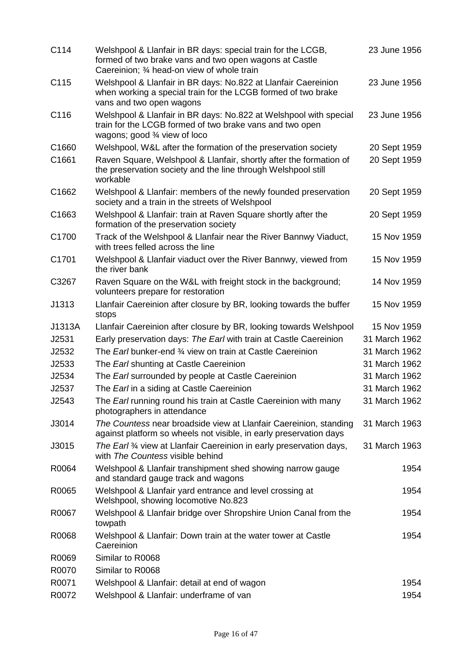| C114   | Welshpool & Llanfair in BR days: special train for the LCGB,<br>formed of two brake vans and two open wagons at Castle<br>Caereinion: 34 head-on view of whole train     | 23 June 1956  |
|--------|--------------------------------------------------------------------------------------------------------------------------------------------------------------------------|---------------|
| C115   | Welshpool & Llanfair in BR days: No.822 at Llanfair Caereinion<br>when working a special train for the LCGB formed of two brake<br>vans and two open wagons              | 23 June 1956  |
| C116   | Welshpool & Llanfair in BR days: No.822 at Welshpool with special<br>train for the LCGB formed of two brake vans and two open<br>wagons; good $\frac{3}{4}$ view of loco | 23 June 1956  |
| C1660  | Welshpool, W&L after the formation of the preservation society                                                                                                           | 20 Sept 1959  |
| C1661  | Raven Square, Welshpool & Llanfair, shortly after the formation of<br>the preservation society and the line through Welshpool still<br>workable                          | 20 Sept 1959  |
| C1662  | Welshpool & Llanfair: members of the newly founded preservation<br>society and a train in the streets of Welshpool                                                       | 20 Sept 1959  |
| C1663  | Welshpool & Llanfair: train at Raven Square shortly after the<br>formation of the preservation society                                                                   | 20 Sept 1959  |
| C1700  | Track of the Welshpool & Llanfair near the River Bannwy Viaduct,<br>with trees felled across the line                                                                    | 15 Nov 1959   |
| C1701  | Welshpool & Llanfair viaduct over the River Bannwy, viewed from<br>the river bank                                                                                        | 15 Nov 1959   |
| C3267  | Raven Square on the W&L with freight stock in the background;<br>volunteers prepare for restoration                                                                      | 14 Nov 1959   |
| J1313  | Llanfair Caereinion after closure by BR, looking towards the buffer<br>stops                                                                                             | 15 Nov 1959   |
| J1313A | Llanfair Caereinion after closure by BR, looking towards Welshpool                                                                                                       | 15 Nov 1959   |
| J2531  | Early preservation days: The Earl with train at Castle Caereinion                                                                                                        | 31 March 1962 |
| J2532  | The <i>Earl</i> bunker-end 34 view on train at Castle Caereinion                                                                                                         | 31 March 1962 |
| J2533  | The <i>Earl</i> shunting at Castle Caereinion                                                                                                                            | 31 March 1962 |
| J2534  | The Earl surrounded by people at Castle Caereinion                                                                                                                       | 31 March 1962 |
| J2537  | The <i>Earl</i> in a siding at Castle Caereinion                                                                                                                         | 31 March 1962 |
| J2543  | The <i>Earl</i> running round his train at Castle Caereinion with many<br>photographers in attendance                                                                    | 31 March 1962 |
| J3014  | The Countess near broadside view at Llanfair Caereinion, standing<br>against platform so wheels not visible, in early preservation days                                  | 31 March 1963 |
| J3015  | The Earl 34 view at Llanfair Caereinion in early preservation days,<br>with The Countess visible behind                                                                  | 31 March 1963 |
| R0064  | Welshpool & Llanfair transhipment shed showing narrow gauge<br>and standard gauge track and wagons                                                                       | 1954          |
| R0065  | Welshpool & Llanfair yard entrance and level crossing at<br>Welshpool, showing locomotive No.823                                                                         | 1954          |
| R0067  | Welshpool & Llanfair bridge over Shropshire Union Canal from the<br>towpath                                                                                              | 1954          |
| R0068  | Welshpool & Llanfair: Down train at the water tower at Castle<br>Caereinion                                                                                              | 1954          |
| R0069  | Similar to R0068                                                                                                                                                         |               |
| R0070  | Similar to R0068                                                                                                                                                         |               |
| R0071  | Welshpool & Llanfair: detail at end of wagon                                                                                                                             | 1954          |
| R0072  | Welshpool & Llanfair: underframe of van                                                                                                                                  | 1954          |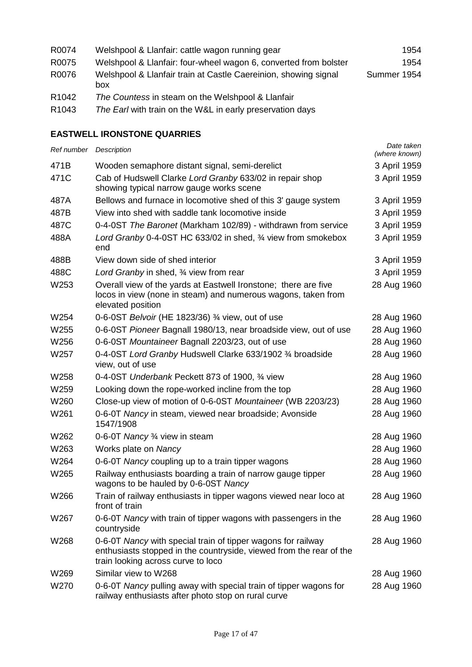| R0074             | Welshpool & Llanfair: cattle wagon running gear                        | 1954        |
|-------------------|------------------------------------------------------------------------|-------------|
| R0075             | Welshpool & Llanfair: four-wheel wagon 6, converted from bolster       | 1954        |
| R0076             | Welshpool & Llanfair train at Castle Caereinion, showing signal<br>box | Summer 1954 |
| R <sub>1042</sub> | The Countess in steam on the Welshpool & Llanfair                      |             |

R1043 *The Earl* with train on the W&L in early preservation days

## **EASTWELL IRONSTONE QUARRIES**

| Ref number Description |                                                                                                                                                                           | Date taken<br>(where known) |
|------------------------|---------------------------------------------------------------------------------------------------------------------------------------------------------------------------|-----------------------------|
| 471B                   | Wooden semaphore distant signal, semi-derelict                                                                                                                            | 3 April 1959                |
| 471C                   | Cab of Hudswell Clarke Lord Granby 633/02 in repair shop<br>showing typical narrow gauge works scene                                                                      | 3 April 1959                |
| 487A                   | Bellows and furnace in locomotive shed of this 3' gauge system                                                                                                            | 3 April 1959                |
| 487B                   | View into shed with saddle tank locomotive inside                                                                                                                         | 3 April 1959                |
| 487C                   | 0-4-0ST The Baronet (Markham 102/89) - withdrawn from service                                                                                                             | 3 April 1959                |
| 488A                   | Lord Granby 0-4-0ST HC 633/02 in shed, 34 view from smokebox<br>end                                                                                                       | 3 April 1959                |
| 488B                   | View down side of shed interior                                                                                                                                           | 3 April 1959                |
| 488C                   | Lord Granby in shed, 3/4 view from rear                                                                                                                                   | 3 April 1959                |
| W253                   | Overall view of the yards at Eastwell Ironstone; there are five<br>locos in view (none in steam) and numerous wagons, taken from<br>elevated position                     | 28 Aug 1960                 |
| W254                   | 0-6-0ST Belvoir (HE 1823/36) 3/4 view, out of use                                                                                                                         | 28 Aug 1960                 |
| W255                   | 0-6-0ST Pioneer Bagnall 1980/13, near broadside view, out of use                                                                                                          | 28 Aug 1960                 |
| W256                   | 0-6-0ST Mountaineer Bagnall 2203/23, out of use                                                                                                                           | 28 Aug 1960                 |
| W257                   | 0-4-0ST Lord Granby Hudswell Clarke 633/1902 34 broadside<br>view, out of use                                                                                             | 28 Aug 1960                 |
| W258                   | 0-4-0ST Underbank Peckett 873 of 1900, 3⁄4 view                                                                                                                           | 28 Aug 1960                 |
| W259                   | Looking down the rope-worked incline from the top                                                                                                                         | 28 Aug 1960                 |
| W260                   | Close-up view of motion of 0-6-0ST Mountaineer (WB 2203/23)                                                                                                               | 28 Aug 1960                 |
| W261                   | 0-6-0T Nancy in steam, viewed near broadside; Avonside<br>1547/1908                                                                                                       | 28 Aug 1960                 |
| W262                   | 0-6-0T Nancy 3⁄4 view in steam                                                                                                                                            | 28 Aug 1960                 |
| W263                   | Works plate on Nancy                                                                                                                                                      | 28 Aug 1960                 |
| W264                   | 0-6-0T Nancy coupling up to a train tipper wagons                                                                                                                         | 28 Aug 1960                 |
| W265                   | Railway enthusiasts boarding a train of narrow gauge tipper<br>wagons to be hauled by 0-6-0ST Nancy                                                                       | 28 Aug 1960                 |
| W266                   | Train of railway enthusiasts in tipper wagons viewed near loco at<br>front of train                                                                                       | 28 Aug 1960                 |
| W267                   | 0-6-0T Nancy with train of tipper wagons with passengers in the<br>countryside                                                                                            | 28 Aug 1960                 |
| W268                   | 0-6-0T Nancy with special train of tipper wagons for railway<br>enthusiasts stopped in the countryside, viewed from the rear of the<br>train looking across curve to loco | 28 Aug 1960                 |
| W269                   | Similar view to W268                                                                                                                                                      | 28 Aug 1960                 |
| W270                   | 0-6-0T Nancy pulling away with special train of tipper wagons for<br>railway enthusiasts after photo stop on rural curve                                                  | 28 Aug 1960                 |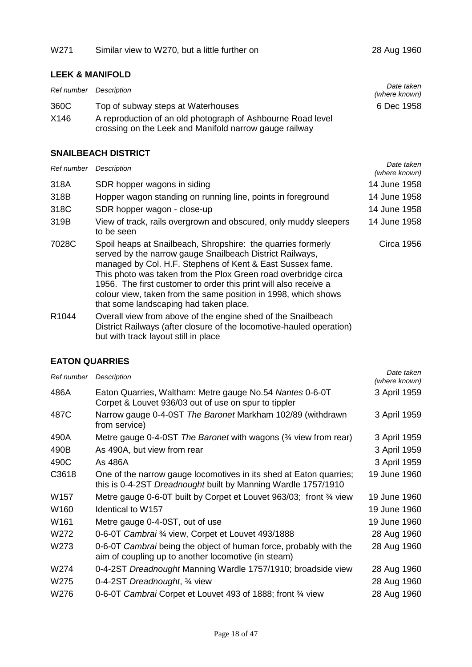## **LEEK & MANIFOLD**

| Ref number | Description                                                                                                           | Date taken<br>(where known) |
|------------|-----------------------------------------------------------------------------------------------------------------------|-----------------------------|
| 360C       | Top of subway steps at Waterhouses                                                                                    | 6 Dec 1958                  |
| X146       | A reproduction of an old photograph of Ashbourne Road level<br>crossing on the Leek and Manifold narrow gauge railway |                             |

## **SNAILBEACH DISTRICT**

| Ref number | Description                                                                                                                                                                                                                                                                                                                                                                                                                             | Date taken<br>(where known) |
|------------|-----------------------------------------------------------------------------------------------------------------------------------------------------------------------------------------------------------------------------------------------------------------------------------------------------------------------------------------------------------------------------------------------------------------------------------------|-----------------------------|
| 318A       | SDR hopper wagons in siding                                                                                                                                                                                                                                                                                                                                                                                                             | 14 June 1958                |
| 318B       | Hopper wagon standing on running line, points in foreground                                                                                                                                                                                                                                                                                                                                                                             | 14 June 1958                |
| 318C       | SDR hopper wagon - close-up                                                                                                                                                                                                                                                                                                                                                                                                             | 14 June 1958                |
| 319B       | View of track, rails overgrown and obscured, only muddy sleepers<br>to be seen                                                                                                                                                                                                                                                                                                                                                          | 14 June 1958                |
| 7028C      | Spoil heaps at Snailbeach, Shropshire: the quarries formerly<br>served by the narrow gauge Snailbeach District Railways,<br>managed by Col. H.F. Stephens of Kent & East Sussex fame.<br>This photo was taken from the Plox Green road overbridge circa<br>1956. The first customer to order this print will also receive a<br>colour view, taken from the same position in 1998, which shows<br>that some landscaping had taken place. | Circa 1956                  |
| R1044      | Overall view from above of the engine shed of the Snailbeach<br>District Railways (after closure of the locomotive-hauled operation)<br>but with track layout still in place                                                                                                                                                                                                                                                            |                             |

#### **EATON QUARRIES**

| Ref number       | Description                                                                                                                         | Date taken<br>(where known) |
|------------------|-------------------------------------------------------------------------------------------------------------------------------------|-----------------------------|
| 486A             | Eaton Quarries, Waltham: Metre gauge No.54 Nantes 0-6-0T<br>Corpet & Louvet 936/03 out of use on spur to tippler                    | 3 April 1959                |
| 487C             | Narrow gauge 0-4-0ST The Baronet Markham 102/89 (withdrawn<br>from service)                                                         | 3 April 1959                |
| 490A             | Metre gauge 0-4-0ST The Baronet with wagons (3/4 view from rear)                                                                    | 3 April 1959                |
| 490B             | As 490A, but view from rear                                                                                                         | 3 April 1959                |
| 490C             | As 486A                                                                                                                             | 3 April 1959                |
| C3618            | One of the narrow gauge locomotives in its shed at Eaton quarries;<br>this is 0-4-2ST Dreadnought built by Manning Wardle 1757/1910 | 19 June 1960                |
| W <sub>157</sub> | Metre gauge 0-6-0T built by Corpet et Louvet 963/03; front 3⁄4 view                                                                 | 19 June 1960                |
| W160             | Identical to W157                                                                                                                   | 19 June 1960                |
| W161             | Metre gauge 0-4-0ST, out of use                                                                                                     | 19 June 1960                |
| W272             | 0-6-0T Cambrai 3/4 view, Corpet et Louvet 493/1888                                                                                  | 28 Aug 1960                 |
| W273             | 0-6-0T Cambrai being the object of human force, probably with the<br>aim of coupling up to another locomotive (in steam)            | 28 Aug 1960                 |
| W274             | 0-4-2ST Dreadnought Manning Wardle 1757/1910; broadside view                                                                        | 28 Aug 1960                 |
| W275             | 0-4-2ST Dreadnought, 3/4 view                                                                                                       | 28 Aug 1960                 |
| W276             | 0-6-0T Cambrai Corpet et Louvet 493 of 1888; front 34 view                                                                          | 28 Aug 1960                 |
|                  |                                                                                                                                     |                             |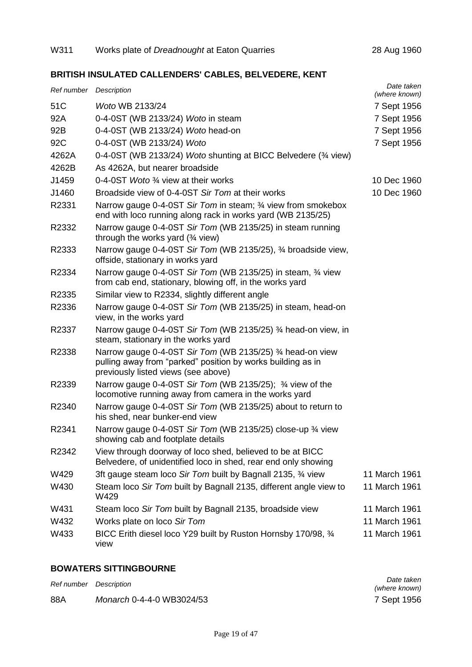## **BRITISH INSULATED CALLENDERS' CABLES, BELVEDERE, KENT**

| Ref number Description |                                                                                                                                                                  | Date taken<br>(where known) |
|------------------------|------------------------------------------------------------------------------------------------------------------------------------------------------------------|-----------------------------|
| 51C                    | Woto WB 2133/24                                                                                                                                                  | 7 Sept 1956                 |
| 92A                    | 0-4-0ST (WB 2133/24) Woto in steam                                                                                                                               | 7 Sept 1956                 |
| 92B                    | 0-4-0ST (WB 2133/24) Woto head-on                                                                                                                                | 7 Sept 1956                 |
| 92C                    | 0-4-0ST (WB 2133/24) Woto                                                                                                                                        | 7 Sept 1956                 |
| 4262A                  | 0-4-0ST (WB 2133/24) Woto shunting at BICC Belvedere (34 view)                                                                                                   |                             |
| 4262B                  | As 4262A, but nearer broadside                                                                                                                                   |                             |
| J1459                  | 0-4-0ST Woto 3⁄4 view at their works                                                                                                                             | 10 Dec 1960                 |
| J1460                  | Broadside view of 0-4-0ST Sir Tom at their works                                                                                                                 | 10 Dec 1960                 |
| R2331                  | Narrow gauge 0-4-0ST Sir Tom in steam; 34 view from smokebox<br>end with loco running along rack in works yard (WB 2135/25)                                      |                             |
| R2332                  | Narrow gauge 0-4-0ST Sir Tom (WB 2135/25) in steam running<br>through the works yard $(\frac{3}{4}$ view)                                                        |                             |
| R2333                  | Narrow gauge 0-4-0ST Sir Tom (WB 2135/25), 3⁄4 broadside view,<br>offside, stationary in works yard                                                              |                             |
| R2334                  | Narrow gauge 0-4-0ST Sir Tom (WB 2135/25) in steam, 34 view<br>from cab end, stationary, blowing off, in the works yard                                          |                             |
| R2335                  | Similar view to R2334, slightly different angle                                                                                                                  |                             |
| R2336                  | Narrow gauge 0-4-0ST Sir Tom (WB 2135/25) in steam, head-on<br>view, in the works yard                                                                           |                             |
| R2337                  | Narrow gauge 0-4-0ST Sir Tom (WB 2135/25) 3⁄4 head-on view, in<br>steam, stationary in the works yard                                                            |                             |
| R2338                  | Narrow gauge 0-4-0ST Sir Tom (WB 2135/25) 3⁄4 head-on view<br>pulling away from "parked" position by works building as in<br>previously listed views (see above) |                             |
| R2339                  | Narrow gauge 0-4-0ST Sir Tom (WB 2135/25); 3/4 view of the<br>locomotive running away from camera in the works yard                                              |                             |
| R2340                  | Narrow gauge 0-4-0ST Sir Tom (WB 2135/25) about to return to<br>his shed, near bunker-end view                                                                   |                             |
| R2341                  | Narrow gauge 0-4-0ST Sir Tom (WB 2135/25) close-up 3⁄4 view<br>showing cab and footplate details                                                                 |                             |
| R2342                  | View through doorway of loco shed, believed to be at BICC<br>Belvedere, of unidentified loco in shed, rear end only showing                                      |                             |
| W429                   | 3ft gauge steam loco Sir Tom built by Bagnall 2135, 34 view                                                                                                      | 11 March 1961               |
| W430                   | Steam loco Sir Tom built by Bagnall 2135, different angle view to<br>W429                                                                                        | 11 March 1961               |
| W431                   | Steam loco Sir Tom built by Bagnall 2135, broadside view                                                                                                         | 11 March 1961               |
| W432                   | Works plate on loco Sir Tom                                                                                                                                      | 11 March 1961               |
| W433                   | BICC Erith diesel loco Y29 built by Ruston Hornsby 170/98, 3/4<br>view                                                                                           | 11 March 1961               |

## **BOWATERS SITTINGBOURNE**

| Ref number Description |                           | Date taken    |
|------------------------|---------------------------|---------------|
|                        |                           | (where known) |
| 88A                    | Monarch 0-4-4-0 WB3024/53 | 7 Sept 1956   |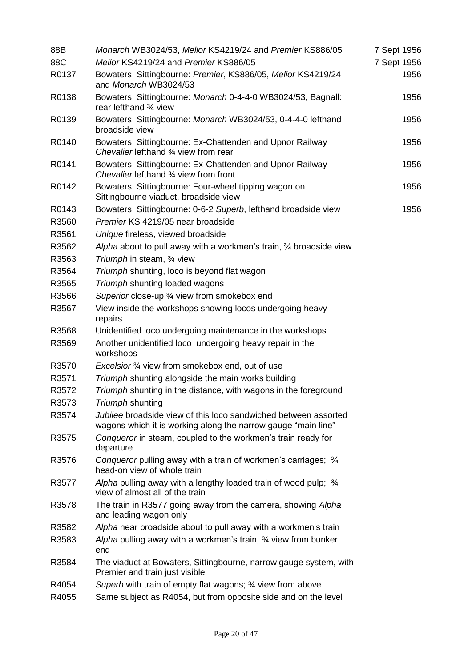| 88B   | Monarch WB3024/53, Melior KS4219/24 and Premier KS886/05                                                                         | 7 Sept 1956 |
|-------|----------------------------------------------------------------------------------------------------------------------------------|-------------|
| 88C   | Melior KS4219/24 and Premier KS886/05                                                                                            | 7 Sept 1956 |
| R0137 | Bowaters, Sittingbourne: Premier, KS886/05, Melior KS4219/24<br>and Monarch WB3024/53                                            | 1956        |
| R0138 | Bowaters, Sittingbourne: Monarch 0-4-4-0 WB3024/53, Bagnall:<br>rear lefthand 3/4 view                                           | 1956        |
| R0139 | Bowaters, Sittingbourne: Monarch WB3024/53, 0-4-4-0 lefthand<br>broadside view                                                   | 1956        |
| R0140 | Bowaters, Sittingbourne: Ex-Chattenden and Upnor Railway<br>Chevalier lefthand 3/4 view from rear                                | 1956        |
| R0141 | Bowaters, Sittingbourne: Ex-Chattenden and Upnor Railway<br>Chevalier lefthand 3/4 view from front                               | 1956        |
| R0142 | Bowaters, Sittingbourne: Four-wheel tipping wagon on<br>Sittingbourne viaduct, broadside view                                    | 1956        |
| R0143 | Bowaters, Sittingbourne: 0-6-2 Superb, lefthand broadside view                                                                   | 1956        |
| R3560 | Premier KS 4219/05 near broadside                                                                                                |             |
| R3561 | Unique fireless, viewed broadside                                                                                                |             |
| R3562 | Alpha about to pull away with a workmen's train, $\frac{3}{4}$ broadside view                                                    |             |
| R3563 | Triumph in steam, 3/4 view                                                                                                       |             |
| R3564 | Triumph shunting, loco is beyond flat wagon                                                                                      |             |
| R3565 | Triumph shunting loaded wagons                                                                                                   |             |
| R3566 | Superior close-up 3⁄4 view from smokebox end                                                                                     |             |
| R3567 | View inside the workshops showing locos undergoing heavy<br>repairs                                                              |             |
| R3568 | Unidentified loco undergoing maintenance in the workshops                                                                        |             |
| R3569 | Another unidentified loco undergoing heavy repair in the<br>workshops                                                            |             |
| R3570 | Excelsior 3/4 view from smokebox end, out of use                                                                                 |             |
| R3571 | Triumph shunting alongside the main works building                                                                               |             |
| R3572 | Triumph shunting in the distance, with wagons in the foreground                                                                  |             |
| R3573 | Triumph shunting                                                                                                                 |             |
| R3574 | Jubilee broadside view of this loco sandwiched between assorted<br>wagons which it is working along the narrow gauge "main line" |             |
| R3575 | Conqueror in steam, coupled to the workmen's train ready for<br>departure                                                        |             |
| R3576 | Conqueror pulling away with a train of workmen's carriages; 3/4<br>head-on view of whole train                                   |             |
| R3577 | Alpha pulling away with a lengthy loaded train of wood pulp; 3/4<br>view of almost all of the train                              |             |
| R3578 | The train in R3577 going away from the camera, showing Alpha<br>and leading wagon only                                           |             |
| R3582 | Alpha near broadside about to pull away with a workmen's train                                                                   |             |
| R3583 | Alpha pulling away with a workmen's train; 34 view from bunker<br>end                                                            |             |
| R3584 | The viaduct at Bowaters, Sittingbourne, narrow gauge system, with<br>Premier and train just visible                              |             |
| R4054 | Superb with train of empty flat wagons; 3/4 view from above                                                                      |             |
| R4055 | Same subject as R4054, but from opposite side and on the level                                                                   |             |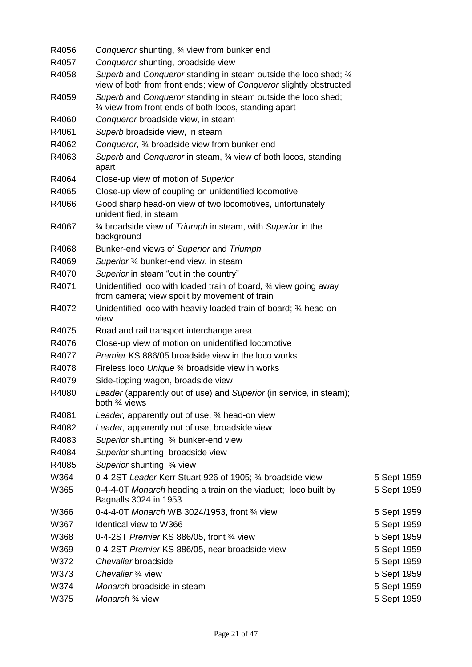| R4056 | Conqueror shunting, 3⁄4 view from bunker end                                                                                             |             |
|-------|------------------------------------------------------------------------------------------------------------------------------------------|-------------|
| R4057 | Conqueror shunting, broadside view                                                                                                       |             |
| R4058 | Superb and Conqueror standing in steam outside the loco shed; 3/4<br>view of both from front ends; view of Conqueror slightly obstructed |             |
| R4059 | Superb and Conqueror standing in steam outside the loco shed;<br>3⁄4 view from front ends of both locos, standing apart                  |             |
| R4060 | Conqueror broadside view, in steam                                                                                                       |             |
| R4061 | Superb broadside view, in steam                                                                                                          |             |
| R4062 | Conqueror, 3⁄4 broadside view from bunker end                                                                                            |             |
| R4063 | Superb and Conqueror in steam, 34 view of both locos, standing<br>apart                                                                  |             |
| R4064 | Close-up view of motion of Superior                                                                                                      |             |
| R4065 | Close-up view of coupling on unidentified locomotive                                                                                     |             |
| R4066 | Good sharp head-on view of two locomotives, unfortunately<br>unidentified, in steam                                                      |             |
| R4067 | 3⁄4 broadside view of Triumph in steam, with Superior in the<br>background                                                               |             |
| R4068 | Bunker-end views of Superior and Triumph                                                                                                 |             |
| R4069 | Superior 3⁄4 bunker-end view, in steam                                                                                                   |             |
| R4070 | Superior in steam "out in the country"                                                                                                   |             |
| R4071 | Unidentified loco with loaded train of board, 34 view going away<br>from camera; view spoilt by movement of train                        |             |
| R4072 | Unidentified loco with heavily loaded train of board; 3⁄4 head-on<br>view                                                                |             |
| R4075 | Road and rail transport interchange area                                                                                                 |             |
| R4076 | Close-up view of motion on unidentified locomotive                                                                                       |             |
| R4077 | Premier KS 886/05 broadside view in the loco works                                                                                       |             |
| R4078 | Fireless loco Unique 3⁄4 broadside view in works                                                                                         |             |
| R4079 | Side-tipping wagon, broadside view                                                                                                       |             |
| R4080 | Leader (apparently out of use) and Superior (in service, in steam);<br>both 3⁄4 views                                                    |             |
| R4081 | Leader, apparently out of use, 3⁄4 head-on view                                                                                          |             |
| R4082 | Leader, apparently out of use, broadside view                                                                                            |             |
| R4083 | Superior shunting, 3⁄4 bunker-end view                                                                                                   |             |
| R4084 | Superior shunting, broadside view                                                                                                        |             |
| R4085 | Superior shunting, 3⁄4 view                                                                                                              |             |
| W364  | 0-4-2ST Leader Kerr Stuart 926 of 1905; 3⁄4 broadside view                                                                               | 5 Sept 1959 |
| W365  | 0-4-4-0T Monarch heading a train on the viaduct; loco built by<br>Bagnalls 3024 in 1953                                                  | 5 Sept 1959 |
| W366  | 0-4-4-0T Monarch WB 3024/1953, front 3/4 view                                                                                            | 5 Sept 1959 |
| W367  | Identical view to W366                                                                                                                   | 5 Sept 1959 |
| W368  | 0-4-2ST Premier KS 886/05, front 3/4 view                                                                                                | 5 Sept 1959 |
| W369  | 0-4-2ST Premier KS 886/05, near broadside view                                                                                           | 5 Sept 1959 |
| W372  | Chevalier broadside                                                                                                                      | 5 Sept 1959 |
| W373  | Chevalier 3/4 view                                                                                                                       | 5 Sept 1959 |
| W374  | Monarch broadside in steam                                                                                                               | 5 Sept 1959 |
| W375  | Monarch 3/4 view                                                                                                                         | 5 Sept 1959 |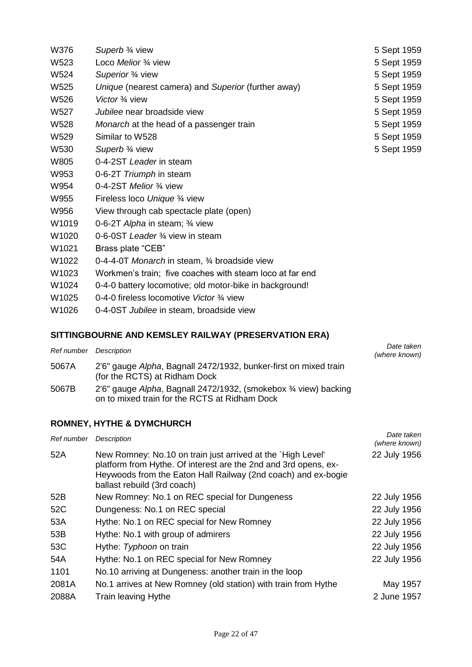| W376                                                 | Superb 3/4 view                                          | 5 Sept 1959 |
|------------------------------------------------------|----------------------------------------------------------|-------------|
| W523                                                 | Loco Melior 3/4 view                                     | 5 Sept 1959 |
| W524                                                 | Superior 3/4 view                                        | 5 Sept 1959 |
| W525                                                 | Unique (nearest camera) and Superior (further away)      | 5 Sept 1959 |
| W526                                                 | Victor 3/4 view                                          | 5 Sept 1959 |
| W527                                                 | Jubilee near broadside view                              | 5 Sept 1959 |
| W528                                                 | Monarch at the head of a passenger train                 | 5 Sept 1959 |
| W529                                                 | Similar to W528                                          | 5 Sept 1959 |
| W530                                                 | Superb 3/4 view                                          | 5 Sept 1959 |
| W805                                                 | 0-4-2ST Leader in steam                                  |             |
| W953                                                 | 0-6-2T Triumph in steam                                  |             |
| W954                                                 | 0-4-2ST Melior 3/4 view                                  |             |
| W955                                                 | Fireless loco Unique 3⁄4 view                            |             |
| W956                                                 | View through cab spectacle plate (open)                  |             |
| W1019                                                | 0-6-2T Alpha in steam; 3/4 view                          |             |
| W1020                                                | 0-6-0ST Leader 3/4 view in steam                         |             |
| W <sub>1021</sub>                                    | Brass plate "CEB"                                        |             |
| W1022                                                | 0-4-4-0T Monarch in steam, 3/4 broadside view            |             |
| W1023                                                | Workmen's train; five coaches with steam loco at far end |             |
| W1024                                                | 0-4-0 battery locomotive; old motor-bike in background!  |             |
| W1025                                                | 0-4-0 fireless locomotive Victor 3/4 view                |             |
| W1026                                                | 0-4-0ST Jubilee in steam, broadside view                 |             |
| SITTINGBOURNE AND KEMSLEY RAILWAY (PRESERVATION ERA) |                                                          |             |

# *Ref number Description Date taken*

| Ref number Description |                                                                                                                   | Dale lanen<br>(where known) |
|------------------------|-------------------------------------------------------------------------------------------------------------------|-----------------------------|
| 5067A                  | 2'6" gauge Alpha, Bagnall 2472/1932, bunker-first on mixed train<br>(for the RCTS) at Ridham Dock                 |                             |
| 5067B                  | 2'6" gauge Alpha, Bagnall 2472/1932, (smokebox 3/4 view) backing<br>on to mixed train for the RCTS at Ridham Dock |                             |

# **ROMNEY, HYTHE & DYMCHURCH**

| Ref number | Description                                                                                                                                                                                                                    | Date taken<br>(where known) |
|------------|--------------------------------------------------------------------------------------------------------------------------------------------------------------------------------------------------------------------------------|-----------------------------|
| 52A        | New Romney: No.10 on train just arrived at the `High Level'<br>platform from Hythe. Of interest are the 2nd and 3rd opens, ex-<br>Heywoods from the Eaton Hall Railway (2nd coach) and ex-bogie<br>ballast rebuild (3rd coach) | 22 July 1956                |
| 52B        | New Romney: No.1 on REC special for Dungeness                                                                                                                                                                                  | 22 July 1956                |
| 52C        | Dungeness: No.1 on REC special                                                                                                                                                                                                 | 22 July 1956                |
| 53A        | Hythe: No.1 on REC special for New Romney                                                                                                                                                                                      | 22 July 1956                |
| 53B        | Hythe: No.1 with group of admirers                                                                                                                                                                                             | 22 July 1956                |
| 53C        | Hythe: Typhoon on train                                                                                                                                                                                                        | 22 July 1956                |
| 54A        | Hythe: No.1 on REC special for New Romney                                                                                                                                                                                      | 22 July 1956                |
| 1101       | No.10 arriving at Dungeness: another train in the loop                                                                                                                                                                         |                             |
| 2081A      | No.1 arrives at New Romney (old station) with train from Hythe                                                                                                                                                                 | May 1957                    |
| 2088A      | Train leaving Hythe                                                                                                                                                                                                            | 2 June 1957                 |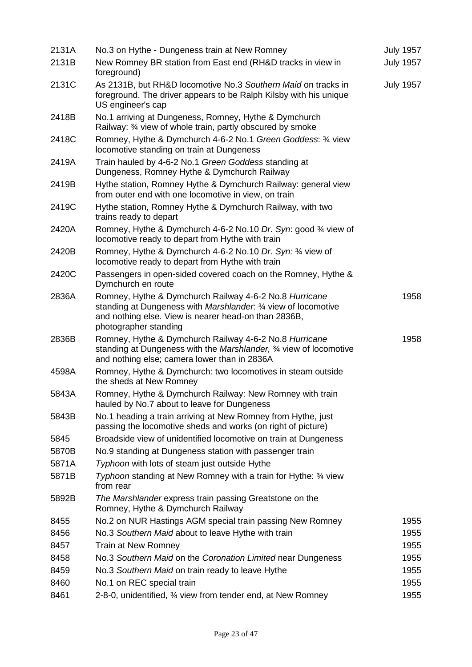| 2131A | No.3 on Hythe - Dungeness train at New Romney                                                                                                                                                             | <b>July 1957</b> |
|-------|-----------------------------------------------------------------------------------------------------------------------------------------------------------------------------------------------------------|------------------|
| 2131B | New Romney BR station from East end (RH&D tracks in view in<br>foreground)                                                                                                                                | <b>July 1957</b> |
| 2131C | As 2131B, but RH&D locomotive No.3 Southern Maid on tracks in<br>foreground. The driver appears to be Ralph Kilsby with his unique<br>US engineer's cap                                                   | <b>July 1957</b> |
| 2418B | No.1 arriving at Dungeness, Romney, Hythe & Dymchurch<br>Railway: 3⁄4 view of whole train, partly obscured by smoke                                                                                       |                  |
| 2418C | Romney, Hythe & Dymchurch 4-6-2 No.1 Green Goddess: 34 view<br>locomotive standing on train at Dungeness                                                                                                  |                  |
| 2419A | Train hauled by 4-6-2 No.1 Green Goddess standing at<br>Dungeness, Romney Hythe & Dymchurch Railway                                                                                                       |                  |
| 2419B | Hythe station, Romney Hythe & Dymchurch Railway: general view<br>from outer end with one locomotive in view, on train                                                                                     |                  |
| 2419C | Hythe station, Romney Hythe & Dymchurch Railway, with two<br>trains ready to depart                                                                                                                       |                  |
| 2420A | Romney, Hythe & Dymchurch 4-6-2 No.10 Dr. Syn: good 3/4 view of<br>locomotive ready to depart from Hythe with train                                                                                       |                  |
| 2420B | Romney, Hythe & Dymchurch 4-6-2 No.10 Dr. Syn: 3/4 view of<br>locomotive ready to depart from Hythe with train                                                                                            |                  |
| 2420C | Passengers in open-sided covered coach on the Romney, Hythe &<br>Dymchurch en route                                                                                                                       |                  |
| 2836A | Romney, Hythe & Dymchurch Railway 4-6-2 No.8 Hurricane<br>standing at Dungeness with Marshlander. 3/4 view of locomotive<br>and nothing else. View is nearer head-on than 2836B,<br>photographer standing | 1958             |
| 2836B | Romney, Hythe & Dymchurch Railway 4-6-2 No.8 Hurricane<br>standing at Dungeness with the Marshlander, 34 view of locomotive<br>and nothing else; camera lower than in 2836A                               | 1958             |
| 4598A | Romney, Hythe & Dymchurch: two locomotives in steam outside<br>the sheds at New Romney                                                                                                                    |                  |
| 5843A | Romney, Hythe & Dymchurch Railway: New Romney with train<br>hauled by No.7 about to leave for Dungeness                                                                                                   |                  |
| 5843B | No.1 heading a train arriving at New Romney from Hythe, just<br>passing the locomotive sheds and works (on right of picture)                                                                              |                  |
| 5845  | Broadside view of unidentified locomotive on train at Dungeness                                                                                                                                           |                  |
| 5870B | No.9 standing at Dungeness station with passenger train                                                                                                                                                   |                  |
| 5871A | Typhoon with lots of steam just outside Hythe                                                                                                                                                             |                  |
| 5871B | Typhoon standing at New Romney with a train for Hythe: 34 view<br>from rear                                                                                                                               |                  |
| 5892B | The Marshlander express train passing Greatstone on the<br>Romney, Hythe & Dymchurch Railway                                                                                                              |                  |
| 8455  | No.2 on NUR Hastings AGM special train passing New Romney                                                                                                                                                 | 1955             |
| 8456  | No.3 Southern Maid about to leave Hythe with train                                                                                                                                                        | 1955             |
| 8457  | Train at New Romney                                                                                                                                                                                       | 1955             |
| 8458  | No.3 Southern Maid on the Coronation Limited near Dungeness                                                                                                                                               | 1955             |
| 8459  | No.3 Southern Maid on train ready to leave Hythe                                                                                                                                                          | 1955             |
| 8460  | No.1 on REC special train                                                                                                                                                                                 | 1955             |
| 8461  | 2-8-0, unidentified, 34 view from tender end, at New Romney                                                                                                                                               | 1955             |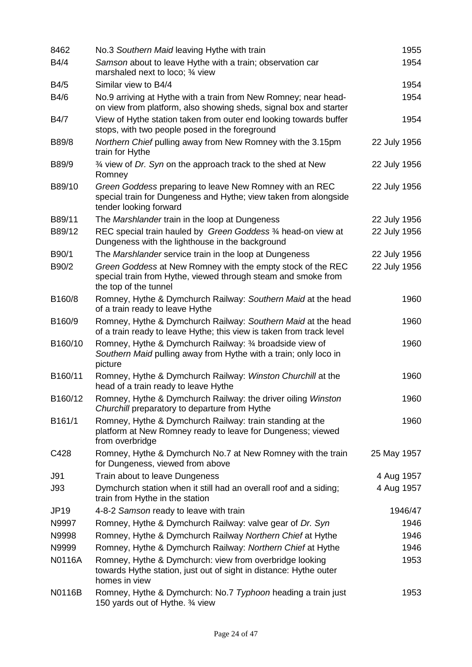| 8462          | No.3 Southern Maid leaving Hythe with train                                                                                                           | 1955         |
|---------------|-------------------------------------------------------------------------------------------------------------------------------------------------------|--------------|
| B4/4          | Samson about to leave Hythe with a train; observation car<br>marshaled next to loco; 3/4 view                                                         | 1954         |
| B4/5          | Similar view to B4/4                                                                                                                                  | 1954         |
| B4/6          | No.9 arriving at Hythe with a train from New Romney; near head-<br>on view from platform, also showing sheds, signal box and starter                  | 1954         |
| B4/7          | View of Hythe station taken from outer end looking towards buffer<br>stops, with two people posed in the foreground                                   | 1954         |
| B89/8         | Northern Chief pulling away from New Romney with the 3.15pm<br>train for Hythe                                                                        | 22 July 1956 |
| B89/9         | 3⁄4 view of Dr. Syn on the approach track to the shed at New<br>Romney                                                                                | 22 July 1956 |
| B89/10        | Green Goddess preparing to leave New Romney with an REC<br>special train for Dungeness and Hythe; view taken from alongside<br>tender looking forward | 22 July 1956 |
| B89/11        | The Marshlander train in the loop at Dungeness                                                                                                        | 22 July 1956 |
| B89/12        | REC special train hauled by Green Goddess 34 head-on view at<br>Dungeness with the lighthouse in the background                                       | 22 July 1956 |
| B90/1         | The Marshlander service train in the loop at Dungeness                                                                                                | 22 July 1956 |
| B90/2         | Green Goddess at New Romney with the empty stock of the REC<br>special train from Hythe, viewed through steam and smoke from<br>the top of the tunnel | 22 July 1956 |
| B160/8        | Romney, Hythe & Dymchurch Railway: Southern Maid at the head<br>of a train ready to leave Hythe                                                       | 1960         |
| B160/9        | Romney, Hythe & Dymchurch Railway: Southern Maid at the head<br>of a train ready to leave Hythe; this view is taken from track level                  | 1960         |
| B160/10       | Romney, Hythe & Dymchurch Railway: 34 broadside view of<br>Southern Maid pulling away from Hythe with a train; only loco in<br>picture                | 1960         |
| B160/11       | Romney, Hythe & Dymchurch Railway: Winston Churchill at the<br>head of a train ready to leave Hythe                                                   | 1960         |
| B160/12       | Romney, Hythe & Dymchurch Railway: the driver oiling Winston<br>Churchill preparatory to departure from Hythe                                         | 1960         |
| B161/1        | Romney, Hythe & Dymchurch Railway: train standing at the<br>platform at New Romney ready to leave for Dungeness; viewed<br>from overbridge            | 1960         |
| C428          | Romney, Hythe & Dymchurch No.7 at New Romney with the train<br>for Dungeness, viewed from above                                                       | 25 May 1957  |
| J91           | Train about to leave Dungeness                                                                                                                        | 4 Aug 1957   |
| J93           | Dymchurch station when it still had an overall roof and a siding;<br>train from Hythe in the station                                                  | 4 Aug 1957   |
| <b>JP19</b>   | 4-8-2 Samson ready to leave with train                                                                                                                | 1946/47      |
| N9997         | Romney, Hythe & Dymchurch Railway: valve gear of Dr. Syn                                                                                              | 1946         |
| N9998         | Romney, Hythe & Dymchurch Railway Northern Chief at Hythe                                                                                             | 1946         |
| N9999         | Romney, Hythe & Dymchurch Railway: Northern Chief at Hythe                                                                                            | 1946         |
| <b>N0116A</b> | Romney, Hythe & Dymchurch: view from overbridge looking<br>towards Hythe station, just out of sight in distance: Hythe outer<br>homes in view         | 1953         |
| N0116B        | Romney, Hythe & Dymchurch: No.7 Typhoon heading a train just<br>150 yards out of Hythe. 3⁄4 view                                                      | 1953         |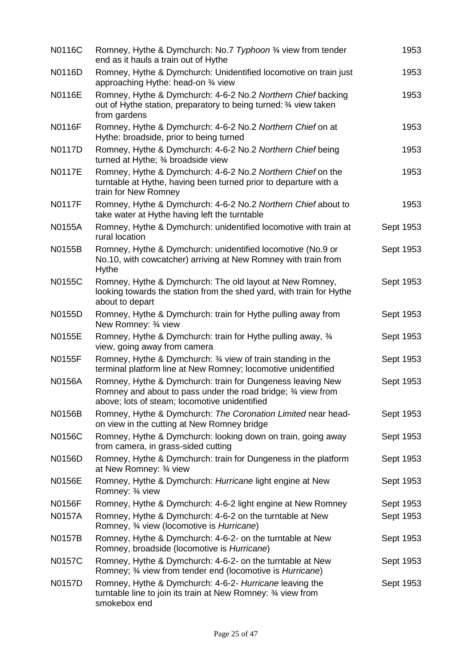| N0116C        | Romney, Hythe & Dymchurch: No.7 Typhoon 3/4 view from tender<br>end as it hauls a train out of Hythe                                                                         | 1953      |
|---------------|------------------------------------------------------------------------------------------------------------------------------------------------------------------------------|-----------|
| N0116D        | Romney, Hythe & Dymchurch: Unidentified locomotive on train just<br>approaching Hythe: head-on 3⁄4 view                                                                      | 1953      |
| N0116E        | Romney, Hythe & Dymchurch: 4-6-2 No.2 Northern Chief backing<br>out of Hythe station, preparatory to being turned: 3/4 view taken<br>from gardens                            | 1953      |
| <b>N0116F</b> | Romney, Hythe & Dymchurch: 4-6-2 No.2 Northern Chief on at<br>Hythe: broadside, prior to being turned                                                                        | 1953      |
| N0117D        | Romney, Hythe & Dymchurch: 4-6-2 No.2 Northern Chief being<br>turned at Hythe; 3⁄4 broadside view                                                                            | 1953      |
| <b>N0117E</b> | Romney, Hythe & Dymchurch: 4-6-2 No.2 Northern Chief on the<br>turntable at Hythe, having been turned prior to departure with a<br>train for New Romney                      | 1953      |
| <b>N0117F</b> | Romney, Hythe & Dymchurch: 4-6-2 No.2 Northern Chief about to<br>take water at Hythe having left the turntable                                                               | 1953      |
| <b>N0155A</b> | Romney, Hythe & Dymchurch: unidentified locomotive with train at<br>rural location                                                                                           | Sept 1953 |
| N0155B        | Romney, Hythe & Dymchurch: unidentified locomotive (No.9 or<br>No.10, with cowcatcher) arriving at New Romney with train from<br><b>Hythe</b>                                | Sept 1953 |
| N0155C        | Romney, Hythe & Dymchurch: The old layout at New Romney,<br>looking towards the station from the shed yard, with train for Hythe<br>about to depart                          | Sept 1953 |
| N0155D        | Romney, Hythe & Dymchurch: train for Hythe pulling away from<br>New Romney: 3⁄4 view                                                                                         | Sept 1953 |
| N0155E        | Romney, Hythe & Dymchurch: train for Hythe pulling away, 3/4<br>view, going away from camera                                                                                 | Sept 1953 |
| N0155F        | Romney, Hythe & Dymchurch: 34 view of train standing in the<br>terminal platform line at New Romney; locomotive unidentified                                                 | Sept 1953 |
| N0156A        | Romney, Hythe & Dymchurch: train for Dungeness leaving New<br>Romney and about to pass under the road bridge; 3⁄4 view from<br>above; lots of steam; locomotive unidentified | Sept 1953 |
| N0156B        | Romney, Hythe & Dymchurch: The Coronation Limited near head-<br>on view in the cutting at New Romney bridge                                                                  | Sept 1953 |
| N0156C        | Romney, Hythe & Dymchurch: looking down on train, going away<br>from camera, in grass-sided cutting                                                                          | Sept 1953 |
| N0156D        | Romney, Hythe & Dymchurch: train for Dungeness in the platform<br>at New Romney: 3⁄4 view                                                                                    | Sept 1953 |
| N0156E        | Romney, Hythe & Dymchurch: Hurricane light engine at New<br>Romney: 3/4 view                                                                                                 | Sept 1953 |
| N0156F        | Romney, Hythe & Dymchurch: 4-6-2 light engine at New Romney                                                                                                                  | Sept 1953 |
| <b>N0157A</b> | Romney, Hythe & Dymchurch: 4-6-2 on the turntable at New<br>Romney, 3⁄4 view (locomotive is Hurricane)                                                                       | Sept 1953 |
| <b>N0157B</b> | Romney, Hythe & Dymchurch: 4-6-2- on the turntable at New<br>Romney, broadside (locomotive is Hurricane)                                                                     | Sept 1953 |
| N0157C        | Romney, Hythe & Dymchurch: 4-6-2- on the turntable at New<br>Romney; 3⁄4 view from tender end (locomotive is Hurricane)                                                      | Sept 1953 |
| N0157D        | Romney, Hythe & Dymchurch: 4-6-2- Hurricane leaving the<br>turntable line to join its train at New Romney: 3⁄4 view from<br>smokebox end                                     | Sept 1953 |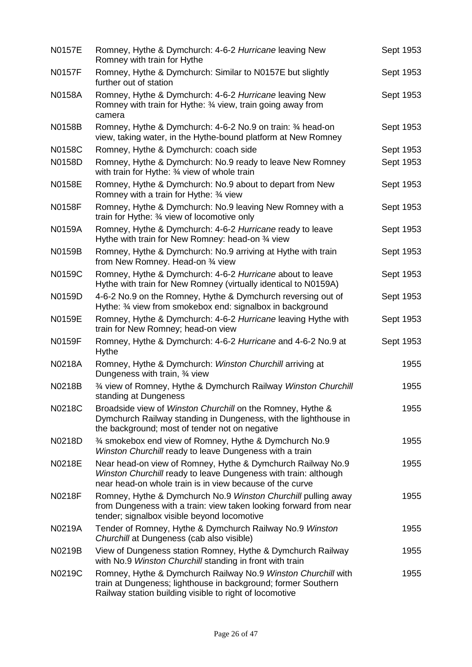| <b>N0157E</b> | Romney, Hythe & Dymchurch: 4-6-2 Hurricane leaving New<br>Romney with train for Hythe                                                                                                      | Sept 1953 |
|---------------|--------------------------------------------------------------------------------------------------------------------------------------------------------------------------------------------|-----------|
| <b>N0157F</b> | Romney, Hythe & Dymchurch: Similar to N0157E but slightly<br>further out of station                                                                                                        | Sept 1953 |
| <b>N0158A</b> | Romney, Hythe & Dymchurch: 4-6-2 Hurricane leaving New<br>Romney with train for Hythe: 3/4 view, train going away from<br>camera                                                           | Sept 1953 |
| N0158B        | Romney, Hythe & Dymchurch: 4-6-2 No.9 on train: 3⁄4 head-on<br>view, taking water, in the Hythe-bound platform at New Romney                                                               | Sept 1953 |
| N0158C        | Romney, Hythe & Dymchurch: coach side                                                                                                                                                      | Sept 1953 |
| N0158D        | Romney, Hythe & Dymchurch: No.9 ready to leave New Romney<br>with train for Hythe: 3⁄4 view of whole train                                                                                 | Sept 1953 |
| N0158E        | Romney, Hythe & Dymchurch: No.9 about to depart from New<br>Romney with a train for Hythe: 34 view                                                                                         | Sept 1953 |
| N0158F        | Romney, Hythe & Dymchurch: No.9 leaving New Romney with a<br>train for Hythe: 3⁄4 view of locomotive only                                                                                  | Sept 1953 |
| N0159A        | Romney, Hythe & Dymchurch: 4-6-2 Hurricane ready to leave<br>Hythe with train for New Romney: head-on 34 view                                                                              | Sept 1953 |
| N0159B        | Romney, Hythe & Dymchurch: No.9 arriving at Hythe with train<br>from New Romney. Head-on 34 view                                                                                           | Sept 1953 |
| N0159C        | Romney, Hythe & Dymchurch: 4-6-2 Hurricane about to leave<br>Hythe with train for New Romney (virtually identical to N0159A)                                                               | Sept 1953 |
| N0159D        | 4-6-2 No.9 on the Romney, Hythe & Dymchurch reversing out of<br>Hythe: 34 view from smokebox end: signalbox in background                                                                  | Sept 1953 |
| N0159E        | Romney, Hythe & Dymchurch: 4-6-2 Hurricane leaving Hythe with<br>train for New Romney; head-on view                                                                                        | Sept 1953 |
| N0159F        | Romney, Hythe & Dymchurch: 4-6-2 Hurricane and 4-6-2 No.9 at<br><b>Hythe</b>                                                                                                               | Sept 1953 |
| N0218A        | Romney, Hythe & Dymchurch: Winston Churchill arriving at<br>Dungeness with train, 3⁄4 view                                                                                                 | 1955      |
| N0218B        | 3⁄4 view of Romney, Hythe & Dymchurch Railway Winston Churchill<br>standing at Dungeness                                                                                                   | 1955      |
| N0218C        | Broadside view of Winston Churchill on the Romney, Hythe &<br>Dymchurch Railway standing in Dungeness, with the lighthouse in<br>the background; most of tender not on negative            | 1955      |
| N0218D        | 3⁄4 smokebox end view of Romney, Hythe & Dymchurch No.9<br>Winston Churchill ready to leave Dungeness with a train                                                                         | 1955      |
| N0218E        | Near head-on view of Romney, Hythe & Dymchurch Railway No.9<br>Winston Churchill ready to leave Dungeness with train: although<br>near head-on whole train is in view because of the curve | 1955      |
| N0218F        | Romney, Hythe & Dymchurch No.9 Winston Churchill pulling away<br>from Dungeness with a train: view taken looking forward from near<br>tender; signalbox visible beyond locomotive          | 1955      |
| N0219A        | Tender of Romney, Hythe & Dymchurch Railway No.9 Winston<br>Churchill at Dungeness (cab also visible)                                                                                      | 1955      |
| N0219B        | View of Dungeness station Romney, Hythe & Dymchurch Railway<br>with No.9 Winston Churchill standing in front with train                                                                    | 1955      |
| N0219C        | Romney, Hythe & Dymchurch Railway No.9 Winston Churchill with<br>train at Dungeness; lighthouse in background; former Southern<br>Railway station building visible to right of locomotive  | 1955      |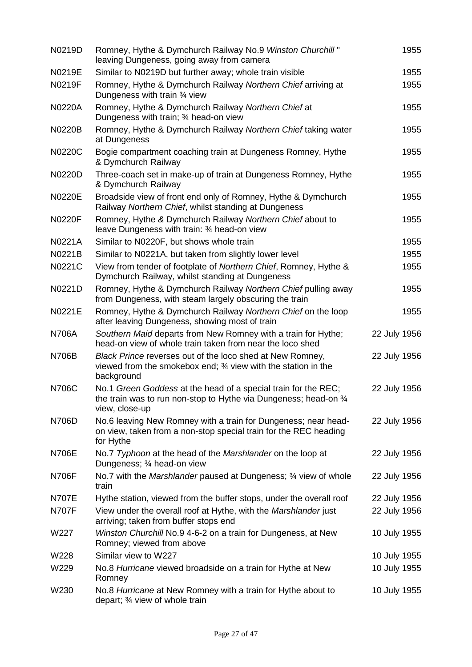| N0219D        | Romney, Hythe & Dymchurch Railway No.9 Winston Churchill"<br>leaving Dungeness, going away from camera                                               | 1955         |
|---------------|------------------------------------------------------------------------------------------------------------------------------------------------------|--------------|
| N0219E        | Similar to N0219D but further away; whole train visible                                                                                              | 1955         |
| N0219F        | Romney, Hythe & Dymchurch Railway Northern Chief arriving at<br>Dungeness with train 3⁄4 view                                                        | 1955         |
| <b>N0220A</b> | Romney, Hythe & Dymchurch Railway Northern Chief at<br>Dungeness with train; 3⁄4 head-on view                                                        | 1955         |
| <b>N0220B</b> | Romney, Hythe & Dymchurch Railway Northern Chief taking water<br>at Dungeness                                                                        | 1955         |
| <b>N0220C</b> | Bogie compartment coaching train at Dungeness Romney, Hythe<br>& Dymchurch Railway                                                                   | 1955         |
| <b>N0220D</b> | Three-coach set in make-up of train at Dungeness Romney, Hythe<br>& Dymchurch Railway                                                                | 1955         |
| <b>N0220E</b> | Broadside view of front end only of Romney, Hythe & Dymchurch<br>Railway Northern Chief, whilst standing at Dungeness                                | 1955         |
| <b>N0220F</b> | Romney, Hythe & Dymchurch Railway Northern Chief about to<br>leave Dungeness with train: 3⁄4 head-on view                                            | 1955         |
| N0221A        | Similar to N0220F, but shows whole train                                                                                                             | 1955         |
| N0221B        | Similar to N0221A, but taken from slightly lower level                                                                                               | 1955         |
| N0221C        | View from tender of footplate of Northern Chief, Romney, Hythe &<br>Dymchurch Railway, whilst standing at Dungeness                                  | 1955         |
| N0221D        | Romney, Hythe & Dymchurch Railway Northern Chief pulling away<br>from Dungeness, with steam largely obscuring the train                              | 1955         |
| N0221E        | Romney, Hythe & Dymchurch Railway Northern Chief on the loop<br>after leaving Dungeness, showing most of train                                       | 1955         |
| <b>N706A</b>  | Southern Maid departs from New Romney with a train for Hythe;<br>head-on view of whole train taken from near the loco shed                           | 22 July 1956 |
| <b>N706B</b>  | Black Prince reverses out of the loco shed at New Romney,<br>viewed from the smokebox end; 3⁄4 view with the station in the<br>background            | 22 July 1956 |
| <b>N706C</b>  | No.1 Green Goddess at the head of a special train for the REC;<br>the train was to run non-stop to Hythe via Dungeness; head-on 34<br>view, close-up | 22 July 1956 |
| <b>N706D</b>  | No.6 leaving New Romney with a train for Dungeness; near head-<br>on view, taken from a non-stop special train for the REC heading<br>for Hythe      | 22 July 1956 |
| <b>N706E</b>  | No.7 Typhoon at the head of the Marshlander on the loop at<br>Dungeness; 3⁄4 head-on view                                                            | 22 July 1956 |
| <b>N706F</b>  | No.7 with the Marshlander paused at Dungeness; 3/4 view of whole<br>train                                                                            | 22 July 1956 |
| <b>N707E</b>  | Hythe station, viewed from the buffer stops, under the overall roof                                                                                  | 22 July 1956 |
| <b>N707F</b>  | View under the overall roof at Hythe, with the Marshlander just<br>arriving; taken from buffer stops end                                             | 22 July 1956 |
| W227          | Winston Churchill No.9 4-6-2 on a train for Dungeness, at New<br>Romney; viewed from above                                                           | 10 July 1955 |
| W228          | Similar view to W227                                                                                                                                 | 10 July 1955 |
| W229          | No.8 Hurricane viewed broadside on a train for Hythe at New<br>Romney                                                                                | 10 July 1955 |
| W230          | No.8 Hurricane at New Romney with a train for Hythe about to<br>depart; 3⁄4 view of whole train                                                      | 10 July 1955 |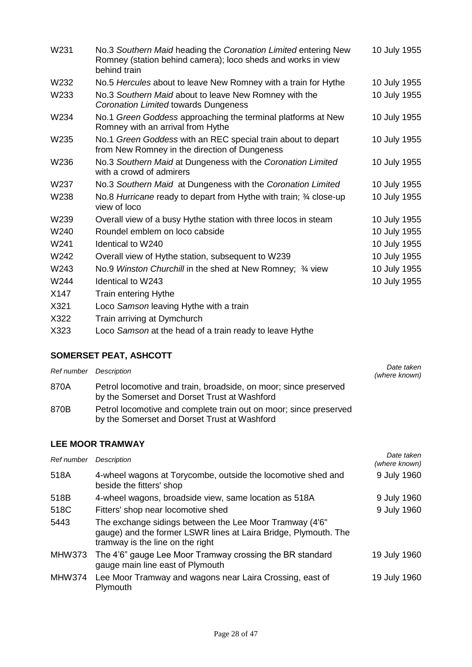| W231 | No.3 Southern Maid heading the Coronation Limited entering New<br>Romney (station behind camera); loco sheds and works in view<br>behind train | 10 July 1955 |
|------|------------------------------------------------------------------------------------------------------------------------------------------------|--------------|
| W232 | No.5 Hercules about to leave New Romney with a train for Hythe                                                                                 | 10 July 1955 |
| W233 | No.3 Southern Maid about to leave New Romney with the<br>Coronation Limited towards Dungeness                                                  | 10 July 1955 |
| W234 | No.1 Green Goddess approaching the terminal platforms at New<br>Romney with an arrival from Hythe                                              | 10 July 1955 |
| W235 | No.1 Green Goddess with an REC special train about to depart<br>from New Romney in the direction of Dungeness                                  | 10 July 1955 |
| W236 | No.3 Southern Maid at Dungeness with the Coronation Limited<br>with a crowd of admirers                                                        | 10 July 1955 |
| W237 | No.3 Southern Maid at Dungeness with the Coronation Limited                                                                                    | 10 July 1955 |
| W238 | No.8 Hurricane ready to depart from Hythe with train; 3⁄4 close-up<br>view of loco                                                             | 10 July 1955 |
| W239 | Overall view of a busy Hythe station with three locos in steam                                                                                 | 10 July 1955 |
| W240 | Roundel emblem on loco cabside                                                                                                                 | 10 July 1955 |
| W241 | Identical to W240                                                                                                                              | 10 July 1955 |
| W242 | Overall view of Hythe station, subsequent to W239                                                                                              | 10 July 1955 |
| W243 | No.9 Winston Churchill in the shed at New Romney; 3/4 view                                                                                     | 10 July 1955 |
| W244 | <b>Identical to W243</b>                                                                                                                       | 10 July 1955 |
| X147 | Train entering Hythe                                                                                                                           |              |
| X321 | Loco Samson leaving Hythe with a train                                                                                                         |              |
| X322 | Train arriving at Dymchurch                                                                                                                    |              |
| X323 | Loco Samson at the head of a train ready to leave Hythe                                                                                        |              |

## **SOMERSET PEAT, ASHCOTT**

| Ref number Description |                                                                                                                   | Date taken<br>(where known) |
|------------------------|-------------------------------------------------------------------------------------------------------------------|-----------------------------|
| 870A                   | Petrol locomotive and train, broadside, on moor; since preserved<br>by the Somerset and Dorset Trust at Washford  |                             |
| 870B                   | Petrol locomotive and complete train out on moor; since preserved<br>by the Somerset and Dorset Trust at Washford |                             |

#### **LEE MOOR TRAMWAY**

| Ref number    | Description                                                                                                                                                    | Date taken<br>(where known) |
|---------------|----------------------------------------------------------------------------------------------------------------------------------------------------------------|-----------------------------|
| 518A          | 4-wheel wagons at Torycombe, outside the locomotive shed and<br>beside the fitters' shop                                                                       | 9 July 1960                 |
| 518B          | 4-wheel wagons, broadside view, same location as 518A                                                                                                          | 9 July 1960                 |
| 518C          | Fitters' shop near locomotive shed                                                                                                                             | 9 July 1960                 |
| 5443          | The exchange sidings between the Lee Moor Tramway (4'6"<br>gauge) and the former LSWR lines at Laira Bridge, Plymouth. The<br>tramway is the line on the right |                             |
| <b>MHW373</b> | The 4'6" gauge Lee Moor Tramway crossing the BR standard<br>gauge main line east of Plymouth                                                                   | 19 July 1960                |
| <b>MHW374</b> | Lee Moor Tramway and wagons near Laira Crossing, east of<br>Plymouth                                                                                           | 19 July 1960                |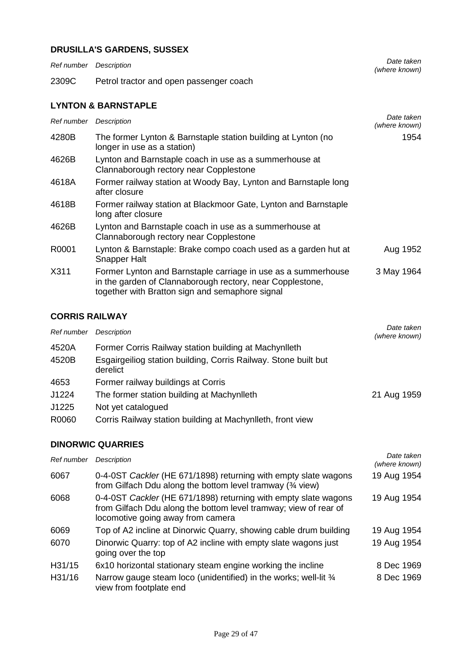## **DRUSILLA'S GARDENS, SUSSEX**

| Ref number Description |                                                                                                                                                                               | Date taken<br>(where known) |
|------------------------|-------------------------------------------------------------------------------------------------------------------------------------------------------------------------------|-----------------------------|
| 2309C                  | Petrol tractor and open passenger coach                                                                                                                                       |                             |
|                        | <b>LYNTON &amp; BARNSTAPLE</b>                                                                                                                                                |                             |
| Ref number             | Description                                                                                                                                                                   | Date taken<br>(where known) |
| 4280B                  | The former Lynton & Barnstaple station building at Lynton (no<br>longer in use as a station)                                                                                  | 1954                        |
| 4626B                  | Lynton and Barnstaple coach in use as a summerhouse at<br>Clannaborough rectory near Copplestone                                                                              |                             |
| 4618A                  | Former railway station at Woody Bay, Lynton and Barnstaple long<br>after closure                                                                                              |                             |
| 4618B                  | Former railway station at Blackmoor Gate, Lynton and Barnstaple<br>long after closure                                                                                         |                             |
| 4626B                  | Lynton and Barnstaple coach in use as a summerhouse at<br>Clannaborough rectory near Copplestone                                                                              |                             |
| R0001                  | Lynton & Barnstaple: Brake compo coach used as a garden hut at<br><b>Snapper Halt</b>                                                                                         | Aug 1952                    |
| X311                   | Former Lynton and Barnstaple carriage in use as a summerhouse<br>in the garden of Clannaborough rectory, near Copplestone,<br>together with Bratton sign and semaphore signal | 3 May 1964                  |

#### **CORRIS RAILWAY**

| Ref number | Description                                                                 | Date taken<br>(where known) |
|------------|-----------------------------------------------------------------------------|-----------------------------|
| 4520A      | Former Corris Railway station building at Machynlleth                       |                             |
| 4520B      | Esgairgeiliog station building, Corris Railway. Stone built but<br>derelict |                             |
| 4653       | Former railway buildings at Corris                                          |                             |
| J1224      | The former station building at Machynlleth                                  | 21 Aug 1959                 |
| J1225      | Not yet catalogued                                                          |                             |
| R0060      | Corris Railway station building at Machynlleth, front view                  |                             |

#### **DINORWIC QUARRIES**

| Ref number | <b>Description</b>                                                                                                                                                       | Date taken<br>(where known) |
|------------|--------------------------------------------------------------------------------------------------------------------------------------------------------------------------|-----------------------------|
| 6067       | 0-4-0ST Cackler (HE 671/1898) returning with empty slate wagons<br>from Gilfach Ddu along the bottom level tramway (34 view)                                             | 19 Aug 1954                 |
| 6068       | 0-4-0ST Cackler (HE 671/1898) returning with empty slate wagons<br>from Gilfach Ddu along the bottom level tramway; view of rear of<br>locomotive going away from camera | 19 Aug 1954                 |
| 6069       | Top of A2 incline at Dinorwic Quarry, showing cable drum building                                                                                                        | 19 Aug 1954                 |
| 6070       | Dinorwic Quarry: top of A2 incline with empty slate wagons just<br>going over the top                                                                                    | 19 Aug 1954                 |
| H31/15     | 6x10 horizontal stationary steam engine working the incline                                                                                                              | 8 Dec 1969                  |
| H31/16     | Narrow gauge steam loco (unidentified) in the works; well-lit 3/4<br>view from footplate end                                                                             | 8 Dec 1969                  |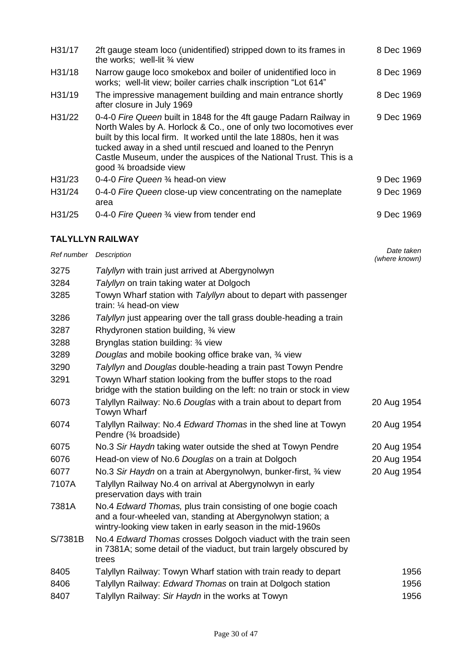| H31/17 | 2ft gauge steam loco (unidentified) stripped down to its frames in<br>the works; well-lit $\frac{3}{4}$ view                                                                                                                                                                                                                                                                     | 8 Dec 1969 |
|--------|----------------------------------------------------------------------------------------------------------------------------------------------------------------------------------------------------------------------------------------------------------------------------------------------------------------------------------------------------------------------------------|------------|
| H31/18 | Narrow gauge loco smokebox and boiler of unidentified loco in<br>works; well-lit view; boiler carries chalk inscription "Lot 614"                                                                                                                                                                                                                                                | 8 Dec 1969 |
| H31/19 | The impressive management building and main entrance shortly<br>after closure in July 1969                                                                                                                                                                                                                                                                                       | 8 Dec 1969 |
| H31/22 | 0-4-0 Fire Queen built in 1848 for the 4ft gauge Padarn Railway in<br>North Wales by A. Horlock & Co., one of only two locomotives ever<br>built by this local firm. It worked until the late 1880s, hen it was<br>tucked away in a shed until rescued and loaned to the Penryn<br>Castle Museum, under the auspices of the National Trust. This is a<br>good 3⁄4 broadside view | 9 Dec 1969 |
| H31/23 | 0-4-0 Fire Queen 3/4 head-on view                                                                                                                                                                                                                                                                                                                                                | 9 Dec 1969 |
| H31/24 | 0-4-0 Fire Queen close-up view concentrating on the nameplate<br>area                                                                                                                                                                                                                                                                                                            | 9 Dec 1969 |
| H31/25 | 0-4-0 Fire Queen 3/4 view from tender end                                                                                                                                                                                                                                                                                                                                        | 9 Dec 1969 |

## **TALYLLYN RAILWAY**

| Ref number | Description                                                                                                                                                                               | Date taken<br>(where known) |
|------------|-------------------------------------------------------------------------------------------------------------------------------------------------------------------------------------------|-----------------------------|
| 3275       | Talyllyn with train just arrived at Abergynolwyn                                                                                                                                          |                             |
| 3284       | Talyllyn on train taking water at Dolgoch                                                                                                                                                 |                             |
| 3285       | Towyn Wharf station with Talyllyn about to depart with passenger<br>train: 1/4 head-on view                                                                                               |                             |
| 3286       | Talyllyn just appearing over the tall grass double-heading a train                                                                                                                        |                             |
| 3287       | Rhydyronen station building, 3⁄4 view                                                                                                                                                     |                             |
| 3288       | Brynglas station building: 3/4 view                                                                                                                                                       |                             |
| 3289       | Douglas and mobile booking office brake van, 34 view                                                                                                                                      |                             |
| 3290       | Talyllyn and Douglas double-heading a train past Towyn Pendre                                                                                                                             |                             |
| 3291       | Towyn Wharf station looking from the buffer stops to the road<br>bridge with the station building on the left: no train or stock in view                                                  |                             |
| 6073       | Talyllyn Railway: No.6 Douglas with a train about to depart from<br><b>Towyn Wharf</b>                                                                                                    | 20 Aug 1954                 |
| 6074       | Talyllyn Railway: No.4 Edward Thomas in the shed line at Towyn<br>Pendre (3⁄4 broadside)                                                                                                  | 20 Aug 1954                 |
| 6075       | No.3 Sir Haydn taking water outside the shed at Towyn Pendre                                                                                                                              | 20 Aug 1954                 |
| 6076       | Head-on view of No.6 Douglas on a train at Dolgoch                                                                                                                                        | 20 Aug 1954                 |
| 6077       | No.3 Sir Haydn on a train at Abergynolwyn, bunker-first, 34 view                                                                                                                          | 20 Aug 1954                 |
| 7107A      | Talyllyn Railway No.4 on arrival at Abergynolwyn in early<br>preservation days with train                                                                                                 |                             |
| 7381A      | No.4 Edward Thomas, plus train consisting of one bogie coach<br>and a four-wheeled van, standing at Abergynolwyn station; a<br>wintry-looking view taken in early season in the mid-1960s |                             |
| S/7381B    | No.4 Edward Thomas crosses Dolgoch viaduct with the train seen<br>in 7381A; some detail of the viaduct, but train largely obscured by<br>trees                                            |                             |
| 8405       | Talyllyn Railway: Towyn Wharf station with train ready to depart                                                                                                                          | 1956                        |
| 8406       | Talyllyn Railway: Edward Thomas on train at Dolgoch station                                                                                                                               | 1956                        |
| 8407       | Talyllyn Railway: Sir Haydn in the works at Towyn                                                                                                                                         | 1956                        |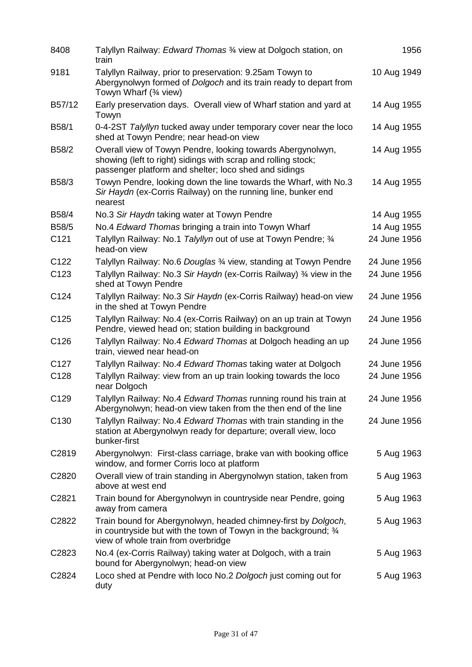| 8408              | Talyllyn Railway: Edward Thomas 3⁄4 view at Dolgoch station, on<br>train                                                                                                              | 1956         |
|-------------------|---------------------------------------------------------------------------------------------------------------------------------------------------------------------------------------|--------------|
| 9181              | Talyllyn Railway, prior to preservation: 9.25am Towyn to<br>Abergynolwyn formed of Dolgoch and its train ready to depart from<br>Towyn Wharf (3⁄4 view)                               | 10 Aug 1949  |
| B57/12            | Early preservation days. Overall view of Wharf station and yard at<br>Towyn                                                                                                           | 14 Aug 1955  |
| B58/1             | 0-4-2ST Talyllyn tucked away under temporary cover near the loco<br>shed at Towyn Pendre; near head-on view                                                                           | 14 Aug 1955  |
| B58/2             | Overall view of Towyn Pendre, looking towards Abergynolwyn,<br>showing (left to right) sidings with scrap and rolling stock;<br>passenger platform and shelter; loco shed and sidings | 14 Aug 1955  |
| B58/3             | Towyn Pendre, looking down the line towards the Wharf, with No.3<br>Sir Haydn (ex-Corris Railway) on the running line, bunker end<br>nearest                                          | 14 Aug 1955  |
| B58/4             | No.3 Sir Haydn taking water at Towyn Pendre                                                                                                                                           | 14 Aug 1955  |
| B58/5             | No.4 Edward Thomas bringing a train into Towyn Wharf                                                                                                                                  | 14 Aug 1955  |
| C121              | Talyllyn Railway: No.1 Talyllyn out of use at Towyn Pendre; 3/4<br>head-on view                                                                                                       | 24 June 1956 |
| C <sub>122</sub>  | Talyllyn Railway: No.6 Douglas 3/4 view, standing at Towyn Pendre                                                                                                                     | 24 June 1956 |
| C123              | Talyllyn Railway: No.3 Sir Haydn (ex-Corris Railway) 3/4 view in the<br>shed at Towyn Pendre                                                                                          | 24 June 1956 |
| C124              | Talyllyn Railway: No.3 Sir Haydn (ex-Corris Railway) head-on view<br>in the shed at Towyn Pendre                                                                                      | 24 June 1956 |
| C125              | Talyllyn Railway: No.4 (ex-Corris Railway) on an up train at Towyn<br>Pendre, viewed head on; station building in background                                                          | 24 June 1956 |
| C <sub>126</sub>  | Talyllyn Railway: No.4 Edward Thomas at Dolgoch heading an up<br>train, viewed near head-on                                                                                           | 24 June 1956 |
| C <sub>127</sub>  | Talyllyn Railway: No.4 Edward Thomas taking water at Dolgoch                                                                                                                          | 24 June 1956 |
| C128              | Talyllyn Railway: view from an up train looking towards the loco<br>near Dolgoch                                                                                                      | 24 June 1956 |
| C129              | Talyllyn Railway: No.4 Edward Thomas running round his train at<br>Abergynolwyn; head-on view taken from the then end of the line                                                     | 24 June 1956 |
| C <sub>130</sub>  | Talyllyn Railway: No.4 Edward Thomas with train standing in the<br>station at Abergynolwyn ready for departure; overall view, loco<br>bunker-first                                    | 24 June 1956 |
| C2819             | Abergynolwyn: First-class carriage, brake van with booking office<br>window, and former Corris loco at platform                                                                       | 5 Aug 1963   |
| C2820             | Overall view of train standing in Abergynolwyn station, taken from<br>above at west end                                                                                               | 5 Aug 1963   |
| C2821             | Train bound for Abergynolwyn in countryside near Pendre, going<br>away from camera                                                                                                    | 5 Aug 1963   |
| C2822             | Train bound for Abergynolwyn, headed chimney-first by Dolgoch,<br>in countryside but with the town of Towyn in the background; 3/4<br>view of whole train from overbridge             | 5 Aug 1963   |
| C <sub>2823</sub> | No.4 (ex-Corris Railway) taking water at Dolgoch, with a train<br>bound for Abergynolwyn; head-on view                                                                                | 5 Aug 1963   |
| C2824             | Loco shed at Pendre with loco No.2 Dolgoch just coming out for<br>duty                                                                                                                | 5 Aug 1963   |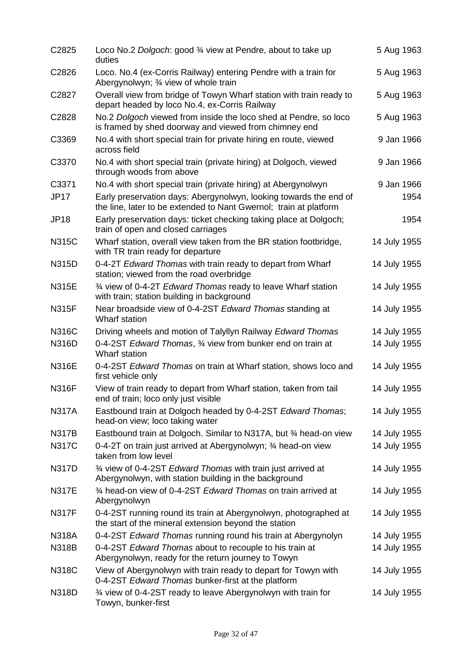| C2825             | Loco No.2 Dolgoch: good 3⁄4 view at Pendre, about to take up<br>duties                                                                 | 5 Aug 1963   |
|-------------------|----------------------------------------------------------------------------------------------------------------------------------------|--------------|
| C2826             | Loco. No.4 (ex-Corris Railway) entering Pendre with a train for<br>Abergynolwyn; 3/4 view of whole train                               | 5 Aug 1963   |
| C <sub>2827</sub> | Overall view from bridge of Towyn Wharf station with train ready to<br>depart headed by loco No.4, ex-Corris Railway                   | 5 Aug 1963   |
| C2828             | No.2 Dolgoch viewed from inside the loco shed at Pendre, so loco<br>is framed by shed doorway and viewed from chimney end              | 5 Aug 1963   |
| C3369             | No.4 with short special train for private hiring en route, viewed<br>across field                                                      | 9 Jan 1966   |
| C3370             | No.4 with short special train (private hiring) at Dolgoch, viewed<br>through woods from above                                          | 9 Jan 1966   |
| C3371             | No.4 with short special train (private hiring) at Abergynolwyn                                                                         | 9 Jan 1966   |
| <b>JP17</b>       | Early preservation days: Abergynolwyn, looking towards the end of<br>the line, later to be extended to Nant Gwernol; train at platform | 1954         |
| <b>JP18</b>       | Early preservation days: ticket checking taking place at Dolgoch;<br>train of open and closed carriages                                | 1954         |
| <b>N315C</b>      | Wharf station, overall view taken from the BR station footbridge,<br>with TR train ready for departure                                 | 14 July 1955 |
| N315D             | 0-4-2T Edward Thomas with train ready to depart from Wharf<br>station; viewed from the road overbridge                                 | 14 July 1955 |
| <b>N315E</b>      | 3⁄4 view of 0-4-2T Edward Thomas ready to leave Wharf station<br>with train; station building in background                            | 14 July 1955 |
| <b>N315F</b>      | Near broadside view of 0-4-2ST Edward Thomas standing at<br>Wharf station                                                              | 14 July 1955 |
| <b>N316C</b>      | Driving wheels and motion of Talyllyn Railway Edward Thomas                                                                            | 14 July 1955 |
| <b>N316D</b>      | 0-4-2ST Edward Thomas, 34 view from bunker end on train at<br>Wharf station                                                            | 14 July 1955 |
| <b>N316E</b>      | 0-4-2ST Edward Thomas on train at Wharf station, shows loco and<br>first vehicle only                                                  | 14 July 1955 |
| <b>N316F</b>      | View of train ready to depart from Wharf station, taken from tail<br>end of train; loco only just visible                              | 14 July 1955 |
| <b>N317A</b>      | Eastbound train at Dolgoch headed by 0-4-2ST Edward Thomas;<br>head-on view; loco taking water                                         | 14 July 1955 |
| <b>N317B</b>      | Eastbound train at Dolgoch. Similar to N317A, but 3/4 head-on view                                                                     | 14 July 1955 |
| <b>N317C</b>      | 0-4-2T on train just arrived at Abergynolwyn; 34 head-on view<br>taken from low level                                                  | 14 July 1955 |
| <b>N317D</b>      | 3⁄4 view of 0-4-2ST Edward Thomas with train just arrived at<br>Abergynolwyn, with station building in the background                  | 14 July 1955 |
| <b>N317E</b>      | 3⁄4 head-on view of 0-4-2ST Edward Thomas on train arrived at<br>Abergynolwyn                                                          | 14 July 1955 |
| <b>N317F</b>      | 0-4-2ST running round its train at Abergynolwyn, photographed at<br>the start of the mineral extension beyond the station              | 14 July 1955 |
| <b>N318A</b>      | 0-4-2ST Edward Thomas running round his train at Abergynolyn                                                                           | 14 July 1955 |
| <b>N318B</b>      | 0-4-2ST Edward Thomas about to recouple to his train at<br>Abergynolwyn, ready for the return journey to Towyn                         | 14 July 1955 |
| <b>N318C</b>      | View of Abergynolwyn with train ready to depart for Towyn with<br>0-4-2ST Edward Thomas bunker-first at the platform                   | 14 July 1955 |
| N318D             | 3⁄4 view of 0-4-2ST ready to leave Abergynolwyn with train for<br>Towyn, bunker-first                                                  | 14 July 1955 |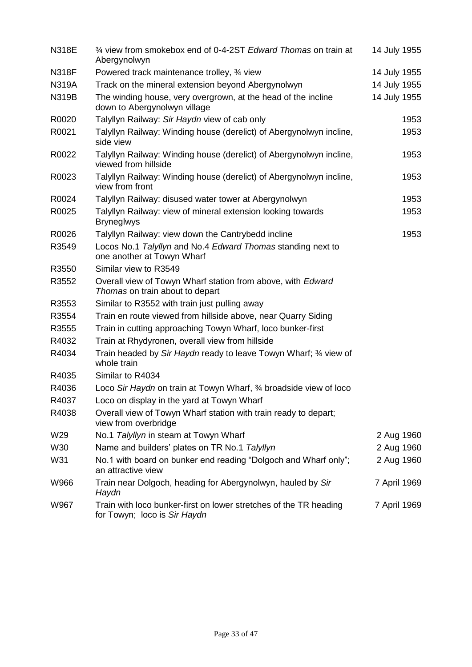| <b>N318E</b> | 3⁄4 view from smokebox end of 0-4-2ST Edward Thomas on train at<br>Abergynolwyn                   | 14 July 1955 |
|--------------|---------------------------------------------------------------------------------------------------|--------------|
| <b>N318F</b> | Powered track maintenance trolley, 3/4 view                                                       | 14 July 1955 |
| <b>N319A</b> | Track on the mineral extension beyond Abergynolwyn                                                | 14 July 1955 |
| <b>N319B</b> | The winding house, very overgrown, at the head of the incline<br>down to Abergynolwyn village     | 14 July 1955 |
| R0020        | Talyllyn Railway: Sir Haydn view of cab only                                                      | 1953         |
| R0021        | Talyllyn Railway: Winding house (derelict) of Abergynolwyn incline,<br>side view                  | 1953         |
| R0022        | Talyllyn Railway: Winding house (derelict) of Abergynolwyn incline,<br>viewed from hillside       | 1953         |
| R0023        | Talyllyn Railway: Winding house (derelict) of Abergynolwyn incline,<br>view from front            | 1953         |
| R0024        | Talyllyn Railway: disused water tower at Abergynolwyn                                             | 1953         |
| R0025        | Talyllyn Railway: view of mineral extension looking towards<br><b>Bryneglwys</b>                  | 1953         |
| R0026        | Talyllyn Railway: view down the Cantrybedd incline                                                | 1953         |
| R3549        | Locos No.1 Talyllyn and No.4 Edward Thomas standing next to<br>one another at Towyn Wharf         |              |
| R3550        | Similar view to R3549                                                                             |              |
| R3552        | Overall view of Towyn Wharf station from above, with Edward<br>Thomas on train about to depart    |              |
| R3553        | Similar to R3552 with train just pulling away                                                     |              |
| R3554        | Train en route viewed from hillside above, near Quarry Siding                                     |              |
| R3555        | Train in cutting approaching Towyn Wharf, loco bunker-first                                       |              |
| R4032        | Train at Rhydyronen, overall view from hillside                                                   |              |
| R4034        | Train headed by Sir Haydn ready to leave Towyn Wharf; 34 view of<br>whole train                   |              |
| R4035        | Similar to R4034                                                                                  |              |
| R4036        | Loco Sir Haydn on train at Towyn Wharf, 3⁄4 broadside view of loco                                |              |
| R4037        | Loco on display in the yard at Towyn Wharf                                                        |              |
| R4038        | Overall view of Towyn Wharf station with train ready to depart;<br>view from overbridge           |              |
| W29          | No.1 Talyllyn in steam at Towyn Wharf                                                             | 2 Aug 1960   |
| W30          | Name and builders' plates on TR No.1 Talyllyn                                                     | 2 Aug 1960   |
| W31          | No.1 with board on bunker end reading "Dolgoch and Wharf only";<br>an attractive view             | 2 Aug 1960   |
| W966         | Train near Dolgoch, heading for Abergynolwyn, hauled by Sir<br>Haydn                              | 7 April 1969 |
| W967         | Train with loco bunker-first on lower stretches of the TR heading<br>for Towyn; loco is Sir Haydn | 7 April 1969 |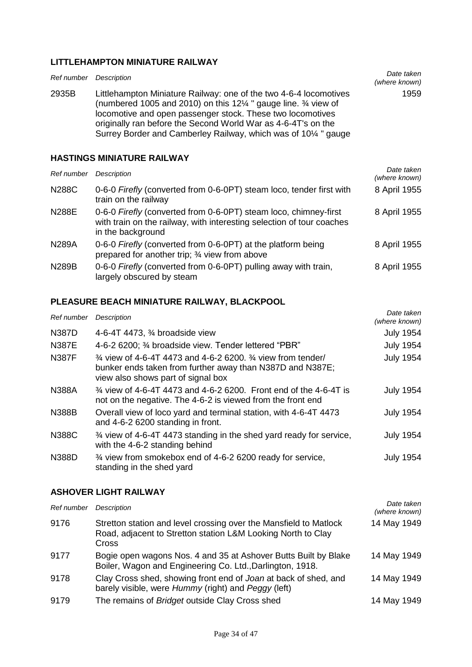## **LITTLEHAMPTON MINIATURE RAILWAY**

| Ref number   | Description                                                                                                                                                                                                                                                                                                                                                              | Date taken<br>(where known) |
|--------------|--------------------------------------------------------------------------------------------------------------------------------------------------------------------------------------------------------------------------------------------------------------------------------------------------------------------------------------------------------------------------|-----------------------------|
| 2935B        | Littlehampton Miniature Railway: one of the two 4-6-4 locomotives<br>(numbered 1005 and 2010) on this 12 $\frac{1}{4}$ " gauge line. $\frac{3}{4}$ view of<br>locomotive and open passenger stock. These two locomotives<br>originally ran before the Second World War as 4-6-4T's on the<br>Surrey Border and Camberley Railway, which was of 10 <sup>1/4</sup> " gauge | 1959                        |
|              | <b>HASTINGS MINIATURE RAILWAY</b>                                                                                                                                                                                                                                                                                                                                        |                             |
| Ref number   | Description                                                                                                                                                                                                                                                                                                                                                              | Date taken<br>(where known) |
| <b>N288C</b> | 0-6-0 Firefly (converted from 0-6-0PT) steam loco, tender first with<br>train on the railway                                                                                                                                                                                                                                                                             | 8 April 1955                |

|              | tialli on the fallway                                                                                                                                          |              |
|--------------|----------------------------------------------------------------------------------------------------------------------------------------------------------------|--------------|
| <b>N288E</b> | 0-6-0 Firefly (converted from 0-6-0PT) steam loco, chimney-first<br>with train on the railway, with interesting selection of tour coaches<br>in the background | 8 April 1955 |
| <b>N289A</b> | 0-6-0 Firefly (converted from 0-6-0PT) at the platform being<br>prepared for another trip; 3⁄4 view from above                                                 | 8 April 1955 |
| <b>N289B</b> | 0-6-0 Firefly (converted from 0-6-0PT) pulling away with train,<br>largely obscured by steam                                                                   | 8 April 1955 |

## **PLEASURE BEACH MINIATURE RAILWAY, BLACKPOOL**

| Ref number   | <b>Description</b>                                                                                                                                                                                               | Date taken<br>(where known) |
|--------------|------------------------------------------------------------------------------------------------------------------------------------------------------------------------------------------------------------------|-----------------------------|
| N387D        | 4-6-4T 4473, $\frac{3}{4}$ broadside view                                                                                                                                                                        | <b>July 1954</b>            |
| <b>N387E</b> | 4-6-2 6200; 3⁄4 broadside view. Tender lettered "PBR"                                                                                                                                                            | <b>July 1954</b>            |
| <b>N387F</b> | <sup>3</sup> / <sub>4</sub> view of 4-6-4T 4473 and 4-6-2 6200, <sup>3</sup> / <sub>4</sub> view from tender/<br>bunker ends taken from further away than N387D and N387E;<br>view also shows part of signal box | <b>July 1954</b>            |
| <b>N388A</b> | <sup>3/4</sup> view of 4-6-4T 4473 and 4-6-2 6200. Front end of the 4-6-4T is<br>not on the negative. The 4-6-2 is viewed from the front end                                                                     | <b>July 1954</b>            |
| <b>N388B</b> | Overall view of loco yard and terminal station, with 4-6-4T 4473<br>and 4-6-2 6200 standing in front.                                                                                                            | <b>July 1954</b>            |
| <b>N388C</b> | <sup>3</sup> / <sub>4</sub> view of 4-6-4T 4473 standing in the shed yard ready for service,<br>with the 4-6-2 standing behind                                                                                   | <b>July 1954</b>            |
| N388D        | 3⁄4 view from smokebox end of 4-6-2 6200 ready for service,<br>standing in the shed yard                                                                                                                         | <b>July 1954</b>            |

## **ASHOVER LIGHT RAILWAY**

| Ref number | Description                                                                                                                                | Date taken<br>(where known) |
|------------|--------------------------------------------------------------------------------------------------------------------------------------------|-----------------------------|
| 9176       | Stretton station and level crossing over the Mansfield to Matlock<br>Road, adjacent to Stretton station L&M Looking North to Clay<br>Cross | 14 May 1949                 |
| 9177       | Bogie open wagons Nos. 4 and 35 at Ashover Butts Built by Blake<br>Boiler, Wagon and Engineering Co. Ltd., Darlington, 1918.               | 14 May 1949                 |
| 9178       | Clay Cross shed, showing front end of Joan at back of shed, and<br>barely visible, were Hummy (right) and Peggy (left)                     | 14 May 1949                 |
| 9179       | The remains of Bridget outside Clay Cross shed                                                                                             | 14 May 1949                 |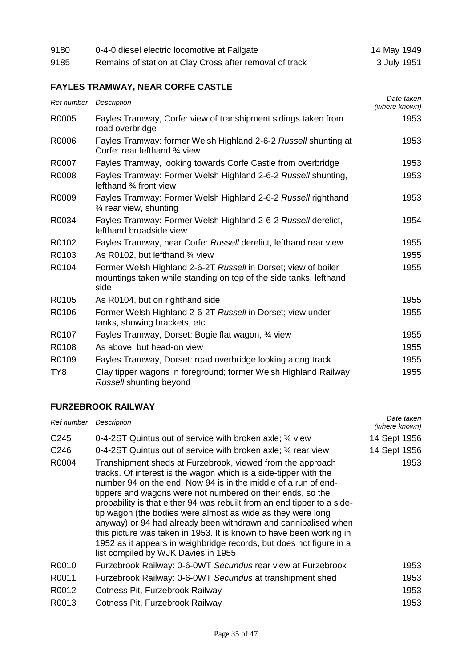| 9180 | 0-4-0 diesel electric locomotive at Fallgate            | 14 May 1949 |
|------|---------------------------------------------------------|-------------|
| 9185 | Remains of station at Clay Cross after removal of track | 3 July 1951 |

## **FAYLES TRAMWAY, NEAR CORFE CASTLE**

| Ref number Description |                                                                                                                                             | Date taken<br>(where known) |
|------------------------|---------------------------------------------------------------------------------------------------------------------------------------------|-----------------------------|
| R0005                  | Fayles Tramway, Corfe: view of transhipment sidings taken from<br>road overbridge                                                           | 1953                        |
| R0006                  | Fayles Tramway: former Welsh Highland 2-6-2 Russell shunting at<br>Corfe: rear lefthand 3/4 view                                            | 1953                        |
| R0007                  | Fayles Tramway, looking towards Corfe Castle from overbridge                                                                                | 1953                        |
| R0008                  | Fayles Tramway: Former Welsh Highland 2-6-2 Russell shunting,<br>lefthand 3⁄4 front view                                                    | 1953                        |
| R0009                  | Fayles Tramway: Former Welsh Highland 2-6-2 Russell righthand<br>3⁄4 rear view, shunting                                                    | 1953                        |
| R0034                  | Fayles Tramway: Former Welsh Highland 2-6-2 Russell derelict,<br>lefthand broadside view                                                    | 1954                        |
| R0102                  | Fayles Tramway, near Corfe: Russell derelict, lefthand rear view                                                                            | 1955                        |
| R0103                  | As R0102, but lefthand 3/4 view                                                                                                             | 1955                        |
| R0104                  | Former Welsh Highland 2-6-2T Russell in Dorset; view of boiler<br>mountings taken while standing on top of the side tanks, lefthand<br>side | 1955                        |
| R0105                  | As R0104, but on righthand side                                                                                                             | 1955                        |
| R0106                  | Former Welsh Highland 2-6-2T Russell in Dorset; view under<br>tanks, showing brackets, etc.                                                 | 1955                        |
| R0107                  | Fayles Tramway, Dorset: Bogie flat wagon, 34 view                                                                                           | 1955                        |
| R0108                  | As above, but head-on view                                                                                                                  | 1955                        |
| R0109                  | Fayles Tramway, Dorset: road overbridge looking along track                                                                                 | 1955                        |
| TY <sub>8</sub>        | Clay tipper wagons in foreground; former Welsh Highland Railway<br>Russell shunting beyond                                                  | 1955                        |

## **FURZEBROOK RAILWAY**

| Ref number       | Description                                                                                                                                                                                                                                                                                                                                                                                                                                                                                                                                                                                                                                                     | Date taken<br>(where known) |
|------------------|-----------------------------------------------------------------------------------------------------------------------------------------------------------------------------------------------------------------------------------------------------------------------------------------------------------------------------------------------------------------------------------------------------------------------------------------------------------------------------------------------------------------------------------------------------------------------------------------------------------------------------------------------------------------|-----------------------------|
| C <sub>245</sub> | 0-4-2ST Quintus out of service with broken axle; 3/4 view                                                                                                                                                                                                                                                                                                                                                                                                                                                                                                                                                                                                       | 14 Sept 1956                |
| C <sub>246</sub> | 0-4-2ST Quintus out of service with broken axle; 34 rear view                                                                                                                                                                                                                                                                                                                                                                                                                                                                                                                                                                                                   | 14 Sept 1956                |
| R0004            | Transhipment sheds at Furzebrook, viewed from the approach<br>tracks. Of interest is the wagon which is a side-tipper with the<br>number 94 on the end. Now 94 is in the middle of a run of end-<br>tippers and wagons were not numbered on their ends, so the<br>probability is that either 94 was rebuilt from an end tipper to a side-<br>tip wagon (the bodies were almost as wide as they were long<br>anyway) or 94 had already been withdrawn and cannibalised when<br>this picture was taken in 1953. It is known to have been working in<br>1952 as it appears in weighbridge records, but does not figure in a<br>list compiled by WJK Davies in 1955 | 1953                        |
| R0010            | Furzebrook Railway: 0-6-0WT Secundus rear view at Furzebrook                                                                                                                                                                                                                                                                                                                                                                                                                                                                                                                                                                                                    | 1953                        |
| R0011            | Furzebrook Railway: 0-6-0WT Secundus at transhipment shed                                                                                                                                                                                                                                                                                                                                                                                                                                                                                                                                                                                                       | 1953                        |
| R0012            | Cotness Pit, Furzebrook Railway                                                                                                                                                                                                                                                                                                                                                                                                                                                                                                                                                                                                                                 | 1953                        |
| R0013            | Cotness Pit, Furzebrook Railway                                                                                                                                                                                                                                                                                                                                                                                                                                                                                                                                                                                                                                 | 1953                        |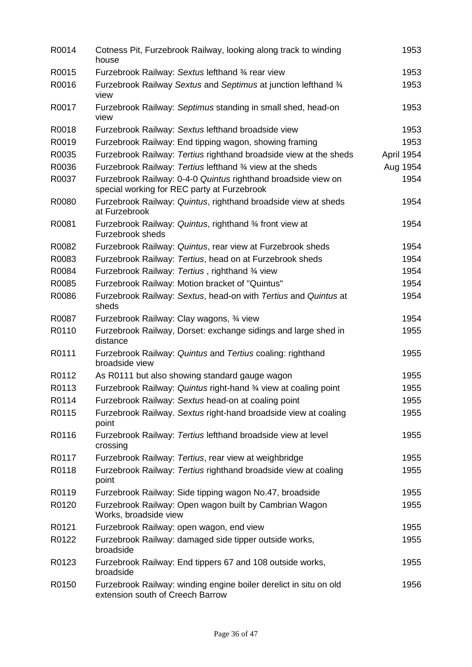| R0014 | Cotness Pit, Furzebrook Railway, looking along track to winding<br>house                                     | 1953       |
|-------|--------------------------------------------------------------------------------------------------------------|------------|
| R0015 | Furzebrook Railway: Sextus lefthand 3/4 rear view                                                            | 1953       |
| R0016 | Furzebrook Railway Sextus and Septimus at junction lefthand 3/4<br>view                                      | 1953       |
| R0017 | Furzebrook Railway: Septimus standing in small shed, head-on<br>view                                         | 1953       |
| R0018 | Furzebrook Railway: Sextus lefthand broadside view                                                           | 1953       |
| R0019 | Furzebrook Railway: End tipping wagon, showing framing                                                       | 1953       |
| R0035 | Furzebrook Railway: Tertius righthand broadside view at the sheds                                            | April 1954 |
| R0036 | Furzebrook Railway: Tertius lefthand 3/4 view at the sheds                                                   | Aug 1954   |
| R0037 | Furzebrook Railway: 0-4-0 Quintus righthand broadside view on<br>special working for REC party at Furzebrook | 1954       |
| R0080 | Furzebrook Railway: Quintus, righthand broadside view at sheds<br>at Furzebrook                              | 1954       |
| R0081 | Furzebrook Railway: Quintus, righthand 3⁄4 front view at<br>Furzebrook sheds                                 | 1954       |
| R0082 | Furzebrook Railway: Quintus, rear view at Furzebrook sheds                                                   | 1954       |
| R0083 | Furzebrook Railway: Tertius, head on at Furzebrook sheds                                                     | 1954       |
| R0084 | Furzebrook Railway: Tertius, righthand 3/4 view                                                              | 1954       |
| R0085 | Furzebrook Railway: Motion bracket of "Quintus"                                                              | 1954       |
| R0086 | Furzebrook Railway: Sextus, head-on with Tertius and Quintus at<br>sheds                                     | 1954       |
| R0087 | Furzebrook Railway: Clay wagons, 3⁄4 view                                                                    | 1954       |
| R0110 | Furzebrook Railway, Dorset: exchange sidings and large shed in<br>distance                                   | 1955       |
| R0111 | Furzebrook Railway: Quintus and Tertius coaling: righthand<br>broadside view                                 | 1955       |
| R0112 | As R0111 but also showing standard gauge wagon                                                               | 1955       |
| R0113 | Furzebrook Railway: Quintus right-hand 3/4 view at coaling point                                             | 1955       |
| R0114 | Furzebrook Railway: Sextus head-on at coaling point                                                          | 1955       |
| R0115 | Furzebrook Railway. Sextus right-hand broadside view at coaling<br>point                                     | 1955       |
| R0116 | Furzebrook Railway: Tertius lefthand broadside view at level<br>crossing                                     | 1955       |
| R0117 | Furzebrook Railway: Tertius, rear view at weighbridge                                                        | 1955       |
| R0118 | Furzebrook Railway: Tertius righthand broadside view at coaling<br>point                                     | 1955       |
| R0119 | Furzebrook Railway: Side tipping wagon No.47, broadside                                                      | 1955       |
| R0120 | Furzebrook Railway: Open wagon built by Cambrian Wagon<br>Works, broadside view                              | 1955       |
| R0121 | Furzebrook Railway: open wagon, end view                                                                     | 1955       |
| R0122 | Furzebrook Railway: damaged side tipper outside works,<br>broadside                                          | 1955       |
| R0123 | Furzebrook Railway: End tippers 67 and 108 outside works,<br>broadside                                       | 1955       |
| R0150 | Furzebrook Railway: winding engine boiler derelict in situ on old<br>extension south of Creech Barrow        | 1956       |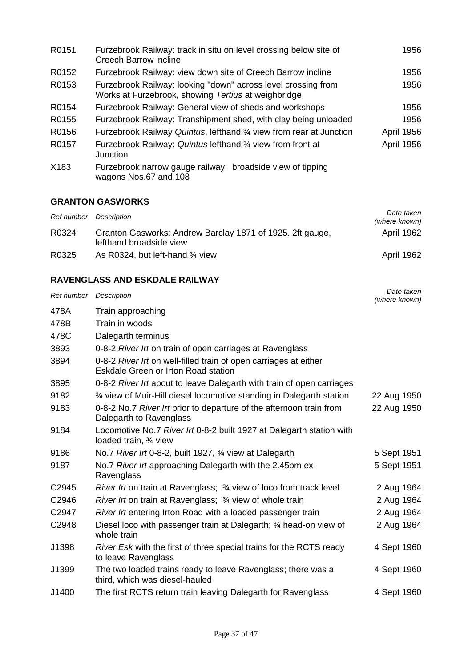| R0151 | Furzebrook Railway: track in situ on level crossing below site of<br><b>Creech Barrow incline</b>                    | 1956              |
|-------|----------------------------------------------------------------------------------------------------------------------|-------------------|
| R0152 | Furzebrook Railway: view down site of Creech Barrow incline                                                          | 1956              |
| R0153 | Furzebrook Railway: looking "down" across level crossing from<br>Works at Furzebrook, showing Tertius at weighbridge | 1956              |
| R0154 | Furzebrook Railway: General view of sheds and workshops                                                              | 1956              |
| R0155 | Furzebrook Railway: Transhipment shed, with clay being unloaded                                                      | 1956              |
| R0156 | Furzebrook Railway Quintus, lefthand 3/4 view from rear at Junction                                                  | <b>April 1956</b> |
| R0157 | Furzebrook Railway: Quintus lefthand 3/4 view from front at<br>Junction                                              | April 1956        |
| X183  | Furzebrook narrow gauge railway: broadside view of tipping<br>wagons Nos.67 and 108                                  |                   |

#### **GRANTON GASWORKS**

| Ref number Description |                                                                                      | Date taken<br>(where known) |
|------------------------|--------------------------------------------------------------------------------------|-----------------------------|
| R0324                  | Granton Gasworks: Andrew Barclay 1871 of 1925. 2ft gauge,<br>lefthand broadside view | April 1962                  |
| R0325                  | As R0324, but left-hand 3⁄4 view                                                     | April 1962                  |

## **RAVENGLASS AND ESKDALE RAILWAY**

| Ref number Description |                                                                                                         | Date taken<br>(where known) |
|------------------------|---------------------------------------------------------------------------------------------------------|-----------------------------|
| 478A                   | Train approaching                                                                                       |                             |
| 478B                   | Train in woods                                                                                          |                             |
| 478C                   | Dalegarth terminus                                                                                      |                             |
| 3893                   | 0-8-2 River Irt on train of open carriages at Ravenglass                                                |                             |
| 3894                   | 0-8-2 River Irt on well-filled train of open carriages at either<br>Eskdale Green or Irton Road station |                             |
| 3895                   | 0-8-2 River Irt about to leave Dalegarth with train of open carriages                                   |                             |
| 9182                   | 3⁄4 view of Muir-Hill diesel locomotive standing in Dalegarth station                                   | 22 Aug 1950                 |
| 9183                   | 0-8-2 No.7 River Irt prior to departure of the afternoon train from<br>Dalegarth to Ravenglass          | 22 Aug 1950                 |
| 9184                   | Locomotive No.7 River Irt 0-8-2 built 1927 at Dalegarth station with<br>loaded train, 3⁄4 view          |                             |
| 9186                   | No.7 River Irt 0-8-2, built 1927, 3/4 view at Dalegarth                                                 | 5 Sept 1951                 |
| 9187                   | No.7 River Irt approaching Dalegarth with the 2.45pm ex-<br>Ravenglass                                  | 5 Sept 1951                 |
| C <sub>2945</sub>      | River Irt on train at Ravenglass; 3⁄4 view of loco from track level                                     | 2 Aug 1964                  |
| C2946                  | <i>River Irt</i> on train at Ravenglass; 3/4 view of whole train                                        | 2 Aug 1964                  |
| C2947                  | River Irt entering Irton Road with a loaded passenger train                                             | 2 Aug 1964                  |
| C2948                  | Diesel loco with passenger train at Dalegarth; 3⁄4 head-on view of<br>whole train                       | 2 Aug 1964                  |
| J1398                  | River Esk with the first of three special trains for the RCTS ready<br>to leave Ravenglass              | 4 Sept 1960                 |
| J1399                  | The two loaded trains ready to leave Ravenglass; there was a<br>third, which was diesel-hauled          | 4 Sept 1960                 |
| J1400                  | The first RCTS return train leaving Dalegarth for Ravenglass                                            | 4 Sept 1960                 |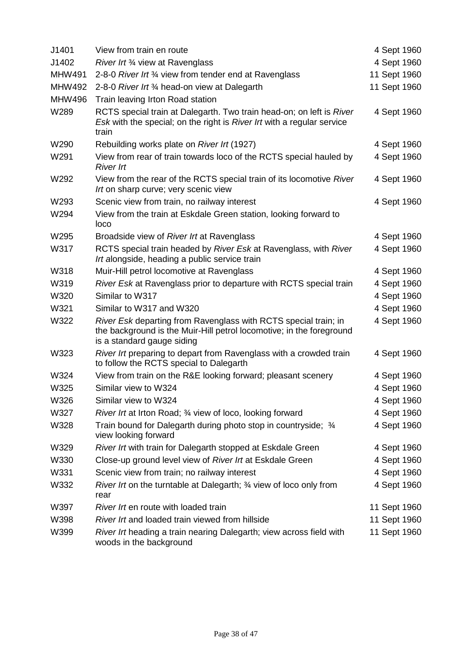| J1401         | View from train en route                                                                                                                                              | 4 Sept 1960  |
|---------------|-----------------------------------------------------------------------------------------------------------------------------------------------------------------------|--------------|
| J1402         | River Irt 3⁄4 view at Ravenglass                                                                                                                                      | 4 Sept 1960  |
| <b>MHW491</b> | 2-8-0 River Int 3/4 view from tender end at Ravenglass                                                                                                                | 11 Sept 1960 |
| <b>MHW492</b> | 2-8-0 River Irt 3/4 head-on view at Dalegarth                                                                                                                         | 11 Sept 1960 |
| <b>MHW496</b> | Train leaving Irton Road station                                                                                                                                      |              |
| W289          | RCTS special train at Dalegarth. Two train head-on; on left is River<br>Esk with the special; on the right is River Irt with a regular service<br>train               | 4 Sept 1960  |
| W290          | Rebuilding works plate on River Irt (1927)                                                                                                                            | 4 Sept 1960  |
| W291          | View from rear of train towards loco of the RCTS special hauled by<br><b>River Irt</b>                                                                                | 4 Sept 1960  |
| W292          | View from the rear of the RCTS special train of its locomotive River<br>Irt on sharp curve; very scenic view                                                          | 4 Sept 1960  |
| W293          | Scenic view from train, no railway interest                                                                                                                           | 4 Sept 1960  |
| W294          | View from the train at Eskdale Green station, looking forward to<br>loco                                                                                              |              |
| W295          | Broadside view of River Irt at Ravenglass                                                                                                                             | 4 Sept 1960  |
| W317          | RCTS special train headed by River Esk at Ravenglass, with River<br>Irt alongside, heading a public service train                                                     | 4 Sept 1960  |
| W318          | Muir-Hill petrol locomotive at Ravenglass                                                                                                                             | 4 Sept 1960  |
| W319          | River Esk at Ravenglass prior to departure with RCTS special train                                                                                                    | 4 Sept 1960  |
| W320          | Similar to W317                                                                                                                                                       | 4 Sept 1960  |
| W321          | Similar to W317 and W320                                                                                                                                              | 4 Sept 1960  |
| W322          | River Esk departing from Ravenglass with RCTS special train; in<br>the background is the Muir-Hill petrol locomotive; in the foreground<br>is a standard gauge siding | 4 Sept 1960  |
| W323          | River Irt preparing to depart from Ravenglass with a crowded train<br>to follow the RCTS special to Dalegarth                                                         | 4 Sept 1960  |
| W324          | View from train on the R&E looking forward; pleasant scenery                                                                                                          | 4 Sept 1960  |
| W325          | Similar view to W324                                                                                                                                                  | 4 Sept 1960  |
| W326          | Similar view to W324                                                                                                                                                  | 4 Sept 1960  |
| W327          | River Irt at Irton Road; 3/4 view of loco, looking forward                                                                                                            | 4 Sept 1960  |
| W328          | Train bound for Dalegarth during photo stop in countryside; 3/4<br>view looking forward                                                                               | 4 Sept 1960  |
| W329          | River Irt with train for Dalegarth stopped at Eskdale Green                                                                                                           | 4 Sept 1960  |
| W330          | Close-up ground level view of River Irt at Eskdale Green                                                                                                              | 4 Sept 1960  |
| W331          | Scenic view from train; no railway interest                                                                                                                           | 4 Sept 1960  |
| W332          | <i>River Irt</i> on the turntable at Dalegarth; 34 view of loco only from<br>rear                                                                                     | 4 Sept 1960  |
| W397          | River Irt en route with loaded train                                                                                                                                  | 11 Sept 1960 |
| W398          | River Irt and loaded train viewed from hillside                                                                                                                       | 11 Sept 1960 |
| W399          | River Irt heading a train nearing Dalegarth; view across field with<br>woods in the background                                                                        | 11 Sept 1960 |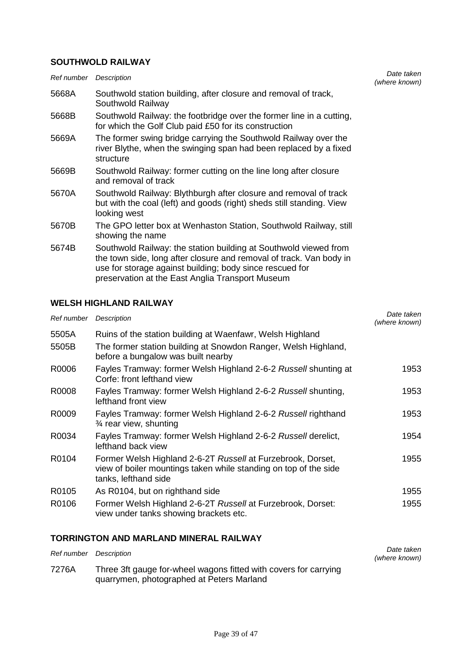#### **SOUTHWOLD RAILWAY**

| Ref number Description |                                                                                                                                                                                                                                                         | Date taken<br>(where known) |
|------------------------|---------------------------------------------------------------------------------------------------------------------------------------------------------------------------------------------------------------------------------------------------------|-----------------------------|
| 5668A                  | Southwold station building, after closure and removal of track,<br>Southwold Railway                                                                                                                                                                    |                             |
| 5668B                  | Southwold Railway: the footbridge over the former line in a cutting,<br>for which the Golf Club paid £50 for its construction                                                                                                                           |                             |
| 5669A                  | The former swing bridge carrying the Southwold Railway over the<br>river Blythe, when the swinging span had been replaced by a fixed<br>structure                                                                                                       |                             |
| 5669B                  | Southwold Railway: former cutting on the line long after closure<br>and removal of track                                                                                                                                                                |                             |
| 5670A                  | Southwold Railway: Blythburgh after closure and removal of track<br>but with the coal (left) and goods (right) sheds still standing. View<br>looking west                                                                                               |                             |
| 5670B                  | The GPO letter box at Wenhaston Station, Southwold Railway, still<br>showing the name                                                                                                                                                                   |                             |
| 5674B                  | Southwold Railway: the station building at Southwold viewed from<br>the town side, long after closure and removal of track. Van body in<br>use for storage against building; body since rescued for<br>preservation at the East Anglia Transport Museum |                             |

## **WELSH HIGHLAND RAILWAY**

| Ref number | Description                                                                                                                                             | Date taken<br>(where known) |
|------------|---------------------------------------------------------------------------------------------------------------------------------------------------------|-----------------------------|
| 5505A      | Ruins of the station building at Waenfawr, Welsh Highland                                                                                               |                             |
| 5505B      | The former station building at Snowdon Ranger, Welsh Highland,<br>before a bungalow was built nearby                                                    |                             |
| R0006      | Fayles Tramway: former Welsh Highland 2-6-2 Russell shunting at<br>Corfe: front lefthand view                                                           | 1953                        |
| R0008      | Fayles Tramway: former Welsh Highland 2-6-2 Russell shunting,<br>lefthand front view                                                                    | 1953                        |
| R0009      | Fayles Tramway: former Welsh Highland 2-6-2 Russell righthand<br>$\frac{3}{4}$ rear view, shunting                                                      | 1953                        |
| R0034      | Fayles Tramway: former Welsh Highland 2-6-2 Russell derelict,<br>lefthand back view                                                                     | 1954                        |
| R0104      | Former Welsh Highland 2-6-2T Russell at Furzebrook, Dorset,<br>view of boiler mountings taken while standing on top of the side<br>tanks, lefthand side | 1955                        |
| R0105      | As R0104, but on righthand side                                                                                                                         | 1955                        |
| R0106      | Former Welsh Highland 2-6-2T Russell at Furzebrook, Dorset:<br>view under tanks showing brackets etc.                                                   | 1955                        |

## **TORRINGTON AND MARLAND MINERAL RAILWAY**

| Ref number Description |                                                                                                               | Date taken<br>(where known) |
|------------------------|---------------------------------------------------------------------------------------------------------------|-----------------------------|
| 7276A                  | Three 3ft gauge for-wheel wagons fitted with covers for carrying<br>quarrymen, photographed at Peters Marland |                             |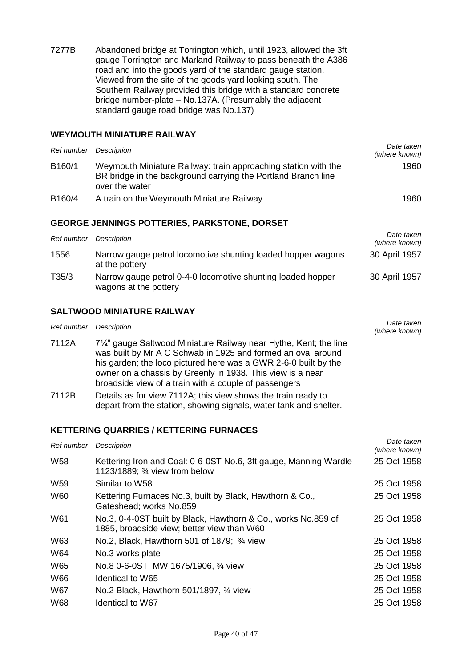7277B Abandoned bridge at Torrington which, until 1923, allowed the 3ft gauge Torrington and Marland Railway to pass beneath the A386 road and into the goods yard of the standard gauge station. Viewed from the site of the goods yard looking south. The Southern Railway provided this bridge with a standard concrete bridge number-plate – No.137A. (Presumably the adjacent standard gauge road bridge was No.137)

#### **WEYMOUTH MINIATURE RAILWAY**

| Ref number | Description                                                                                                                                       | Date taken<br>(where known) |
|------------|---------------------------------------------------------------------------------------------------------------------------------------------------|-----------------------------|
| B160/1     | Weymouth Miniature Railway: train approaching station with the<br>BR bridge in the background carrying the Portland Branch line<br>over the water | 1960                        |
| B160/4     | A train on the Weymouth Miniature Railway                                                                                                         | 1960                        |

#### **GEORGE JENNINGS POTTERIES, PARKSTONE, DORSET**

| Ref number | Description                                                                          | Date taken<br>(where known) |
|------------|--------------------------------------------------------------------------------------|-----------------------------|
| 1556       | Narrow gauge petrol locomotive shunting loaded hopper wagons<br>at the pottery       | 30 April 1957               |
| T35/3      | Narrow gauge petrol 0-4-0 locomotive shunting loaded hopper<br>wagons at the pottery | 30 April 1957               |

#### **SALTWOOD MINIATURE RAILWAY**

| Ref number Description |                                                                                                                                                                                                                                                                                                                           | Date taken<br>(where known) |
|------------------------|---------------------------------------------------------------------------------------------------------------------------------------------------------------------------------------------------------------------------------------------------------------------------------------------------------------------------|-----------------------------|
| 7112A                  | 7¼" gauge Saltwood Miniature Railway near Hythe, Kent; the line<br>was built by Mr A C Schwab in 1925 and formed an oval around<br>his garden; the loco pictured here was a GWR 2-6-0 built by the<br>owner on a chassis by Greenly in 1938. This view is a near<br>broadside view of a train with a couple of passengers |                             |
| 7112B                  | Details as for view 7112A; this view shows the train ready to<br>depart from the station, showing signals, water tank and shelter.                                                                                                                                                                                        |                             |

#### **KETTERING QUARRIES / KETTERING FURNACES**

| Ref number      | <b>Description</b>                                                                                          | Date taken<br>(where known) |
|-----------------|-------------------------------------------------------------------------------------------------------------|-----------------------------|
| W <sub>58</sub> | Kettering Iron and Coal: 0-6-0ST No.6, 3ft gauge, Manning Wardle<br>1123/1889; 3⁄4 view from below          | 25 Oct 1958                 |
| W <sub>59</sub> | Similar to W58                                                                                              | 25 Oct 1958                 |
| <b>W60</b>      | Kettering Furnaces No.3, built by Black, Hawthorn & Co.,<br>Gateshead; works No.859                         | 25 Oct 1958                 |
| W61             | No.3, 0-4-0ST built by Black, Hawthorn & Co., works No.859 of<br>1885, broadside view; better view than W60 | 25 Oct 1958                 |
| W63             | No.2, Black, Hawthorn 501 of 1879; 3/4 view                                                                 | 25 Oct 1958                 |
| W64             | No.3 works plate                                                                                            | 25 Oct 1958                 |
| W65             | No.8 0-6-0ST, MW 1675/1906, 3⁄4 view                                                                        | 25 Oct 1958                 |
| <b>W66</b>      | <b>Identical to W65</b>                                                                                     | 25 Oct 1958                 |
| W67             | No.2 Black, Hawthorn 501/1897, 3⁄4 view                                                                     | 25 Oct 1958                 |
| <b>W68</b>      | <b>Identical to W67</b>                                                                                     | 25 Oct 1958                 |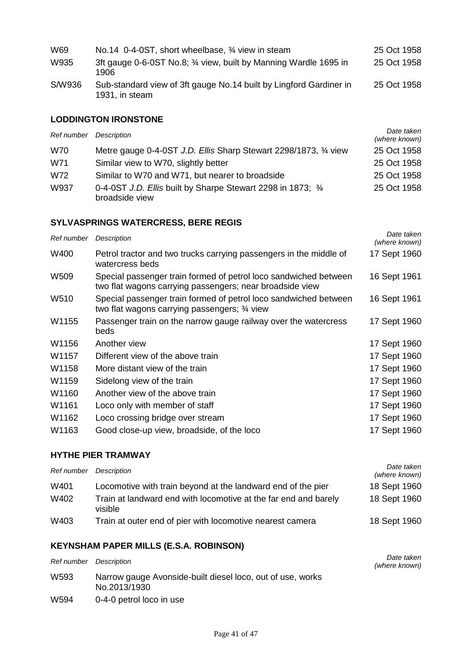| W69    | No.14 0-4-0ST, short wheelbase, 3/4 view in steam                                    | 25 Oct 1958 |
|--------|--------------------------------------------------------------------------------------|-------------|
| W935   | 3ft gauge 0-6-0ST No.8; 3/4 view, built by Manning Wardle 1695 in<br>1906            | 25 Oct 1958 |
| S/W936 | Sub-standard view of 3ft gauge No.14 built by Lingford Gardiner in<br>1931, in steam | 25 Oct 1958 |

## **LODDINGTON IRONSTONE**

| Ref number Description |                                                                                | Date taken<br>(where known) |
|------------------------|--------------------------------------------------------------------------------|-----------------------------|
| <b>W70</b>             | Metre gauge 0-4-0ST J.D. Ellis Sharp Stewart 2298/1873, 34 view                | 25 Oct 1958                 |
| W71                    | Similar view to W70, slightly better                                           | 25 Oct 1958                 |
| W72                    | Similar to W70 and W71, but nearer to broadside                                | 25 Oct 1958                 |
| W937                   | 0-4-0ST J.D. Ellis built by Sharpe Stewart 2298 in 1873; 3/4<br>broadside view | 25 Oct 1958                 |

## **SYLVASPRINGS WATERCRESS, BERE REGIS**

| Ref number | Description                                                                                                                  | Date taken<br>(where known) |
|------------|------------------------------------------------------------------------------------------------------------------------------|-----------------------------|
| W400       | Petrol tractor and two trucks carrying passengers in the middle of<br>watercress beds                                        | 17 Sept 1960                |
| W509       | Special passenger train formed of petrol loco sandwiched between<br>two flat wagons carrying passengers; near broadside view | 16 Sept 1961                |
| W510       | Special passenger train formed of petrol loco sandwiched between<br>two flat wagons carrying passengers; 34 view             | 16 Sept 1961                |
| W1155      | Passenger train on the narrow gauge railway over the watercress<br>beds                                                      | 17 Sept 1960                |
| W1156      | Another view                                                                                                                 | 17 Sept 1960                |
| W1157      | Different view of the above train                                                                                            | 17 Sept 1960                |
| W1158      | More distant view of the train                                                                                               | 17 Sept 1960                |
| W1159      | Sidelong view of the train                                                                                                   | 17 Sept 1960                |
| W1160      | Another view of the above train                                                                                              | 17 Sept 1960                |
| W1161      | Loco only with member of staff                                                                                               | 17 Sept 1960                |
| W1162      | Loco crossing bridge over stream                                                                                             | 17 Sept 1960                |
| W1163      | Good close-up view, broadside, of the loco                                                                                   | 17 Sept 1960                |

#### **HYTHE PIER TRAMWAY**

| Ref number | Description                                                                | Date taken<br>(where known) |
|------------|----------------------------------------------------------------------------|-----------------------------|
| W401       | Locomotive with train beyond at the landward end of the pier               | 18 Sept 1960                |
| W402       | Train at landward end with locomotive at the far end and barely<br>visible | 18 Sept 1960                |
| W403       | Train at outer end of pier with locomotive nearest camera                  | 18 Sept 1960                |

## **KEYNSHAM PAPER MILLS (E.S.A. ROBINSON)**

| Ref number       | Description                                                                | Date taken<br>(where known) |
|------------------|----------------------------------------------------------------------------|-----------------------------|
| W <sub>593</sub> | Narrow gauge Avonside-built diesel loco, out of use, works<br>No.2013/1930 |                             |
| W594             | 0-4-0 petrol loco in use                                                   |                             |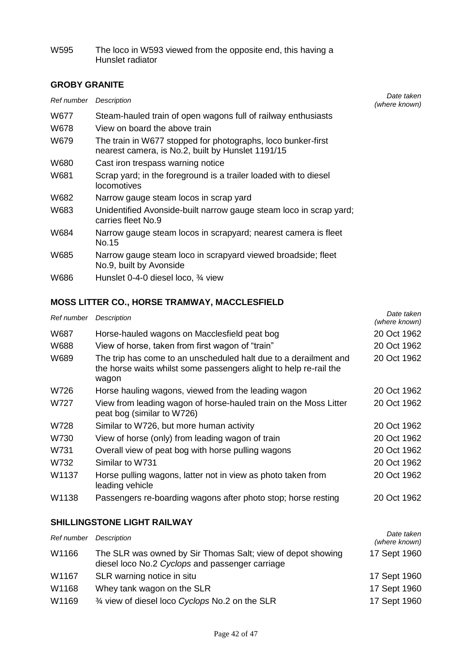W595 The loco in W593 viewed from the opposite end, this having a Hunslet radiator

## **GROBY GRANITE**

| Ref number | Description                                                                                                       | Date taken<br>(where known) |
|------------|-------------------------------------------------------------------------------------------------------------------|-----------------------------|
| W677       | Steam-hauled train of open wagons full of railway enthusiasts                                                     |                             |
| W678       | View on board the above train                                                                                     |                             |
| W679       | The train in W677 stopped for photographs, loco bunker-first<br>nearest camera, is No.2, built by Hunslet 1191/15 |                             |
| W680       | Cast iron trespass warning notice                                                                                 |                             |
| W681       | Scrap yard; in the foreground is a trailer loaded with to diesel<br>locomotives                                   |                             |
| W682       | Narrow gauge steam locos in scrap yard                                                                            |                             |
| W683       | Unidentified Avonside-built narrow gauge steam loco in scrap yard;<br>carries fleet No.9                          |                             |
| W684       | Narrow gauge steam locos in scrapyard; nearest camera is fleet<br>No.15                                           |                             |
| W685       | Narrow gauge steam loco in scrapyard viewed broadside; fleet<br>No.9, built by Avonside                           |                             |
| W686       | Hunslet 0-4-0 diesel loco, 3/4 view                                                                               |                             |

# **MOSS LITTER CO., HORSE TRAMWAY, MACCLESFIELD**

| Ref number | Description                                                                                                                                    | Date taken<br>(where known) |
|------------|------------------------------------------------------------------------------------------------------------------------------------------------|-----------------------------|
| W687       | Horse-hauled wagons on Macclesfield peat bog                                                                                                   | 20 Oct 1962                 |
| W688       | View of horse, taken from first wagon of "train"                                                                                               | 20 Oct 1962                 |
| W689       | The trip has come to an unscheduled halt due to a derailment and<br>the horse waits whilst some passengers alight to help re-rail the<br>wagon | 20 Oct 1962                 |
| W726       | Horse hauling wagons, viewed from the leading wagon                                                                                            | 20 Oct 1962                 |
| W727       | View from leading wagon of horse-hauled train on the Moss Litter<br>peat bog (similar to W726)                                                 | 20 Oct 1962                 |
| W728       | Similar to W726, but more human activity                                                                                                       | 20 Oct 1962                 |
| W730       | View of horse (only) from leading wagon of train                                                                                               | 20 Oct 1962                 |
| W731       | Overall view of peat bog with horse pulling wagons                                                                                             | 20 Oct 1962                 |
| W732       | Similar to W731                                                                                                                                | 20 Oct 1962                 |
| W1137      | Horse pulling wagons, latter not in view as photo taken from<br>leading vehicle                                                                | 20 Oct 1962                 |
| W1138      | Passengers re-boarding wagons after photo stop; horse resting                                                                                  | 20 Oct 1962                 |

## **SHILLINGSTONE LIGHT RAILWAY**

| Ref number | Description                                                                                                    | Date taken<br>(where known) |
|------------|----------------------------------------------------------------------------------------------------------------|-----------------------------|
| W1166      | The SLR was owned by Sir Thomas Salt; view of depot showing<br>diesel loco No.2 Cyclops and passenger carriage | 17 Sept 1960                |
| W1167      | SLR warning notice in situ                                                                                     | 17 Sept 1960                |
| W1168      | Whey tank wagon on the SLR                                                                                     | 17 Sept 1960                |
| W1169      | 3⁄4 view of diesel loco Cyclops No.2 on the SLR                                                                | 17 Sept 1960                |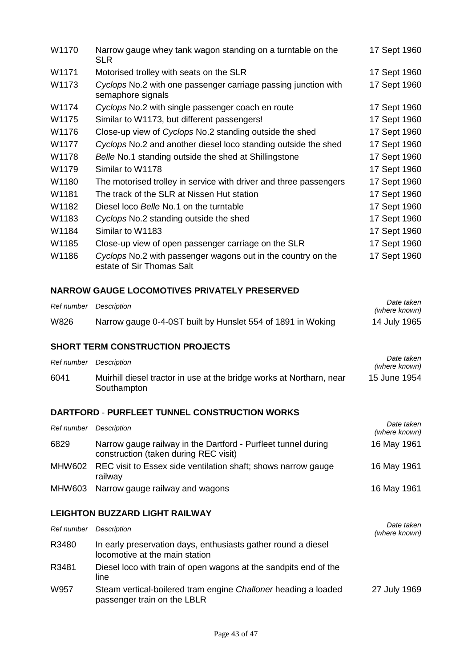| W1170 | Narrow gauge whey tank wagon standing on a turntable on the<br><b>SLR</b>                 | 17 Sept 1960 |
|-------|-------------------------------------------------------------------------------------------|--------------|
| W1171 | Motorised trolley with seats on the SLR                                                   | 17 Sept 1960 |
| W1173 | Cyclops No.2 with one passenger carriage passing junction with<br>semaphore signals       | 17 Sept 1960 |
| W1174 | Cyclops No.2 with single passenger coach en route                                         | 17 Sept 1960 |
| W1175 | Similar to W1173, but different passengers!                                               | 17 Sept 1960 |
| W1176 | Close-up view of Cyclops No.2 standing outside the shed                                   | 17 Sept 1960 |
| W1177 | Cyclops No.2 and another diesel loco standing outside the shed                            | 17 Sept 1960 |
| W1178 | Belle No.1 standing outside the shed at Shillingstone                                     | 17 Sept 1960 |
| W1179 | Similar to W1178                                                                          | 17 Sept 1960 |
| W1180 | The motorised trolley in service with driver and three passengers                         | 17 Sept 1960 |
| W1181 | The track of the SLR at Nissen Hut station                                                | 17 Sept 1960 |
| W1182 | Diesel loco Belle No.1 on the turntable                                                   | 17 Sept 1960 |
| W1183 | Cyclops No.2 standing outside the shed                                                    | 17 Sept 1960 |
| W1184 | Similar to W1183                                                                          | 17 Sept 1960 |
| W1185 | Close-up view of open passenger carriage on the SLR                                       | 17 Sept 1960 |
| W1186 | Cyclops No.2 with passenger wagons out in the country on the<br>estate of Sir Thomas Salt | 17 Sept 1960 |

#### **NARROW GAUGE LOCOMOTIVES PRIVATELY PRESERVED**

| Ref number | Description                                                 | Date taken<br>(where known) |
|------------|-------------------------------------------------------------|-----------------------------|
| W826       | Narrow gauge 0-4-0ST built by Hunslet 554 of 1891 in Woking | 14 July 1965                |

#### **SHORT TERM CONSTRUCTION PROJECTS**

| Ref number | Description                                                                         | Date taken<br>(where known) |
|------------|-------------------------------------------------------------------------------------|-----------------------------|
| 6041       | Muirhill diesel tractor in use at the bridge works at Northarn, near<br>Southampton | 15 June 1954                |

#### **DARTFORD** - **PURFLEET TUNNEL CONSTRUCTION WORKS**

| Ref number | Description                                                                                            | Date taken<br>(where known) |
|------------|--------------------------------------------------------------------------------------------------------|-----------------------------|
| 6829       | Narrow gauge railway in the Dartford - Purfleet tunnel during<br>construction (taken during REC visit) | 16 May 1961                 |
|            | MHW602 REC visit to Essex side ventilation shaft; shows narrow gauge<br>railway                        | 16 May 1961                 |
|            | MHW603 Narrow gauge railway and wagons                                                                 | 16 May 1961                 |

## **LEIGHTON BUZZARD LIGHT RAILWAY**

| Ref number | Description                                                                                     | Date taken<br>(where known) |
|------------|-------------------------------------------------------------------------------------------------|-----------------------------|
| R3480      | In early preservation days, enthusiasts gather round a diesel<br>locomotive at the main station |                             |
| R3481      | Diesel loco with train of open wagons at the sandpits end of the<br>line                        |                             |
| W957       | Steam vertical-boilered tram engine Challoner heading a loaded<br>passenger train on the LBLR   | 27 July 1969                |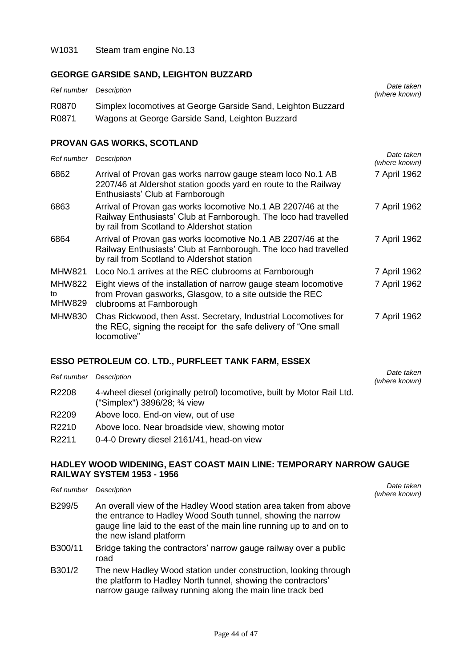#### **GEORGE GARSIDE SAND, LEIGHTON BUZZARD**

| Ref number Description |                                                              | Date taken<br>(where known) |
|------------------------|--------------------------------------------------------------|-----------------------------|
| R0870                  | Simplex locomotives at George Garside Sand, Leighton Buzzard |                             |
| R0871                  | Wagons at George Garside Sand, Leighton Buzzard              |                             |

#### **PROVAN GAS WORKS, SCOTLAND**

| Ref number                           | Description                                                                                                                                                                     | Date taken<br>(where known) |
|--------------------------------------|---------------------------------------------------------------------------------------------------------------------------------------------------------------------------------|-----------------------------|
| 6862                                 | Arrival of Provan gas works narrow gauge steam loco No.1 AB<br>2207/46 at Aldershot station goods yard en route to the Railway<br>Enthusiasts' Club at Farnborough              | 7 April 1962                |
| 6863                                 | Arrival of Provan gas works locomotive No.1 AB 2207/46 at the<br>Railway Enthusiasts' Club at Farnborough. The loco had travelled<br>by rail from Scotland to Aldershot station | 7 April 1962                |
| 6864                                 | Arrival of Provan gas works locomotive No.1 AB 2207/46 at the<br>Railway Enthusiasts' Club at Farnborough. The loco had travelled<br>by rail from Scotland to Aldershot station | 7 April 1962                |
| <b>MHW821</b>                        | Loco No.1 arrives at the REC clubrooms at Farnborough                                                                                                                           | 7 April 1962                |
| <b>MHW822</b><br>to<br><b>MHW829</b> | Eight views of the installation of narrow gauge steam locomotive<br>from Provan gasworks, Glasgow, to a site outside the REC<br>clubrooms at Farnborough                        | 7 April 1962                |
| MHW830                               | Chas Rickwood, then Asst. Secretary, Industrial Locomotives for<br>the REC, signing the receipt for the safe delivery of "One small"<br>locomotive"                             | 7 April 1962                |

#### **ESSO PETROLEUM CO. LTD., PURFLEET TANK FARM, ESSEX**

| Ref number | Description                                                                                              | Date taken<br>(where known) |
|------------|----------------------------------------------------------------------------------------------------------|-----------------------------|
| R2208      | 4-wheel diesel (originally petrol) locomotive, built by Motor Rail Ltd.<br>("Simplex") 3896/28; 3/4 view |                             |
| R2209      | Above loco. End-on view, out of use                                                                      |                             |
| R2210      | Above loco. Near broadside view, showing motor                                                           |                             |
| R2211      | 0-4-0 Drewry diesel 2161/41, head-on view                                                                |                             |

#### **HADLEY WOOD WIDENING, EAST COAST MAIN LINE: TEMPORARY NARROW GAUGE RAILWAY SYSTEM 1953 - 1956**

| Ref number | Description                                                                                                                                                                                                                         | Date taken<br>(where known) |
|------------|-------------------------------------------------------------------------------------------------------------------------------------------------------------------------------------------------------------------------------------|-----------------------------|
| B299/5     | An overall view of the Hadley Wood station area taken from above<br>the entrance to Hadley Wood South tunnel, showing the narrow<br>gauge line laid to the east of the main line running up to and on to<br>the new island platform |                             |
| B300/11    | Bridge taking the contractors' narrow gauge railway over a public<br>road                                                                                                                                                           |                             |
| B301/2     | The new Hadley Wood station under construction, looking through<br>the platform to Hadley North tunnel, showing the contractors'<br>narrow gauge railway running along the main line track bed                                      |                             |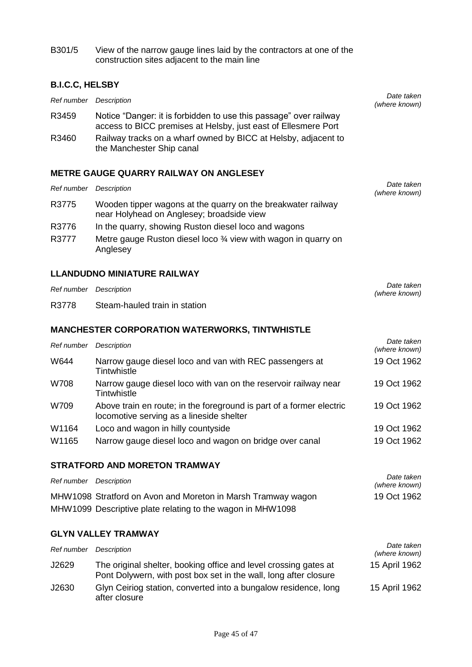B301/5 View of the narrow gauge lines laid by the contractors at one of the construction sites adjacent to the main line

#### **B.I.C.C, HELSBY**

| Ref number             | Description                                                                                                                         | Date taken<br>(where known) |
|------------------------|-------------------------------------------------------------------------------------------------------------------------------------|-----------------------------|
| R3459                  | Notice "Danger: it is forbidden to use this passage" over railway<br>access to BICC premises at Helsby, just east of Ellesmere Port |                             |
| R3460                  | Railway tracks on a wharf owned by BICC at Helsby, adjacent to<br>the Manchester Ship canal                                         |                             |
|                        | <b>METRE GAUGE QUARRY RAILWAY ON ANGLESEY</b>                                                                                       |                             |
| Ref number Description |                                                                                                                                     | Date taken                  |

| Ret number Description |                                                                                                           | (where known)               |
|------------------------|-----------------------------------------------------------------------------------------------------------|-----------------------------|
| R3775                  | Wooden tipper wagons at the quarry on the breakwater railway<br>near Holyhead on Anglesey; broadside view |                             |
| R3776                  | In the quarry, showing Ruston diesel loco and wagons                                                      |                             |
| R3777                  | Metre gauge Ruston diesel loco 3⁄4 view with wagon in quarry on<br>Anglesey                               |                             |
|                        | <b>LLANDUDNO MINIATURE RAILWAY</b>                                                                        |                             |
| Ref number             | Description                                                                                               | Date taken<br>(where known) |
| R3778                  | Steam-hauled train in station                                                                             |                             |
|                        | <b>MANCHESTER CORPORATION WATERWORKS, TINTWHISTLE</b>                                                     |                             |
| Ref number             | Description                                                                                               | Date taken<br>(where known) |
| W644                   | Narrow gauge diesel loco and van with REC passengers at<br>Tintwhistle                                    | 19 Oct 1962                 |
| W708                   | Narrow gauge diesel loco with van on the reservoir railway near                                           | 19 Oct 1962                 |

|       | Tintwhistle                                                                                                      |             |
|-------|------------------------------------------------------------------------------------------------------------------|-------------|
| W709  | Above train en route; in the foreground is part of a former electric<br>locomotive serving as a lineside shelter | 19 Oct 1962 |
| W1164 | Loco and wagon in hilly countyside                                                                               | 19 Oct 1962 |
| W1165 | Narrow gauge diesel loco and wagon on bridge over canal                                                          | 19 Oct 1962 |

## **STRATFORD AND MORETON TRAMWAY**

| Ref number Description |                                                              | Date taken<br>(where known) |
|------------------------|--------------------------------------------------------------|-----------------------------|
|                        | MHW1098 Stratford on Avon and Moreton in Marsh Tramway wagon | 19 Oct 1962                 |
|                        | MHW1099 Descriptive plate relating to the wagon in MHW1098   |                             |
|                        |                                                              |                             |

## **GLYN VALLEY TRAMWAY**

| Ref number | Description                                                                                                                          | Date taken<br>(where known) |
|------------|--------------------------------------------------------------------------------------------------------------------------------------|-----------------------------|
| J2629      | The original shelter, booking office and level crossing gates at<br>Pont Dolywern, with post box set in the wall, long after closure | 15 April 1962               |
| J2630      | Glyn Ceiriog station, converted into a bungalow residence, long<br>after closure                                                     | 15 April 1962               |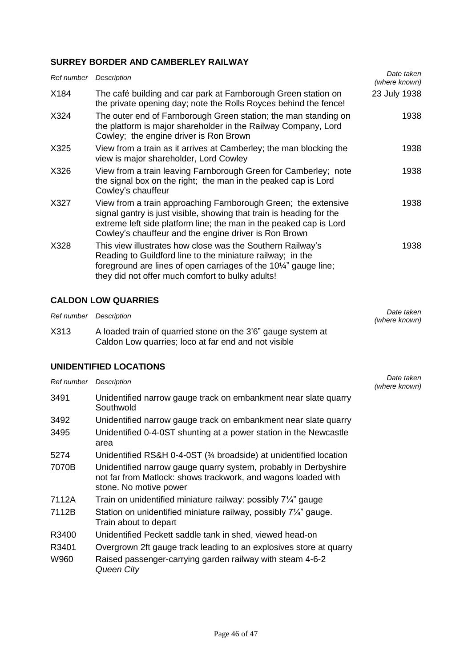## **SURREY BORDER AND CAMBERLEY RAILWAY**

| Ref number Description |                                                                                                                                                                                                                                                                       | Date taken<br>(where known) |
|------------------------|-----------------------------------------------------------------------------------------------------------------------------------------------------------------------------------------------------------------------------------------------------------------------|-----------------------------|
| X184                   | The café building and car park at Farnborough Green station on<br>the private opening day; note the Rolls Royces behind the fence!                                                                                                                                    | 23 July 1938                |
| X324                   | The outer end of Farnborough Green station; the man standing on<br>the platform is major shareholder in the Railway Company, Lord<br>Cowley; the engine driver is Ron Brown                                                                                           | 1938                        |
| X325                   | View from a train as it arrives at Camberley; the man blocking the<br>view is major shareholder, Lord Cowley                                                                                                                                                          | 1938                        |
| X326                   | View from a train leaving Farnborough Green for Camberley; note<br>the signal box on the right; the man in the peaked cap is Lord<br>Cowley's chauffeur                                                                                                               | 1938                        |
| X327                   | View from a train approaching Farnborough Green; the extensive<br>signal gantry is just visible, showing that train is heading for the<br>extreme left side platform line; the man in the peaked cap is Lord<br>Cowley's chauffeur and the engine driver is Ron Brown | 1938                        |
| X328                   | This view illustrates how close was the Southern Railway's<br>Reading to Guildford line to the miniature railway; in the<br>foreground are lines of open carriages of the 10¼" gauge line;<br>they did not offer much comfort to bulky adults!                        | 1938                        |

## **CALDON LOW QUARRIES**

| Ref number Description |                                                                                                                      | Date taken<br>(where known) |
|------------------------|----------------------------------------------------------------------------------------------------------------------|-----------------------------|
| X313                   | A loaded train of quarried stone on the 3'6" gauge system at<br>Caldon Low quarries; loco at far end and not visible |                             |

#### **UNIDENTIFIED LOCATIONS**

| Ref number | Description                                                                                                                                                | Date taken<br>(where known) |
|------------|------------------------------------------------------------------------------------------------------------------------------------------------------------|-----------------------------|
| 3491       | Unidentified narrow gauge track on embankment near slate quarry<br>Southwold                                                                               |                             |
| 3492       | Unidentified narrow gauge track on embankment near slate quarry                                                                                            |                             |
| 3495       | Unidentified 0-4-0ST shunting at a power station in the Newcastle<br>area                                                                                  |                             |
| 5274       | Unidentified RS&H 0-4-0ST (3⁄4 broadside) at unidentified location                                                                                         |                             |
| 7070B      | Unidentified narrow gauge quarry system, probably in Derbyshire<br>not far from Matlock: shows trackwork, and wagons loaded with<br>stone. No motive power |                             |
| 7112A      | Train on unidentified miniature railway: possibly 7 <sup>1</sup> /4" gauge                                                                                 |                             |
| 7112B      | Station on unidentified miniature railway, possibly 7 <sup>1/</sup> <sub>4</sub> " gauge.<br>Train about to depart                                         |                             |
| R3400      | Unidentified Peckett saddle tank in shed, viewed head-on                                                                                                   |                             |
| R3401      | Overgrown 2ft gauge track leading to an explosives store at quarry                                                                                         |                             |
| W960       | Raised passenger-carrying garden railway with steam 4-6-2<br>Queen City                                                                                    |                             |